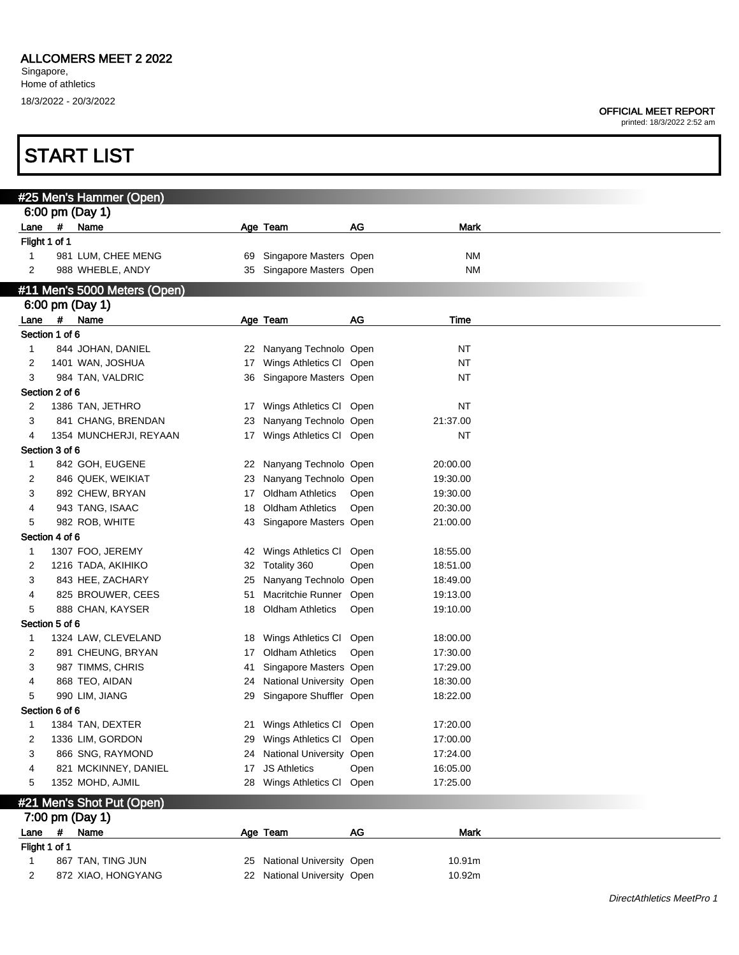**START LIST** 

|                     |            | #25 Men's Hammer (Open)      |          |                             |      |             |
|---------------------|------------|------------------------------|----------|-----------------------------|------|-------------|
|                     |            | 6:00 pm (Day 1)              |          |                             |      |             |
| Lane                | #          | Name                         |          | Age Team                    | AG   | Mark        |
| Flight 1 of 1       |            |                              |          |                             |      |             |
| 1                   |            | 981 LUM, CHEE MENG           | 69       | Singapore Masters Open      |      | ΝM          |
| 2                   |            | 988 WHEBLE, ANDY             | 35       | Singapore Masters Open      |      | ΝM          |
|                     |            | #11 Men's 5000 Meters (Open) |          |                             |      |             |
|                     |            | 6:00 pm (Day 1)              |          |                             |      |             |
| Lane                | #          | Name                         |          | Age Team                    | AG   | Time        |
| Section 1 of 6      |            |                              |          |                             |      |             |
| 1                   |            | 844 JOHAN, DANIEL            | 22       | Nanyang Technolo Open       |      | NT          |
| 2                   |            | 1401 WAN, JOSHUA             | 17       | Wings Athletics Cl Open     |      | <b>NT</b>   |
| 3<br>Section 2 of 6 |            | 984 TAN, VALDRIC             | 36       | Singapore Masters Open      |      | NT          |
| 2                   |            | 1386 TAN, JETHRO             |          | Wings Athletics Cl Open     |      | NT          |
| 3                   |            | 841 CHANG, BRENDAN           | 17<br>23 | Nanyang Technolo Open       |      | 21:37.00    |
| 4                   |            | 1354 MUNCHERJI, REYAAN       | 17       | Wings Athletics Cl Open     |      | <b>NT</b>   |
| Section 3 of 6      |            |                              |          |                             |      |             |
| 1                   |            | 842 GOH, EUGENE              | 22       | Nanyang Technolo Open       |      | 20:00.00    |
| 2                   |            | 846 QUEK, WEIKIAT            | 23       | Nanyang Technolo Open       |      | 19:30.00    |
| 3                   |            | 892 CHEW, BRYAN              | 17       | <b>Oldham Athletics</b>     | Open | 19:30.00    |
| 4                   |            | 943 TANG, ISAAC              | 18       | <b>Oldham Athletics</b>     | Open | 20:30.00    |
| 5                   |            | 982 ROB, WHITE               | 43       | Singapore Masters Open      |      | 21:00.00    |
| Section 4 of 6      |            |                              |          |                             |      |             |
| $\mathbf 1$         |            | 1307 FOO, JEREMY             | 42       | Wings Athletics CI          | Open | 18:55.00    |
| 2                   |            | 1216 TADA, AKIHIKO           | 32       | Totality 360                | Open | 18:51.00    |
| 3                   |            | 843 HEE, ZACHARY             | 25       | Nanyang Technolo Open       |      | 18:49.00    |
| 4                   |            | 825 BROUWER, CEES            | 51       | Macritchie Runner           | Open | 19:13.00    |
| 5                   |            | 888 CHAN, KAYSER             | 18       | <b>Oldham Athletics</b>     | Open | 19:10.00    |
| Section 5 of 6      |            |                              |          |                             |      |             |
| 1                   |            | 1324 LAW, CLEVELAND          | 18       | Wings Athletics CI          | Open | 18:00.00    |
| 2                   |            | 891 CHEUNG, BRYAN            | 17       | <b>Oldham Athletics</b>     | Open | 17:30.00    |
| 3                   |            | 987 TIMMS, CHRIS             | 41       | Singapore Masters Open      |      | 17:29.00    |
| 4                   |            | 868 TEO, AIDAN               | 24       | National University Open    |      | 18:30.00    |
| 5                   |            | 990 LIM, JIANG               | 29       | Singapore Shuffler Open     |      | 18:22.00    |
| Section 6 of 6      |            |                              |          |                             |      |             |
| 1                   |            | 1384 TAN, DEXTER             | 21       | Wings Athletics Cl Open     |      | 17:20.00    |
| $\overline{2}$      |            | 1336 LIM, GORDON             | 29       | Wings Athletics CI          | Open | 17:00.00    |
| 3                   |            | 866 SNG, RAYMOND             | 24       | National University Open    |      | 17:24.00    |
| 4                   |            | 821 MCKINNEY, DANIEL         | 17       | <b>JS Athletics</b>         | Open | 16:05.00    |
| 5                   |            | 1352 MOHD, AJMIL             | 28       | Wings Athletics Cl Open     |      | 17:25.00    |
|                     |            | #21 Men's Shot Put (Open)    |          |                             |      |             |
|                     |            | 7:00 pm (Day 1)              |          |                             |      |             |
| Lane                | $\pmb{\#}$ | Name                         |          | Age Team                    | AG   | <b>Mark</b> |
| Flight 1 of 1       |            |                              |          |                             |      |             |
| $\mathbf{1}$        |            | 867 TAN, TING JUN            | 25       | National University Open    |      | 10.91m      |
| 2                   |            | 872 XIAO, HONGYANG           |          | 22 National University Open |      | 10.92m      |
|                     |            |                              |          |                             |      |             |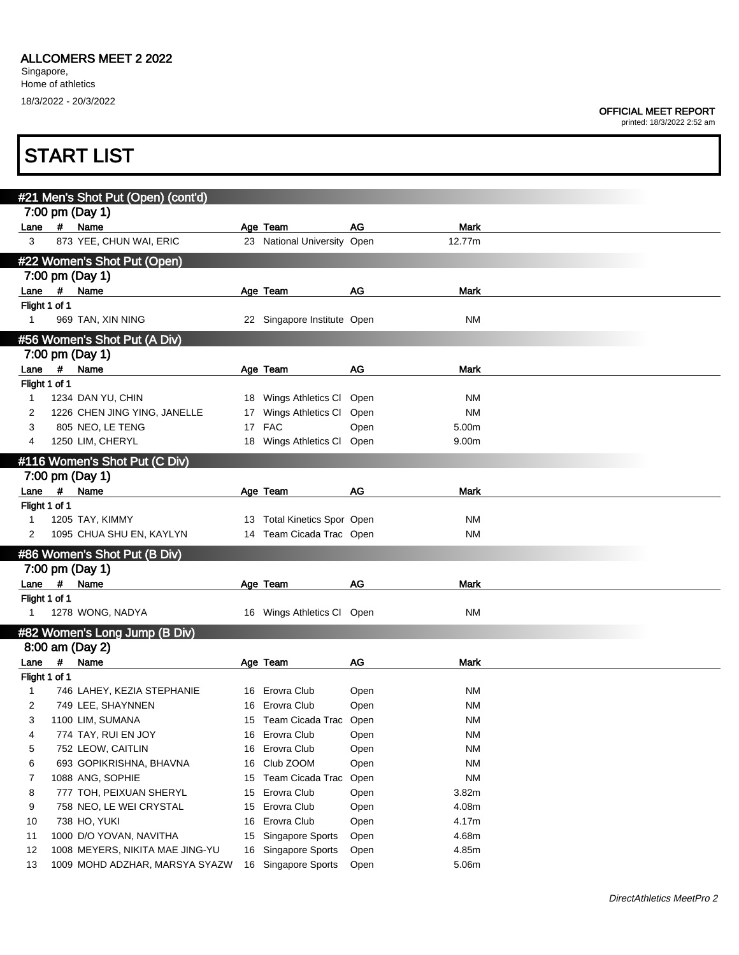#### OFFICIAL MEET REPORT

|                         |      | <b>START LIST</b>                                     |    |                                         |      |           |  |
|-------------------------|------|-------------------------------------------------------|----|-----------------------------------------|------|-----------|--|
|                         |      |                                                       |    |                                         |      |           |  |
|                         |      | #21 Men's Shot Put (Open) (cont'd)<br>7:00 pm (Day 1) |    |                                         |      |           |  |
|                         |      |                                                       |    |                                         | AG   | Mark      |  |
| Lane<br>3               | $\#$ | Name<br>873 YEE, CHUN WAI, ERIC                       |    | Age Team<br>23 National University Open |      | 12.77m    |  |
|                         |      |                                                       |    |                                         |      |           |  |
|                         |      | #22 Women's Shot Put (Open)                           |    |                                         |      |           |  |
|                         |      | 7:00 pm (Day 1)                                       |    |                                         |      |           |  |
|                         |      | Lane # Name                                           |    | Age Team                                | AG   | Mark      |  |
| Flight 1 of 1           |      |                                                       |    |                                         |      |           |  |
| $\mathbf 1$             |      | 969 TAN, XIN NING                                     |    | 22 Singapore Institute Open             |      | NM        |  |
|                         |      | #56 Women's Shot Put (A Div)                          |    |                                         |      |           |  |
|                         |      | 7:00 pm (Day 1)                                       |    |                                         |      |           |  |
| Lane #                  |      | Name                                                  |    | Age Team                                | AG   | Mark      |  |
| Flight 1 of 1           |      |                                                       |    |                                         |      |           |  |
| 1                       |      | 1234 DAN YU, CHIN                                     |    | 18 Wings Athletics CI                   | Open | NM        |  |
| 2                       |      | 1226 CHEN JING YING, JANELLE                          |    | 17 Wings Athletics CI                   | Open | NM        |  |
| 3                       |      | 805 NEO, LE TENG                                      |    | 17 FAC                                  | Open | 5.00m     |  |
| 4                       |      | 1250 LIM, CHERYL                                      |    | 18 Wings Athletics CI                   | Open | 9.00m     |  |
|                         |      | #116 Women's Shot Put (C Div)                         |    |                                         |      |           |  |
|                         |      | 7:00 pm (Day 1)                                       |    |                                         |      |           |  |
|                         |      |                                                       |    |                                         | AG   | Mark      |  |
| Lane #<br>Flight 1 of 1 |      | Name                                                  |    | Age Team                                |      |           |  |
| 1                       |      | 1205 TAY, KIMMY                                       |    | 13 Total Kinetics Spor Open             |      | <b>NM</b> |  |
| 2                       |      | 1095 CHUA SHU EN, KAYLYN                              |    | 14 Team Cicada Trac Open                |      | NM        |  |
|                         |      |                                                       |    |                                         |      |           |  |
|                         |      | #86 Women's Shot Put (B Div)                          |    |                                         |      |           |  |
|                         |      | 7:00 pm (Day 1)                                       |    |                                         |      |           |  |
| Lane #                  |      | Name                                                  |    | Age Team                                | AG   | Mark      |  |
| Flight 1 of 1           |      |                                                       |    |                                         |      |           |  |
| 1                       |      | 1278 WONG, NADYA                                      |    | 16 Wings Athletics Cl Open              |      | NM        |  |
|                         |      | #82 Women's Long Jump (B Div)                         |    |                                         |      |           |  |
|                         |      | 8:00 am (Day 2)                                       |    |                                         |      |           |  |
| Lane                    | #    | Name                                                  |    | Age Team                                | AG   | Mark      |  |
| Flight 1 of 1           |      |                                                       |    |                                         |      |           |  |
| 1                       |      | 746 LAHEY, KEZIA STEPHANIE                            |    | 16 Erovra Club                          | Open | ΝM        |  |
| 2                       |      | 749 LEE, SHAYNNEN                                     | 16 | Erovra Club                             | Open | <b>NM</b> |  |
| 3                       |      | 1100 LIM, SUMANA                                      |    | 15 Team Cicada Trac                     | Open | <b>NM</b> |  |
| 4                       |      | 774 TAY, RUI EN JOY                                   | 16 | Erovra Club                             | Open | <b>NM</b> |  |
| 5                       |      | 752 LEOW, CAITLIN                                     | 16 | Erovra Club                             | Open | <b>NM</b> |  |
| 6                       |      | 693 GOPIKRISHNA, BHAVNA                               |    | 16 Club ZOOM                            | Open | <b>NM</b> |  |
| 7                       |      | 1088 ANG, SOPHIE                                      | 15 | Team Cicada Trac                        | Open | <b>NM</b> |  |
| 8                       |      | 777 TOH, PEIXUAN SHERYL                               | 15 | Erovra Club                             | Open | 3.82m     |  |
| 9                       |      | 758 NEO, LE WEI CRYSTAL                               | 15 | Erovra Club                             | Open | 4.08m     |  |
| 10                      |      | 738 HO, YUKI                                          | 16 | Erovra Club                             | Open | 4.17m     |  |
| 11                      |      | 1000 D/O YOVAN, NAVITHA                               | 15 | Singapore Sports                        | Open | 4.68m     |  |
| 12                      |      | 1008 MEYERS, NIKITA MAE JING-YU                       |    | 16 Singapore Sports                     | Open | 4.85m     |  |
| 13                      |      | 1009 MOHD ADZHAR, MARSYA SYAZW                        |    | 16 Singapore Sports                     | Open | 5.06m     |  |
|                         |      |                                                       |    |                                         |      |           |  |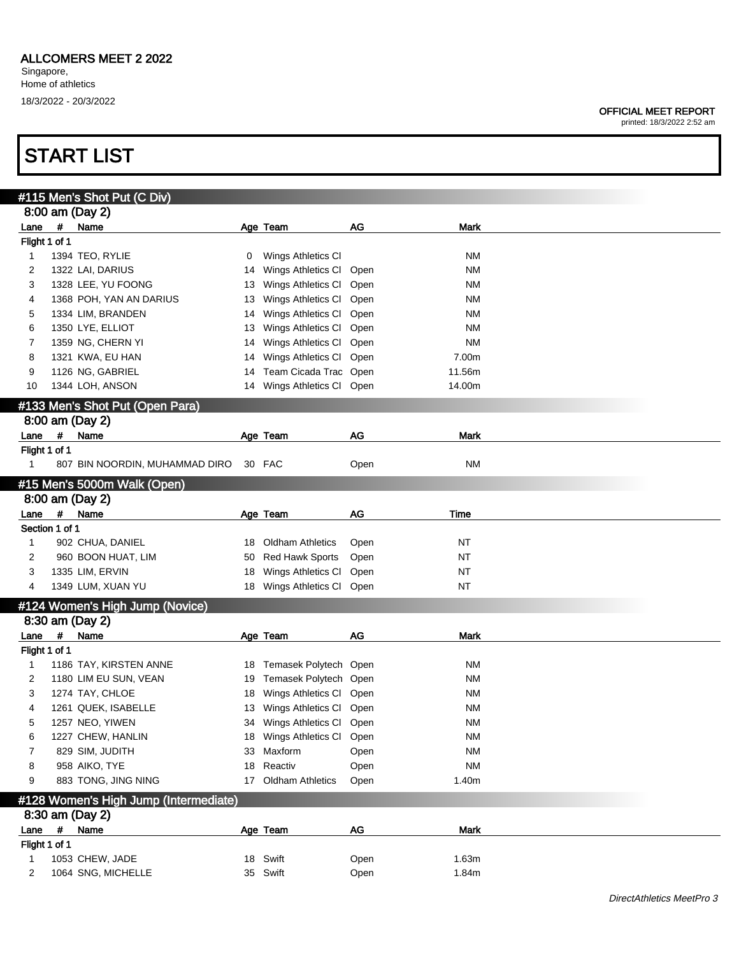printed: 18/3/2022 2:52 am

|                |            | #115 Men's Shot Put (C Div)           |    |                         |      |             |  |
|----------------|------------|---------------------------------------|----|-------------------------|------|-------------|--|
|                |            | 8:00 am (Day 2)                       |    |                         |      |             |  |
| Lane           | #          | Name                                  |    | Age Team                | AG   | <b>Mark</b> |  |
| Flight 1 of 1  |            |                                       |    |                         |      |             |  |
| $\mathbf{1}$   |            | 1394 TEO, RYLIE                       | 0  | Wings Athletics CI      |      | <b>NM</b>   |  |
| 2              |            | 1322 LAI, DARIUS                      | 14 | Wings Athletics CI      | Open | ΝM          |  |
| 3              |            | 1328 LEE, YU FOONG                    | 13 | Wings Athletics CI      | Open | <b>NM</b>   |  |
| 4              |            | 1368 POH, YAN AN DARIUS               | 13 | Wings Athletics CI      | Open | <b>NM</b>   |  |
| 5              |            | 1334 LIM, BRANDEN                     | 14 | Wings Athletics CI      | Open | <b>NM</b>   |  |
|                |            |                                       |    |                         |      |             |  |
| 6              |            | 1350 LYE, ELLIOT                      | 13 | Wings Athletics CI      | Open | <b>NM</b>   |  |
| 7              |            | 1359 NG, CHERN YI                     | 14 | Wings Athletics CI      | Open | <b>NM</b>   |  |
| 8              |            | 1321 KWA, EU HAN                      | 14 | Wings Athletics CI      | Open | 7.00m       |  |
| 9              |            | 1126 NG, GABRIEL                      | 14 | Team Cicada Trac Open   |      | 11.56m      |  |
| 10             |            | 1344 LOH, ANSON                       | 14 | Wings Athletics Cl Open |      | 14.00m      |  |
|                |            | #133 Men's Shot Put (Open Para)       |    |                         |      |             |  |
|                |            | 8:00 am (Day 2)                       |    |                         |      |             |  |
| Lane           | #          | Name                                  |    | Age Team                | AG   | <b>Mark</b> |  |
| Flight 1 of 1  |            |                                       |    |                         |      |             |  |
|                |            |                                       |    | 30 FAC                  |      |             |  |
| 1              |            | 807 BIN NOORDIN, MUHAMMAD DIRO        |    |                         | Open | <b>NM</b>   |  |
|                |            | #15 Men's 5000m Walk (Open)           |    |                         |      |             |  |
|                |            | 8:00 am (Day 2)                       |    |                         |      |             |  |
| Lane           | $\pmb{\#}$ | Name                                  |    | Age Team                | AG   | Time        |  |
| Section 1 of 1 |            |                                       |    |                         |      |             |  |
| 1              |            | 902 CHUA, DANIEL                      | 18 | <b>Oldham Athletics</b> | Open | <b>NT</b>   |  |
| 2              |            | 960 BOON HUAT, LIM                    | 50 | <b>Red Hawk Sports</b>  | Open | <b>NT</b>   |  |
| 3              |            | 1335 LIM, ERVIN                       | 18 | Wings Athletics CI      | Open | <b>NT</b>   |  |
| 4              |            | 1349 LUM, XUAN YU                     |    | 18 Wings Athletics Cl   | Open | <b>NT</b>   |  |
|                |            |                                       |    |                         |      |             |  |
|                |            | #124 Women's High Jump (Novice)       |    |                         |      |             |  |
|                |            | 8:30 am (Day 2)                       |    |                         |      |             |  |
| Lane           | #          | Name                                  |    | Age Team                | AG   | <b>Mark</b> |  |
| Flight 1 of 1  |            |                                       |    |                         |      |             |  |
| 1              |            | 1186 TAY, KIRSTEN ANNE                | 18 | Temasek Polytech Open   |      | ΝM          |  |
| 2              |            | 1180 LIM EU SUN, VEAN                 | 19 | Temasek Polytech Open   |      | <b>NM</b>   |  |
| 3              |            | 1274 TAY, CHLOE                       | 18 | Wings Athletics CI      | Open | ΝM          |  |
| 4              |            | 1261 QUEK, ISABELLE                   | 13 | Wings Athletics CI      | Open | ΝM          |  |
| 5              |            | 1257 NEO, YIWEN                       | 34 | Wings Athletics CI Open |      | <b>NM</b>   |  |
| 6              |            | 1227 CHEW, HANLIN                     |    | 18 Wings Athletics CI   | Open | NM          |  |
| 7              |            | 829 SIM, JUDITH                       |    | 33 Maxform              | Open | <b>NM</b>   |  |
|                |            | 958 AIKO, TYE                         |    | Reactiv                 |      | <b>NM</b>   |  |
| 8              |            |                                       | 18 |                         | Open |             |  |
| 9              |            | 883 TONG, JING NING                   |    | 17 Oldham Athletics     | Open | 1.40m       |  |
|                |            | #128 Women's High Jump (Intermediate) |    |                         |      |             |  |
|                |            | 8:30 am (Day 2)                       |    |                         |      |             |  |
| Lane           | $\pmb{\#}$ | Name                                  |    | Age Team                | AG   | <b>Mark</b> |  |
| Flight 1 of 1  |            |                                       |    |                         |      |             |  |
| 1              |            | 1053 CHEW, JADE                       |    | 18 Swift                | Open | 1.63m       |  |
| 2              |            | 1064 SNG, MICHELLE                    |    | 35 Swift                | Open | 1.84m       |  |
|                |            |                                       |    |                         |      |             |  |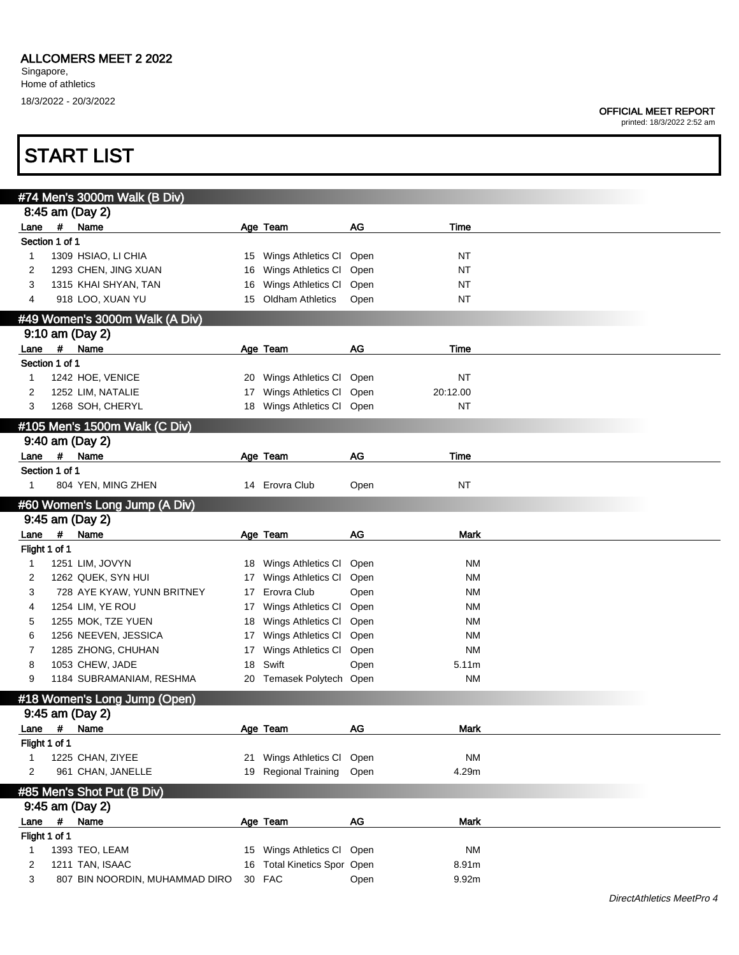printed: 18/3/2022 2:52 am

|                |                                                   | #74 Men's 3000m Walk (B Div)   |    |                             |      |             |  |  |  |  |  |  |
|----------------|---------------------------------------------------|--------------------------------|----|-----------------------------|------|-------------|--|--|--|--|--|--|
|                |                                                   | 8:45 am (Day 2)                |    |                             |      |             |  |  |  |  |  |  |
| Lane           |                                                   | # Name                         |    | Age Team                    | AG   | Time        |  |  |  |  |  |  |
| Section 1 of 1 |                                                   |                                |    |                             |      |             |  |  |  |  |  |  |
| 1              |                                                   | 1309 HSIAO, LI CHIA            | 15 | Wings Athletics CI          | Open | <b>NT</b>   |  |  |  |  |  |  |
| 2              |                                                   | 1293 CHEN, JING XUAN           | 16 | Wings Athletics CI          | Open | <b>NT</b>   |  |  |  |  |  |  |
| 3              |                                                   | 1315 KHAI SHYAN, TAN           | 16 | Wings Athletics CI          | Open | <b>NT</b>   |  |  |  |  |  |  |
| 4              |                                                   | 918 LOO, XUAN YU               | 15 | <b>Oldham Athletics</b>     | Open | <b>NT</b>   |  |  |  |  |  |  |
|                |                                                   |                                |    |                             |      |             |  |  |  |  |  |  |
|                | #49 Women's 3000m Walk (A Div)<br>9:10 am (Day 2) |                                |    |                             |      |             |  |  |  |  |  |  |
|                |                                                   |                                |    |                             |      |             |  |  |  |  |  |  |
| Lane $#$       |                                                   | Name                           |    | Age Team                    | AG   | Time        |  |  |  |  |  |  |
| Section 1 of 1 |                                                   |                                |    |                             |      |             |  |  |  |  |  |  |
| 1              |                                                   | 1242 HOE, VENICE               | 20 | Wings Athletics CI Open     |      | <b>NT</b>   |  |  |  |  |  |  |
| 2              |                                                   | 1252 LIM, NATALIE              | 17 | Wings Athletics Cl Open     |      | 20:12.00    |  |  |  |  |  |  |
| 3              |                                                   | 1268 SOH, CHERYL               | 18 | Wings Athletics Cl Open     |      | <b>NT</b>   |  |  |  |  |  |  |
|                |                                                   | #105 Men's 1500m Walk (C Div)  |    |                             |      |             |  |  |  |  |  |  |
|                |                                                   | 9:40 am (Day 2)                |    |                             |      |             |  |  |  |  |  |  |
| Lane           |                                                   | # Name                         |    | Age Team                    | AG   | Time        |  |  |  |  |  |  |
| Section 1 of 1 |                                                   |                                |    |                             |      |             |  |  |  |  |  |  |
| 1              |                                                   | 804 YEN, MING ZHEN             |    | 14 Erovra Club              | Open | <b>NT</b>   |  |  |  |  |  |  |
|                |                                                   |                                |    |                             |      |             |  |  |  |  |  |  |
|                |                                                   | #60 Women's Long Jump (A Div)  |    |                             |      |             |  |  |  |  |  |  |
|                |                                                   | 9:45 am (Day 2)                |    |                             |      |             |  |  |  |  |  |  |
| Lane           | $\#$                                              | Name                           |    | Age Team                    | AG   | <b>Mark</b> |  |  |  |  |  |  |
| Flight 1 of 1  |                                                   |                                |    |                             |      |             |  |  |  |  |  |  |
| 1              |                                                   | 1251 LIM, JOVYN                | 18 | Wings Athletics CI          | Open | ΝM          |  |  |  |  |  |  |
| 2              |                                                   | 1262 QUEK, SYN HUI             | 17 | Wings Athletics CI          | Open | ΝM          |  |  |  |  |  |  |
| 3              |                                                   | 728 AYE KYAW, YUNN BRITNEY     | 17 | Erovra Club                 | Open | ΝM          |  |  |  |  |  |  |
| 4              |                                                   | 1254 LIM, YE ROU               | 17 | Wings Athletics CI          | Open | ΝM          |  |  |  |  |  |  |
| 5              |                                                   | 1255 MOK, TZE YUEN             | 18 | Wings Athletics CI          | Open | ΝM          |  |  |  |  |  |  |
| 6              |                                                   | 1256 NEEVEN, JESSICA           | 17 | Wings Athletics Cl          | Open | ΝM          |  |  |  |  |  |  |
| 7              |                                                   | 1285 ZHONG, CHUHAN             | 17 | Wings Athletics CI          | Open | <b>NM</b>   |  |  |  |  |  |  |
| 8              |                                                   | 1053 CHEW, JADE                | 18 | Swift                       | Open | 5.11m       |  |  |  |  |  |  |
| 9              |                                                   | 1184 SUBRAMANIAM, RESHMA       | 20 | Temasek Polytech Open       |      | <b>NM</b>   |  |  |  |  |  |  |
|                |                                                   |                                |    |                             |      |             |  |  |  |  |  |  |
|                |                                                   | #18 Women's Long Jump (Open)   |    |                             |      |             |  |  |  |  |  |  |
|                |                                                   | 9:45 am (Day 2)                |    |                             |      |             |  |  |  |  |  |  |
| Lane           | #                                                 | Name                           |    | Age Team                    | AG   | Mark        |  |  |  |  |  |  |
| Flight 1 of 1  |                                                   |                                |    |                             |      |             |  |  |  |  |  |  |
|                |                                                   | 1225 CHAN, ZIYEE               | 21 | Wings Athletics Cl Open     |      | <b>NM</b>   |  |  |  |  |  |  |
| 2              |                                                   | 961 CHAN, JANELLE              |    | 19 Regional Training        | Open | 4.29m       |  |  |  |  |  |  |
|                |                                                   | #85 Men's Shot Put (B Div)     |    |                             |      |             |  |  |  |  |  |  |
|                |                                                   | 9:45 am (Day 2)                |    |                             |      |             |  |  |  |  |  |  |
| Lane           | $\pmb{\#}$                                        | Name                           |    | Age Team                    | AG   | Mark        |  |  |  |  |  |  |
| Flight 1 of 1  |                                                   |                                |    |                             |      |             |  |  |  |  |  |  |
| 1              |                                                   | 1393 TEO, LEAM                 |    | 15 Wings Athletics Cl Open  |      | <b>NM</b>   |  |  |  |  |  |  |
|                |                                                   |                                |    | 16 Total Kinetics Spor Open |      | 8.91m       |  |  |  |  |  |  |
| 2              |                                                   | 1211 TAN, ISAAC                |    |                             |      |             |  |  |  |  |  |  |
| 3              |                                                   | 807 BIN NOORDIN, MUHAMMAD DIRO |    | 30 FAC                      | Open | 9.92m       |  |  |  |  |  |  |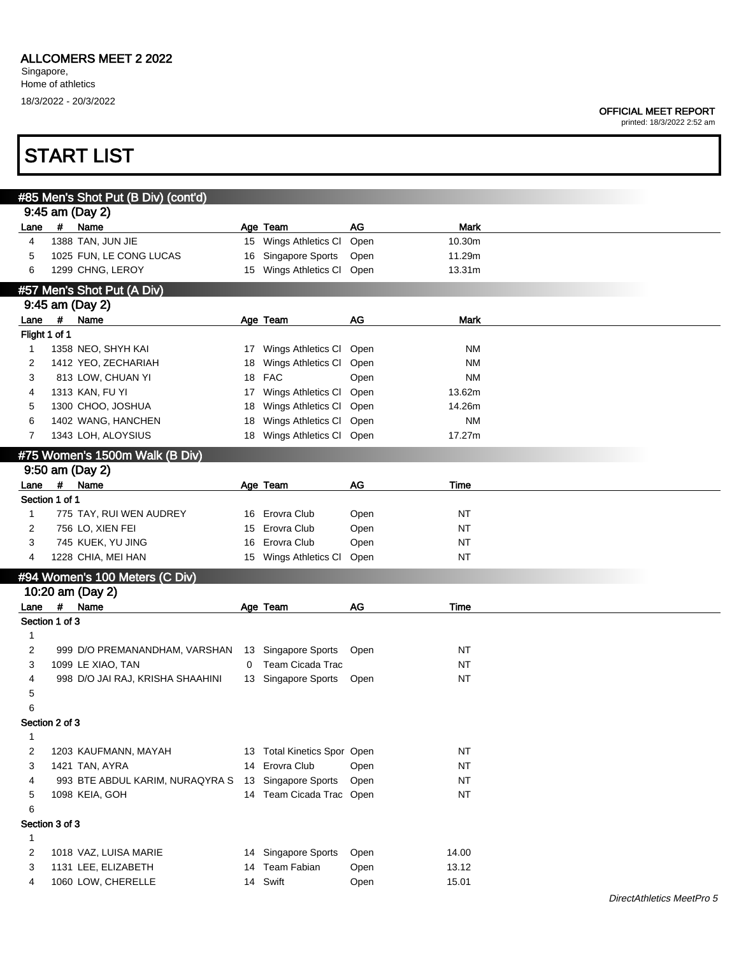#### OFFICIAL MEET REPORT

|               | <b>START LIST</b>   |                                                     |    |                             |      |             |  |
|---------------|---------------------|-----------------------------------------------------|----|-----------------------------|------|-------------|--|
|               |                     | #85 Men's Shot Put (B Div) (cont'd)                 |    |                             |      |             |  |
|               | 9:45 am (Day 2)     |                                                     |    |                             |      |             |  |
| Lane          | #<br>Name           |                                                     |    | Age Team                    | AG   | <b>Mark</b> |  |
| 4             | 1388 TAN, JUN JIE   |                                                     |    | 15 Wings Athletics CI       | Open | 10.30m      |  |
| 5             |                     | 1025 FUN, LE CONG LUCAS                             |    | 16 Singapore Sports         | Open | 11.29m      |  |
| 6             |                     | 1299 CHNG, LEROY                                    |    | 15 Wings Athletics Cl Open  |      | 13.31m      |  |
|               |                     | #57 Men's Shot Put (A Div)                          |    |                             |      |             |  |
|               | 9:45 am (Day 2)     |                                                     |    |                             |      |             |  |
| Lane          | $\pmb{\mu}$<br>Name |                                                     |    | Age Team                    | AG   | Mark        |  |
| Flight 1 of 1 |                     |                                                     |    |                             |      |             |  |
| $\mathbf 1$   |                     | 1358 NEO, SHYH KAI                                  |    | 17 Wings Athletics CI Open  |      | NM          |  |
| 2             |                     | 1412 YEO, ZECHARIAH                                 |    | 18 Wings Athletics CI Open  |      | <b>NM</b>   |  |
| 3             |                     | 813 LOW, CHUAN YI                                   |    | 18 FAC                      | Open | <b>NM</b>   |  |
| 4             | 1313 KAN, FU YI     |                                                     | 17 | Wings Athletics Cl Open     |      | 13.62m      |  |
| 5             |                     | 1300 CHOO, JOSHUA                                   |    | 18 Wings Athletics CI Open  |      | 14.26m      |  |
| 6             |                     | 1402 WANG, HANCHEN                                  |    | 18 Wings Athletics Cl Open  |      | <b>NM</b>   |  |
| 7             |                     | 1343 LOH, ALOYSIUS                                  |    | 18 Wings Athletics Cl Open  |      | 17.27m      |  |
|               |                     | #75 Women's 1500m Walk (B Div)                      |    |                             |      |             |  |
|               | 9:50 am (Day 2)     |                                                     |    |                             |      |             |  |
| Lane          | $\pmb{\#}$<br>Name  |                                                     |    | Age Team                    | AG   | Time        |  |
|               | Section 1 of 1      |                                                     |    |                             |      |             |  |
| $\mathbf{1}$  |                     | 775 TAY, RUI WEN AUDREY                             |    | 16 Erovra Club              | Open | NT          |  |
| 2             |                     | 756 LO, XIEN FEI                                    |    | 15 Erovra Club              | Open | <b>NT</b>   |  |
| 3             |                     | 745 KUEK, YU JING                                   | 16 | Erovra Club                 | Open | NT          |  |
| 4             |                     | 1228 CHIA, MEI HAN                                  |    | 15 Wings Athletics CI       | Open | NT          |  |
|               |                     | #94 Women's 100 Meters (C Div)                      |    |                             |      |             |  |
|               | 10:20 am (Day 2)    |                                                     |    |                             |      |             |  |
| Lane          | $\pmb{\#}$<br>Name  |                                                     |    | Age Team                    | AG   | Time        |  |
|               | Section 1 of 3      |                                                     |    |                             |      |             |  |
| 1             |                     |                                                     |    |                             |      |             |  |
| 2             |                     | 999 D/O PREMANANDHAM, VARSHAN                       |    | 13 Singapore Sports         | Open | <b>NT</b>   |  |
| 3             |                     | 1099 LE XIAO, TAN                                   | 0  | Team Cicada Trac            |      | <b>NT</b>   |  |
| 4             |                     | 998 D/O JAI RAJ, KRISHA SHAAHINI                    |    | 13 Singapore Sports Open    |      | <b>NT</b>   |  |
| 5             |                     |                                                     |    |                             |      |             |  |
| 6             |                     |                                                     |    |                             |      |             |  |
|               | Section 2 of 3      |                                                     |    |                             |      |             |  |
| $\mathbf{1}$  |                     |                                                     |    |                             |      |             |  |
| 2             |                     | 1203 KAUFMANN, MAYAH                                |    | 13 Total Kinetics Spor Open |      | <b>NT</b>   |  |
| 3             | 1421 TAN, AYRA      |                                                     |    | 14 Erovra Club              | Open | <b>NT</b>   |  |
| 4             |                     | 993 BTE ABDUL KARIM, NURAQYRA S 13 Singapore Sports |    |                             | Open | NT          |  |
| 5             | 1098 KEIA, GOH      |                                                     |    | 14 Team Cicada Trac Open    |      | <b>NT</b>   |  |
| 6             |                     |                                                     |    |                             |      |             |  |
|               | Section 3 of 3      |                                                     |    |                             |      |             |  |
| 1             |                     |                                                     |    |                             |      |             |  |
| 2             |                     | 1018 VAZ, LUISA MARIE                               |    | 14 Singapore Sports         | Open | 14.00       |  |
| 3             |                     | 1131 LEE, ELIZABETH                                 |    | 14 Team Fabian              | Open | 13.12       |  |
| 4             |                     | 1060 LOW, CHERELLE                                  |    | 14 Swift                    | Open | 15.01       |  |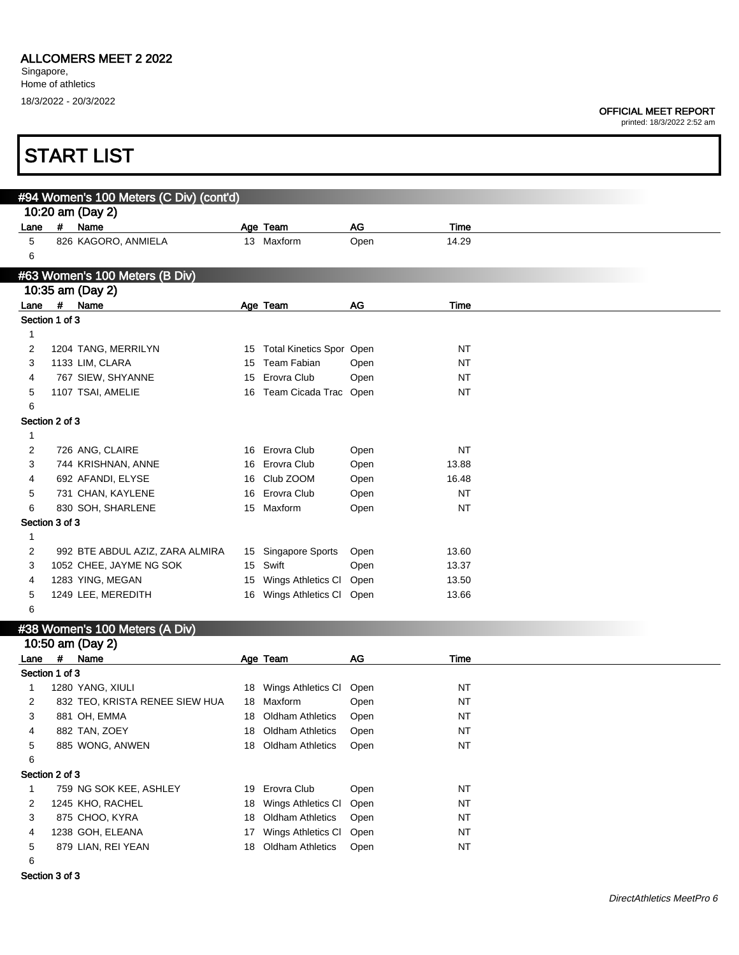### OFFICIAL MEET REPORT

printed: 18/3/2022 2:52 am

|                |                    | <b>START LIST</b>                       |                  |                                 |      |           |  |
|----------------|--------------------|-----------------------------------------|------------------|---------------------------------|------|-----------|--|
|                |                    | #94 Women's 100 Meters (C Div) (cont'd) |                  |                                 |      |           |  |
|                |                    | 10:20 am (Day 2)                        |                  |                                 |      |           |  |
| Lane           | $\#$               | Name                                    |                  | Age Team                        | AG   | Time      |  |
| 5              |                    | 826 KAGORO, ANMIELA                     |                  | 13 Maxform                      | Open | 14.29     |  |
| 6              |                    |                                         |                  |                                 |      |           |  |
|                |                    | #63 Women's 100 Meters (B Div)          |                  |                                 |      |           |  |
|                |                    | 10:35 am (Day 2)                        |                  |                                 |      |           |  |
| Lane           | $\boldsymbol{\mu}$ | Name                                    |                  | Age Team                        | AG   | Time      |  |
| Section 1 of 3 |                    |                                         |                  |                                 |      |           |  |
| 1              |                    |                                         |                  |                                 |      |           |  |
| $\overline{2}$ |                    | 1204 TANG, MERRILYN                     | 15               | <b>Total Kinetics Spor Open</b> |      | <b>NT</b> |  |
| 3              |                    | 1133 LIM, CLARA                         | 15               | Team Fabian                     | Open | <b>NT</b> |  |
| 4              |                    | 767 SIEW, SHYANNE                       | 15               | Erovra Club                     | Open | <b>NT</b> |  |
| 5              |                    | 1107 TSAI, AMELIE                       |                  | 16 Team Cicada Trac Open        |      | <b>NT</b> |  |
| 6              |                    |                                         |                  |                                 |      |           |  |
| Section 2 of 3 |                    |                                         |                  |                                 |      |           |  |
| 1              |                    |                                         |                  |                                 |      |           |  |
| 2              |                    | 726 ANG, CLAIRE                         |                  | 16 Erovra Club                  | Open | <b>NT</b> |  |
| 3              |                    | 744 KRISHNAN, ANNE                      |                  | 16 Erovra Club                  | Open | 13.88     |  |
| 4              |                    | 692 AFANDI, ELYSE                       |                  | 16 Club ZOOM                    | Open | 16.48     |  |
| 5              |                    | 731 CHAN, KAYLENE                       |                  | 16 Erovra Club                  | Open | <b>NT</b> |  |
| 6              |                    | 830 SOH, SHARLENE                       |                  | 15 Maxform                      | Open | <b>NT</b> |  |
| Section 3 of 3 |                    |                                         |                  |                                 |      |           |  |
| $\mathbf{1}$   |                    |                                         |                  |                                 |      |           |  |
| 2              |                    | 992 BTE ABDUL AZIZ, ZARA ALMIRA         | 15 <sup>15</sup> | Singapore Sports                | Open | 13.60     |  |
| 3              |                    | 1052 CHEE, JAYME NG SOK                 | 15               | Swift                           | Open | 13.37     |  |
| 4              |                    | 1283 YING, MEGAN                        | 15               | Wings Athletics CI              | Open | 13.50     |  |
| 5              |                    | 1249 LEE, MEREDITH                      | 16               | Wings Athletics CI              | Open | 13.66     |  |
| 6              |                    |                                         |                  |                                 |      |           |  |

#### #38 Women's 100 Meters (A Div)

|                |                | 10:50 am (Day 2)               |    |                         |      |           |  |
|----------------|----------------|--------------------------------|----|-------------------------|------|-----------|--|
| Lane           | #              | Name                           |    | Age Team                | AG   | Time      |  |
| Section 1 of 3 |                |                                |    |                         |      |           |  |
|                |                | 1280 YANG, XIULI               | 18 | Wings Athletics CI      | Open | NT        |  |
| 2              |                | 832 TEO, KRISTA RENEE SIEW HUA | 18 | Maxform                 | Open | NT        |  |
| 3              |                | 881 OH, EMMA                   | 18 | <b>Oldham Athletics</b> | Open | NT        |  |
| 4              |                | 882 TAN, ZOEY                  | 18 | <b>Oldham Athletics</b> | Open | <b>NT</b> |  |
| 5              |                | 885 WONG, ANWEN                | 18 | <b>Oldham Athletics</b> | Open | <b>NT</b> |  |
| 6              |                |                                |    |                         |      |           |  |
|                | Section 2 of 3 |                                |    |                         |      |           |  |
|                |                | 759 NG SOK KEE, ASHLEY         | 19 | Erovra Club             | Open | <b>NT</b> |  |
| 2              |                | 1245 KHO, RACHEL               | 18 | Wings Athletics CI      | Open | <b>NT</b> |  |
| 3              |                | 875 CHOO, KYRA                 | 18 | Oldham Athletics        | Open | NT        |  |
| 4              |                | 1238 GOH, ELEANA               | 17 | Wings Athletics CI      | Open | NT        |  |
| 5              |                | 879 LIAN, REI YEAN             | 18 | <b>Oldham Athletics</b> | Open | <b>NT</b> |  |
| 6              |                |                                |    |                         |      |           |  |

Section 3 of 3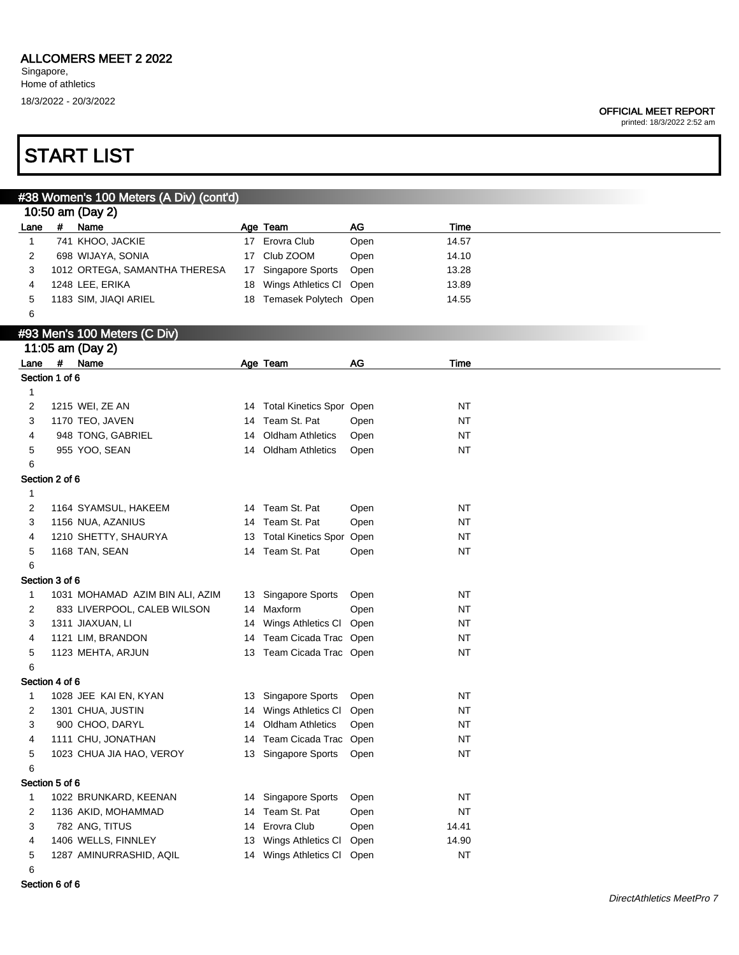### ALLCOMERS MEET 2 2022

Singapore, Home of athletics 18/3/2022 - 20/3/2022

#### OFFICIAL MEET REPORT

printed: 18/3/2022 2:52 am

### START LIST

10:50 am (Day 2)

#38 Women's 100 Meters (A Div) (cont'd)

Lane # Name Manne Age Team AG AG Time

| $\mathbf 1$      |                | 741 KHOO, JACKIE                     |    | 17 Erovra Club                                    | Open | 14.57     |  |
|------------------|----------------|--------------------------------------|----|---------------------------------------------------|------|-----------|--|
| 2                |                | 698 WIJAYA, SONIA                    |    | 17 Club ZOOM                                      | Open | 14.10     |  |
| 3                |                | 1012 ORTEGA, SAMANTHA THERESA        |    | 17 Singapore Sports                               | Open | 13.28     |  |
| 4                |                | 1248 LEE, ERIKA                      |    | 18 Wings Athletics Cl Open                        |      | 13.89     |  |
| 5                |                | 1183 SIM, JIAQI ARIEL                |    | 18 Temasek Polytech Open                          |      | 14.55     |  |
| 6                |                |                                      |    |                                                   |      |           |  |
|                  |                | #93 Men's 100 Meters (C Div)         |    |                                                   |      |           |  |
|                  |                | 11:05 am (Day 2)                     |    |                                                   |      |           |  |
| Lane #           |                | Name                                 |    | Age Team                                          | AG   | Time      |  |
|                  | Section 1 of 6 |                                      |    |                                                   |      |           |  |
| $\mathbf{1}$     |                |                                      |    |                                                   |      |           |  |
| 2                |                | 1215 WEI, ZE AN                      |    | 14 Total Kinetics Spor Open                       |      | <b>NT</b> |  |
| 3                |                | 1170 TEO, JAVEN                      |    | 14 Team St. Pat                                   | Open | <b>NT</b> |  |
| 4                |                | 948 TONG, GABRIEL                    |    | 14 Oldham Athletics                               | Open | <b>NT</b> |  |
| 5                |                | 955 YOO, SEAN                        |    | 14 Oldham Athletics                               | Open | <b>NT</b> |  |
| 6                |                |                                      |    |                                                   |      |           |  |
|                  | Section 2 of 6 |                                      |    |                                                   |      |           |  |
| $\mathbf{1}$     |                |                                      |    |                                                   |      |           |  |
| 2                |                | 1164 SYAMSUL, HAKEEM                 |    | 14 Team St. Pat                                   | Open | <b>NT</b> |  |
| 3                |                | 1156 NUA, AZANIUS                    |    | 14 Team St. Pat                                   | Open | <b>NT</b> |  |
| 4                |                | 1210 SHETTY, SHAURYA                 |    | 13 Total Kinetics Spor Open                       |      | <b>NT</b> |  |
| 5                |                | 1168 TAN, SEAN                       |    | 14 Team St. Pat                                   | Open | NT        |  |
| 6                |                |                                      |    |                                                   |      |           |  |
|                  | Section 3 of 6 |                                      |    |                                                   |      |           |  |
| $\mathbf 1$      |                | 1031 MOHAMAD AZIM BIN ALI, AZIM      |    | 13 Singapore Sports                               | Open | <b>NT</b> |  |
| 2                |                | 833 LIVERPOOL, CALEB WILSON          |    | 14 Maxform                                        | Open | <b>NT</b> |  |
| 3                |                | 1311 JIAXUAN, LI                     |    | 14 Wings Athletics Cl Open                        |      | <b>NT</b> |  |
| 4                |                | 1121 LIM, BRANDON                    |    | 14 Team Cicada Trac Open                          |      | <b>NT</b> |  |
| 5                |                | 1123 MEHTA, ARJUN                    |    | 13 Team Cicada Trac Open                          |      | NT        |  |
| 6                |                |                                      |    |                                                   |      |           |  |
|                  | Section 4 of 6 |                                      |    |                                                   |      | <b>NT</b> |  |
| $\mathbf 1$<br>2 |                | 1028 JEE KAI EN, KYAN                |    | 13 Singapore Sports                               | Open | <b>NT</b> |  |
| 3                |                | 1301 CHUA, JUSTIN<br>900 CHOO, DARYL |    | 14 Wings Athletics Cl Open<br>14 Oldham Athletics | Open | <b>NT</b> |  |
| 4                |                | 1111 CHU, JONATHAN                   |    | 14 Team Cicada Trac Open                          |      | <b>NT</b> |  |
| 5                |                | 1023 CHUA JIA HAO, VEROY             |    | 13 Singapore Sports                               | Open | <b>NT</b> |  |
| 6                |                |                                      |    |                                                   |      |           |  |
|                  | Section 5 of 6 |                                      |    |                                                   |      |           |  |
| $\mathbf{1}$     |                | 1022 BRUNKARD, KEENAN                |    | 14 Singapore Sports                               | Open | $\sf{NT}$ |  |
| 2                |                | 1136 AKID, MOHAMMAD                  |    | 14 Team St. Pat                                   | Open | $\sf{NT}$ |  |
| 3                |                | 782 ANG, TITUS                       | 14 | Erovra Club                                       | Open | 14.41     |  |
| 4                |                | 1406 WELLS, FINNLEY                  | 13 | Wings Athletics CI                                | Open | 14.90     |  |
| 5                |                | 1287 AMINURRASHID, AQIL              |    | 14 Wings Athletics Cl Open                        |      | NT        |  |
| 6                |                |                                      |    |                                                   |      |           |  |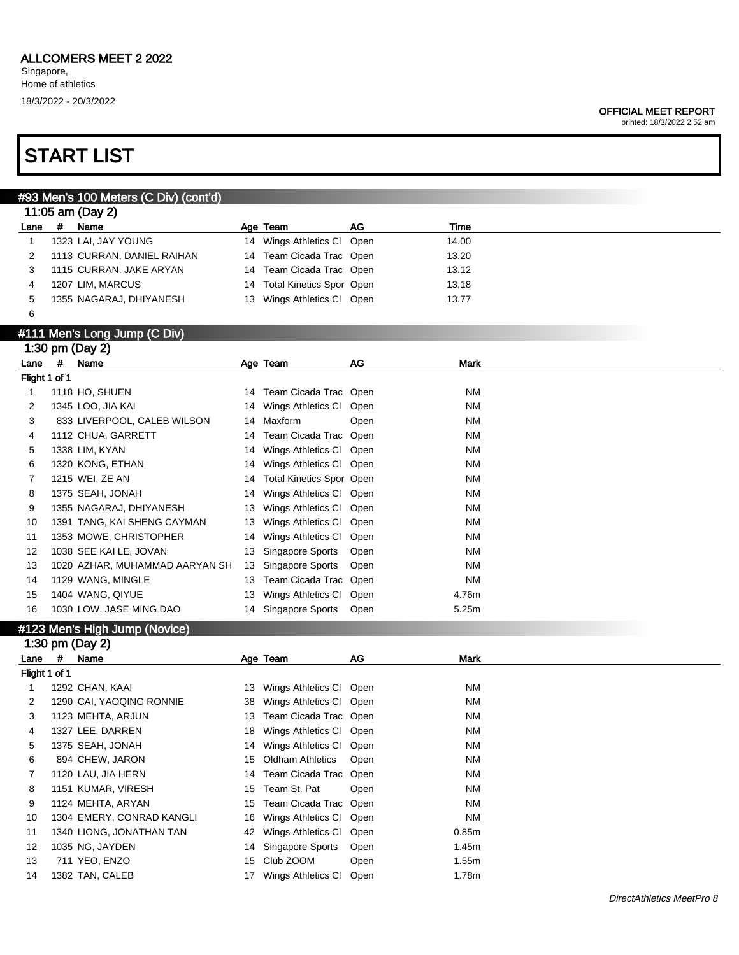#### OFFICIAL MEET REPORT

printed: 18/3/2022 2:52 am

### START LIST

### #93 Men's 100 Meters (C Div) (cont'd)

|      | 11:05 am (Day 2)           |                             |    |       |
|------|----------------------------|-----------------------------|----|-------|
| Lane | Name                       | Age Team                    | AG | Time  |
|      | 1323 LAI, JAY YOUNG        | 14 Wings Athletics CI Open  |    | 14.00 |
|      | 1113 CURRAN, DANIEL RAIHAN | 14 Team Cicada Trac Open    |    | 13.20 |
|      | 1115 CURRAN, JAKE ARYAN    | 14 Team Cicada Trac Open    |    | 13.12 |
|      | 1207 LIM, MARCUS           | 14 Total Kinetics Spor Open |    | 13.18 |
| 5    | 1355 NAGARAJ, DHIYANESH    | 13 Wings Athletics CI Open  |    | 13.77 |
|      |                            |                             |    |       |

#### #111 Men's Long Jump (C Div)

|      |               | 1:30 pm (Day 2)                |     |                             |      |           |  |
|------|---------------|--------------------------------|-----|-----------------------------|------|-----------|--|
| Lane | #             | Name                           |     | Age Team                    | AG   | Mark      |  |
|      | Flight 1 of 1 |                                |     |                             |      |           |  |
|      |               | 1118 HO, SHUEN                 |     | 14 Team Cicada Trac Open    |      | <b>NM</b> |  |
| 2    |               | 1345 LOO, JIA KAI              |     | 14 Wings Athletics CI       | Open | <b>NM</b> |  |
| 3    |               | 833 LIVERPOOL, CALEB WILSON    |     | 14 Maxform                  | Open | <b>NM</b> |  |
| 4    |               | 1112 CHUA, GARRETT             |     | 14 Team Cicada Trac Open    |      | <b>NM</b> |  |
| 5    |               | 1338 LIM, KYAN                 |     | 14 Wings Athletics CI Open  |      | <b>NM</b> |  |
| 6    |               | 1320 KONG, ETHAN               |     | 14 Wings Athletics CI Open  |      | <b>NM</b> |  |
|      |               | 1215 WEI, ZE AN                |     | 14 Total Kinetics Spor Open |      | <b>NM</b> |  |
| 8    |               | 1375 SEAH, JONAH               |     | 14 Wings Athletics CI Open  |      | <b>NM</b> |  |
| 9    |               | 1355 NAGARAJ, DHIYANESH        | 13  | Wings Athletics CI Open     |      | <b>NM</b> |  |
| 10   |               | 1391 TANG, KAI SHENG CAYMAN    | 13  | Wings Athletics CI Open     |      | <b>NM</b> |  |
| 11   |               | 1353 MOWE, CHRISTOPHER         |     | 14 Wings Athletics Cl       | Open | <b>NM</b> |  |
| 12   |               | 1038 SEE KAI LE, JOVAN         | 13. | Singapore Sports            | Open | <b>NM</b> |  |
| 13   |               | 1020 AZHAR, MUHAMMAD AARYAN SH | 13  | Singapore Sports            | Open | <b>NM</b> |  |
| 14   |               | 1129 WANG, MINGLE              | 13  | Team Cicada Trac Open       |      | <b>NM</b> |  |
| 15   |               | 1404 WANG, QIYUE               | 13  | Wings Athletics CI Open     |      | 4.76m     |  |
| 16   |               | 1030 LOW, JASE MING DAO        |     | 14 Singapore Sports         | Open | 5.25m     |  |

### #123 Men's High Jump (Novice)

|               |   | 1:30 pm (Day 2)           |     |                            |      |           |
|---------------|---|---------------------------|-----|----------------------------|------|-----------|
| Lane          | # | Name                      |     | Age Team                   | AG.  | Mark      |
| Flight 1 of 1 |   |                           |     |                            |      |           |
|               |   | 1292 CHAN, KAAI           |     | 13 Wings Athletics CI Open |      | NM        |
|               |   | 1290 CAI, YAOQING RONNIE  | 38  | Wings Athletics CI Open    |      | <b>NM</b> |
| 3             |   | 1123 MEHTA, ARJUN         | 13  | Team Cicada Trac Open      |      | <b>NM</b> |
| 4             |   | 1327 LEE, DARREN          | 18. | Wings Athletics CI Open    |      | NM        |
| 5             |   | 1375 SEAH, JONAH          |     | 14 Wings Athletics CI Open |      | ΝM        |
| 6             |   | 894 CHEW, JARON           | 15  | Oldham Athletics           | Open | <b>NM</b> |
|               |   | 1120 LAU, JIA HERN        |     | 14 Team Cicada Trac Open   |      | ΝM        |
| 8             |   | 1151 KUMAR, VIRESH        | 15  | Team St. Pat               | Open | NM        |
| 9             |   | 1124 MEHTA, ARYAN         | 15  | Team Cicada Trac Open      |      | NM        |
| 10            |   | 1304 EMERY, CONRAD KANGLI |     | 16 Wings Athletics CI Open |      | NM        |
| 11            |   | 1340 LIONG, JONATHAN TAN  |     | 42 Wings Athletics CI      | Open | 0.85m     |
| 12            |   | 1035 NG, JAYDEN           | 14  | Singapore Sports           | Open | 1.45m     |
| 13            |   | 711 YEO, ENZO             | 15  | Club ZOOM                  | Open | 1.55m     |
| 14            |   | 1382 TAN, CALEB           | 17  | Wings Athletics CI         | Open | 1.78m     |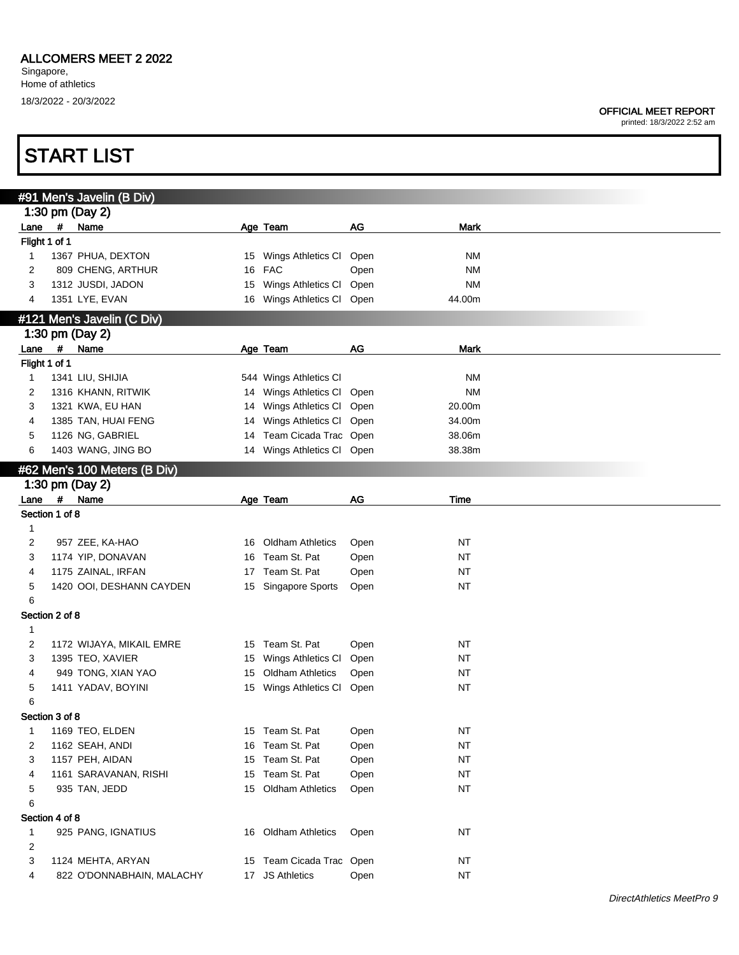|                |   | <b>START LIST</b>            |    |                            |      |             |  |
|----------------|---|------------------------------|----|----------------------------|------|-------------|--|
|                |   | #91 Men's Javelin (B Div)    |    |                            |      |             |  |
|                |   | 1:30 pm (Day 2)              |    |                            |      |             |  |
| Lane           | # | Name                         |    | Age Team                   | AG   | <b>Mark</b> |  |
| Flight 1 of 1  |   |                              |    |                            |      |             |  |
| 1              |   | 1367 PHUA, DEXTON            |    | 15 Wings Athletics CI      | Open | ΝM          |  |
| 2              |   | 809 CHENG, ARTHUR            | 16 | <b>FAC</b>                 | Open | <b>NM</b>   |  |
| 3              |   | 1312 JUSDI, JADON            | 15 | Wings Athletics CI         | Open | <b>NM</b>   |  |
| 4              |   | 1351 LYE, EVAN               |    | 16 Wings Athletics Cl Open |      | 44.00m      |  |
|                |   | #121 Men's Javelin (C Div)   |    |                            |      |             |  |
|                |   | 1:30 pm (Day 2)              |    |                            |      |             |  |
| $Lane$ #       |   | Name                         |    | Age Team                   | AG   | <b>Mark</b> |  |
| Flight 1 of 1  |   |                              |    |                            |      |             |  |
| 1              |   | 1341 LIU, SHIJIA             |    | 544 Wings Athletics Cl     |      | <b>NM</b>   |  |
| 2              |   | 1316 KHANN, RITWIK           | 14 | Wings Athletics CI         | Open | <b>NM</b>   |  |
| 3              |   | 1321 KWA, EU HAN             | 14 | Wings Athletics CI         | Open | 20.00m      |  |
| 4              |   | 1385 TAN, HUAI FENG          | 14 | Wings Athletics CI         | Open | 34.00m      |  |
| 5              |   | 1126 NG, GABRIEL             | 14 | Team Cicada Trac Open      |      | 38.06m      |  |
| 6              |   | 1403 WANG, JING BO           |    | 14 Wings Athletics Cl Open |      | 38.38m      |  |
|                |   | #62 Men's 100 Meters (B Div) |    |                            |      |             |  |
|                |   | 1:30 pm (Day 2)              |    |                            |      |             |  |
| Lane #         |   | Name                         |    | Age Team                   | AG   | Time        |  |
| Section 1 of 8 |   |                              |    |                            |      |             |  |
| 1              |   |                              |    |                            |      |             |  |
| 2              |   | 957 ZEE, KA-HAO              | 16 | <b>Oldham Athletics</b>    | Open | <b>NT</b>   |  |
| 3              |   | 1174 YIP, DONAVAN            | 16 | Team St. Pat               | Open | <b>NT</b>   |  |
| 4              |   | 1175 ZAINAL, IRFAN           | 17 | Team St. Pat               | Open | <b>NT</b>   |  |
| 5<br>6         |   | 1420 OOI, DESHANN CAYDEN     | 15 | Singapore Sports           | Open | <b>NT</b>   |  |
| Section 2 of 8 |   |                              |    |                            |      |             |  |
| 1              |   |                              |    |                            |      |             |  |
| 2              |   | 1172 WIJAYA, MIKAIL EMRE     | 15 | Team St. Pat               | Open | <b>NT</b>   |  |
| 3              |   | 1395 TEO, XAVIER             | 15 | Wings Athletics CI         | Open | <b>NT</b>   |  |
| 4              |   | 949 TONG, XIAN YAO           |    | 15 Oldham Athletics        | Open | <b>NT</b>   |  |
| 5              |   | 1411 YADAV, BOYINI           |    | 15 Wings Athletics Cl Open |      | <b>NT</b>   |  |
| 6              |   |                              |    |                            |      |             |  |
| Section 3 of 8 |   |                              |    |                            |      |             |  |
| $\mathbf{1}$   |   | 1169 TEO, ELDEN              |    | 15 Team St. Pat            | Open | <b>NT</b>   |  |
| 2              |   | 1162 SEAH, ANDI              | 16 | Team St. Pat               | Open | <b>NT</b>   |  |
| 3              |   | 1157 PEH, AIDAN              | 15 | Team St. Pat               | Open | <b>NT</b>   |  |
| 4              |   | 1161 SARAVANAN, RISHI        | 15 | Team St. Pat               | Open | <b>NT</b>   |  |
| 5              |   | 935 TAN, JEDD                |    | 15 Oldham Athletics        | Open | <b>NT</b>   |  |
| 6              |   |                              |    |                            |      |             |  |
| Section 4 of 8 |   |                              |    |                            |      |             |  |
| 1              |   | 925 PANG, IGNATIUS           |    | 16 Oldham Athletics        | Open | <b>NT</b>   |  |
| 2              |   |                              |    |                            |      |             |  |
| 3              |   | 1124 MEHTA, ARYAN            |    | 15 Team Cicada Trac Open   |      | NT          |  |
| 4              |   | 822 O'DONNABHAIN, MALACHY    |    | 17 JS Athletics            | Open | <b>NT</b>   |  |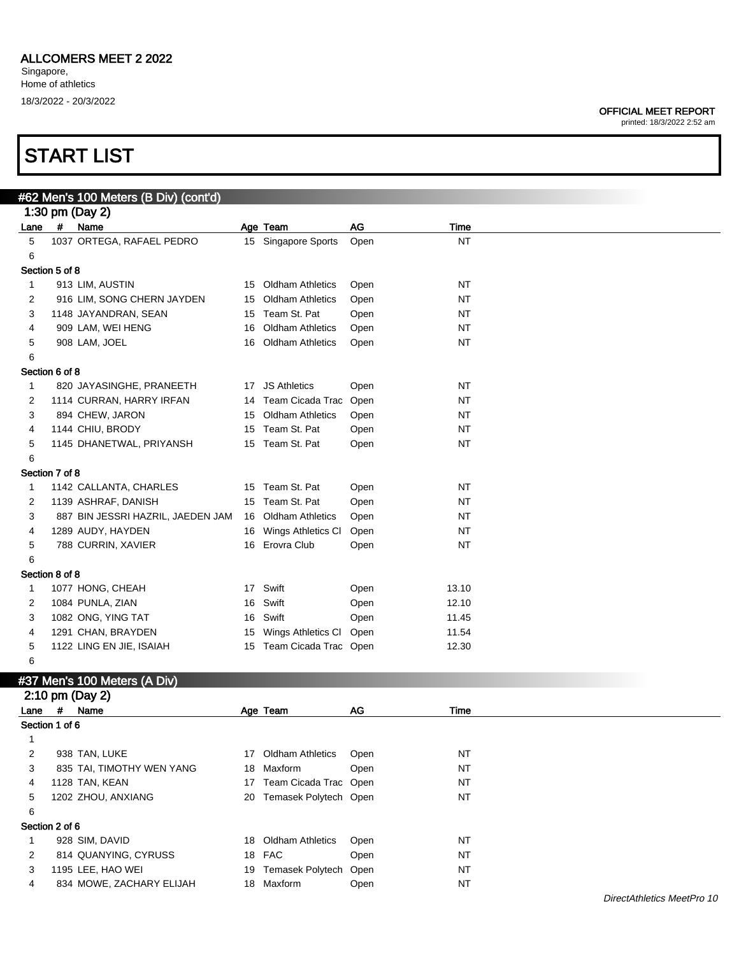### START LIST

| <b>OFFICIAL MEET REPORT</b> |  |
|-----------------------------|--|
|                             |  |

|                |                | #62 Men's 100 Meters (B Div) (cont'd) |    |                          |      |           |
|----------------|----------------|---------------------------------------|----|--------------------------|------|-----------|
|                |                | 1:30 pm (Day 2)                       |    |                          |      |           |
| Lane           | #              | Name                                  |    | Age Team                 | AG   | Time      |
| 5              |                | 1037 ORTEGA, RAFAEL PEDRO             |    | 15 Singapore Sports      | Open | <b>NT</b> |
| 6              |                |                                       |    |                          |      |           |
| Section 5 of 8 |                |                                       |    |                          |      |           |
| $\mathbf{1}$   |                | 913 LIM, AUSTIN                       |    | 15 Oldham Athletics      | Open | <b>NT</b> |
| 2              |                | 916 LIM, SONG CHERN JAYDEN            |    | 15 Oldham Athletics      | Open | <b>NT</b> |
| 3              |                | 1148 JAYANDRAN, SEAN                  |    | 15 Team St. Pat          | Open | NT        |
| 4              |                | 909 LAM, WEI HENG                     | 16 | <b>Oldham Athletics</b>  | Open | NT        |
| 5              |                | 908 LAM, JOEL                         |    | 16 Oldham Athletics      | Open | NT        |
| 6              |                |                                       |    |                          |      |           |
| Section 6 of 8 |                |                                       |    |                          |      |           |
| $\mathbf{1}$   |                | 820 JAYASINGHE, PRANEETH              |    | 17 JS Athletics          | Open | <b>NT</b> |
| 2              |                | 1114 CURRAN, HARRY IRFAN              |    | 14 Team Cicada Trac Open |      | <b>NT</b> |
| 3              |                | 894 CHEW, JARON                       |    | 15 Oldham Athletics      | Open | NT        |
| 4              |                | 1144 CHIU, BRODY                      |    | 15 Team St. Pat          | Open | NT        |
| 5              |                | 1145 DHANETWAL, PRIYANSH              |    | 15 Team St. Pat          | Open | NT        |
| 6              |                |                                       |    |                          |      |           |
| Section 7 of 8 |                |                                       |    |                          |      |           |
| 1              |                | 1142 CALLANTA, CHARLES                |    | 15 Team St. Pat          | Open | <b>NT</b> |
| 2              |                | 1139 ASHRAF, DANISH                   |    | 15 Team St. Pat          | Open | <b>NT</b> |
| 3              |                | 887 BIN JESSRI HAZRIL, JAEDEN JAM     |    | 16 Oldham Athletics      | Open | NT        |
| 4              |                | 1289 AUDY, HAYDEN                     |    | 16 Wings Athletics CI    | Open | NT        |
| 5              |                | 788 CURRIN, XAVIER                    |    | 16 Erovra Club           | Open | NT        |
| 6              |                |                                       |    |                          |      |           |
| Section 8 of 8 |                |                                       |    |                          |      |           |
|                |                |                                       |    | 17 Swift                 |      |           |
| 1              |                | 1077 HONG, CHEAH                      |    | Swift                    | Open | 13.10     |
| 2              |                | 1084 PUNLA, ZIAN                      | 16 |                          | Open | 12.10     |
| 3              |                | 1082 ONG, YING TAT                    | 16 | Swift                    | Open | 11.45     |
| 4              |                | 1291 CHAN, BRAYDEN                    | 15 | Wings Athletics Cl Open  |      | 11.54     |
| 5              |                | 1122 LING EN JIE, ISAIAH              |    | 15 Team Cicada Trac Open |      | 12.30     |
| 6              |                |                                       |    |                          |      |           |
|                |                | #37 Men's 100 Meters (A Div)          |    |                          |      |           |
|                |                | 2:10 pm (Day 2)                       |    |                          |      |           |
| Lane           | #              | Name                                  |    | Age Team                 | AG   | Time      |
| Section 1 of 6 |                |                                       |    |                          |      |           |
| $\mathbf{1}$   |                |                                       |    |                          |      |           |
| $\overline{c}$ |                | 938 TAN, LUKE                         |    | 17 Oldham Athletics      | Open | <b>NT</b> |
| 3              |                | 835 TAI, TIMOTHY WEN YANG             | 18 | Maxform                  | Open | <b>NT</b> |
| 4              |                | 1128 TAN, KEAN                        |    | 17 Team Cicada Trac Open |      | <b>NT</b> |
| 5              |                | 1202 ZHOU, ANXIANG                    |    | 20 Temasek Polytech Open |      | NT        |
| 6              |                |                                       |    |                          |      |           |
|                | Section 2 of 6 |                                       |    |                          |      |           |
| $\mathbf{1}$   |                | 928 SIM, DAVID                        |    | 18 Oldham Athletics      | Open | <b>NT</b> |
| 2              |                | 814 QUANYING, CYRUSS                  |    | 18 FAC                   | Open | <b>NT</b> |
| 3              |                | 1195 LEE, HAO WEI                     | 19 | Temasek Polytech Open    |      | <b>NT</b> |
| 4              |                | 834 MOWE, ZACHARY ELIJAH              |    | 18 Maxform               | Open | NT        |
|                |                |                                       |    |                          |      |           |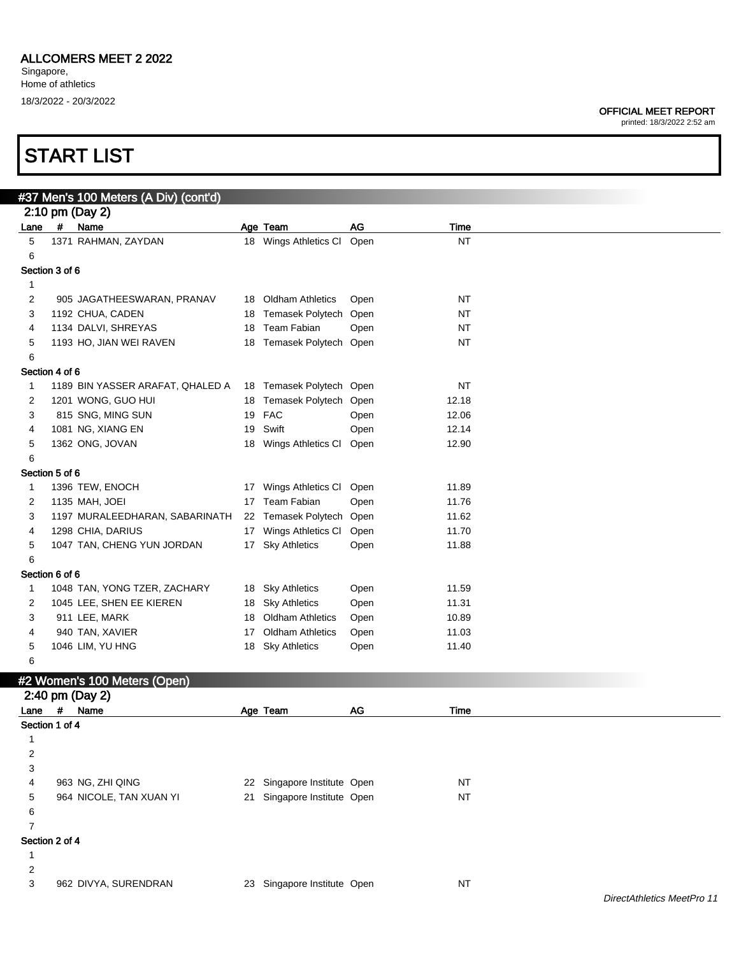### START LIST

| <b>OFFICIAL MEET REPORT</b> |
|-----------------------------|
|-----------------------------|

|                |   | #37 Men's 100 Meters (A Div) (cont'd) |                             |      |           |
|----------------|---|---------------------------------------|-----------------------------|------|-----------|
|                |   | 2:10 pm (Day 2)                       |                             |      |           |
| Lane           | # | Name                                  | Age Team                    | AG   | Time      |
| 5              |   | 1371 RAHMAN, ZAYDAN                   | 18 Wings Athletics Cl       | Open | <b>NT</b> |
| 6              |   |                                       |                             |      |           |
| Section 3 of 6 |   |                                       |                             |      |           |
| 1              |   |                                       |                             |      |           |
| 2              |   | 905 JAGATHEESWARAN, PRANAV            | 18 Oldham Athletics         | Open | ΝT        |
| 3              |   | 1192 CHUA, CADEN                      | 18 Temasek Polytech Open    |      | ΝT        |
| 4              |   | 1134 DALVI, SHREYAS                   | 18 Team Fabian              | Open | ΝT        |
| 5              |   | 1193 HO, JIAN WEI RAVEN               | 18 Temasek Polytech Open    |      | <b>NT</b> |
| 6              |   |                                       |                             |      |           |
| Section 4 of 6 |   |                                       |                             |      |           |
| 1              |   | 1189 BIN YASSER ARAFAT, QHALED A      | 18 Temasek Polytech Open    |      | ΝT        |
| 2              |   | 1201 WONG, GUO HUI                    | 18 Temasek Polytech Open    |      | 12.18     |
| 3              |   | 815 SNG, MING SUN                     | 19 FAC                      | Open | 12.06     |
| 4              |   | 1081 NG, XIANG EN                     | 19 Swift                    | Open | 12.14     |
| 5              |   | 1362 ONG, JOVAN                       | 18 Wings Athletics CI       | Open | 12.90     |
| 6              |   |                                       |                             |      |           |
| Section 5 of 6 |   |                                       |                             |      |           |
| 1              |   | 1396 TEW, ENOCH                       | 17 Wings Athletics CI       | Open | 11.89     |
| 2              |   | 1135 MAH, JOEI                        | 17 Team Fabian              | Open | 11.76     |
| 3              |   | 1197 MURALEEDHARAN, SABARINATH        | 22 Temasek Polytech Open    |      | 11.62     |
| 4              |   | 1298 CHIA, DARIUS                     | 17 Wings Athletics CI       | Open | 11.70     |
| 5              |   | 1047 TAN, CHENG YUN JORDAN            | 17 Sky Athletics            | Open | 11.88     |
| 6              |   |                                       |                             |      |           |
| Section 6 of 6 |   |                                       |                             |      |           |
| 1              |   | 1048 TAN, YONG TZER, ZACHARY          | 18 Sky Athletics            | Open | 11.59     |
| 2              |   | 1045 LEE, SHEN EE KIEREN              | 18 Sky Athletics            | Open | 11.31     |
| 3              |   | 911 LEE, MARK                         | 18 Oldham Athletics         | Open | 10.89     |
| 4              |   | 940 TAN, XAVIER                       | 17 Oldham Athletics         | Open | 11.03     |
| 5              |   | 1046 LIM, YU HNG                      | 18 Sky Athletics            | Open | 11.40     |
| 6              |   |                                       |                             |      |           |
|                |   | #2 Women's 100 Meters (Open)          |                             |      |           |
|                |   | 2:40 pm (Day 2)                       |                             |      |           |
| Lane           | # | Name                                  | Age Team                    | AG   | Time      |
| Section 1 of 4 |   |                                       |                             |      |           |
| 1              |   |                                       |                             |      |           |
| $\overline{2}$ |   |                                       |                             |      |           |
| 3              |   |                                       |                             |      |           |
| 4              |   | 963 NG, ZHI QING                      | 22 Singapore Institute Open |      | NT        |
| 5              |   | 964 NICOLE, TAN XUAN YI               | 21 Singapore Institute Open |      | <b>NT</b> |
| 6              |   |                                       |                             |      |           |
| 7              |   |                                       |                             |      |           |
| Section 2 of 4 |   |                                       |                             |      |           |
| $\mathbf{1}$   |   |                                       |                             |      |           |
| $\overline{c}$ |   |                                       |                             |      |           |
| 3              |   | 962 DIVYA, SURENDRAN                  | 23 Singapore Institute Open |      | <b>NT</b> |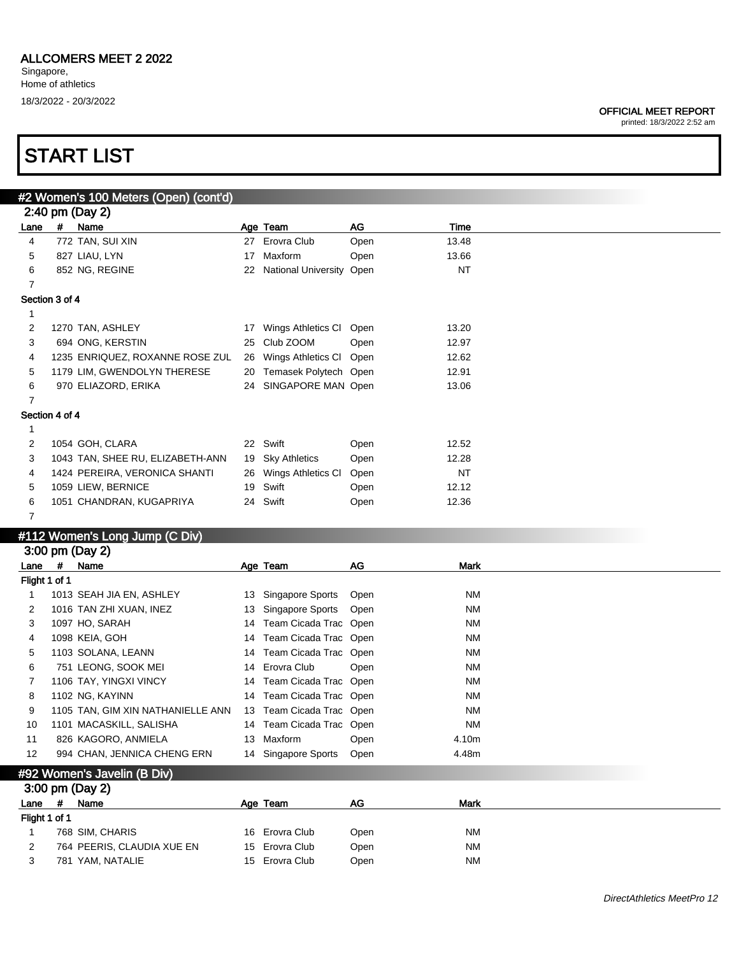#### OFFICIAL MEET REPORT

printed: 18/3/2022 2:52 am

| #2 Women's 100 Meters (Open) (cont'd)<br>2:40 pm (Day 2)<br># Name<br>AG<br>Time<br>Age Team<br>Lane<br>4<br>772 TAN, SUI XIN<br>27 Erovra Club<br>Open<br>13.48<br>827 LIAU, LYN<br>17 Maxform<br>13.66<br>5<br>Open<br>6<br>22 National University Open<br><b>NT</b><br>852 NG, REGINE<br>$\overline{7}$<br>Section 3 of 4<br>1<br>2<br>1270 TAN, ASHLEY<br>17 Wings Athletics CI Open<br>13.20<br>3<br>25 Club ZOOM<br>12.97<br>694 ONG, KERSTIN<br>Open<br>26 Wings Athletics Cl Open<br>4<br>1235 ENRIQUEZ, ROXANNE ROSE ZUL<br>12.62<br>5<br>1179 LIM, GWENDOLYN THERESE<br>20 Temasek Polytech Open<br>12.91<br>6<br>970 ELIAZORD, ERIKA<br>24 SINGAPORE MAN Open<br>13.06<br>$\overline{7}$<br>Section 4 of 4<br>$\mathbf{1}$<br>22 Swift<br>1054 GOH, CLARA<br>2<br>Open<br>12.52<br>3<br>1043 TAN, SHEE RU, ELIZABETH-ANN<br>19 Sky Athletics<br>Open<br>12.28<br>1424 PEREIRA, VERONICA SHANTI<br><b>NT</b><br>4<br>26 Wings Athletics CI<br>Open<br>1059 LIEW, BERNICE<br>19 Swift<br>12.12<br>5<br>Open<br>24 Swift<br>6<br>1051 CHANDRAN, KUGAPRIYA<br>12.36<br>Open<br>7<br>#112 Women's Long Jump (C Div)<br>3:00 pm (Day 2)<br>#<br>Name<br>AG<br><b>Mark</b><br>Lane<br>Age Team<br>Flight 1 of 1<br>1013 SEAH JIA EN, ASHLEY<br>13 Singapore Sports<br><b>NM</b><br>1<br>Open<br>13 Singapore Sports<br>ΝM<br>2<br>1016 TAN ZHI XUAN, INEZ<br>Open<br>14 Team Cicada Trac Open<br>3<br>1097 HO, SARAH<br>ΝM<br>14 Team Cicada Trac Open<br>1098 KEIA, GOH<br>ΝM<br>4<br>14 Team Cicada Trac Open<br>5<br>1103 SOLANA, LEANN<br>ΝM<br>14 Erovra Club<br>6<br>751 LEONG, SOOK MEI<br>ΝM<br>Open<br>1106 TAY, YINGXI VINCY<br>14 Team Cicada Trac Open<br>ΝM<br>7<br>8<br>1102 NG, KAYINN<br>14 Team Cicada Trac Open<br><b>NM</b><br>13 Team Cicada Trac Open<br>9<br><b>NM</b><br>1105 TAN, GIM XIN NATHANIELLE ANN |
|---------------------------------------------------------------------------------------------------------------------------------------------------------------------------------------------------------------------------------------------------------------------------------------------------------------------------------------------------------------------------------------------------------------------------------------------------------------------------------------------------------------------------------------------------------------------------------------------------------------------------------------------------------------------------------------------------------------------------------------------------------------------------------------------------------------------------------------------------------------------------------------------------------------------------------------------------------------------------------------------------------------------------------------------------------------------------------------------------------------------------------------------------------------------------------------------------------------------------------------------------------------------------------------------------------------------------------------------------------------------------------------------------------------------------------------------------------------------------------------------------------------------------------------------------------------------------------------------------------------------------------------------------------------------------------------------------------------------------------------------------------------------------------------------------------------------------------------|
|                                                                                                                                                                                                                                                                                                                                                                                                                                                                                                                                                                                                                                                                                                                                                                                                                                                                                                                                                                                                                                                                                                                                                                                                                                                                                                                                                                                                                                                                                                                                                                                                                                                                                                                                                                                                                                       |
|                                                                                                                                                                                                                                                                                                                                                                                                                                                                                                                                                                                                                                                                                                                                                                                                                                                                                                                                                                                                                                                                                                                                                                                                                                                                                                                                                                                                                                                                                                                                                                                                                                                                                                                                                                                                                                       |
|                                                                                                                                                                                                                                                                                                                                                                                                                                                                                                                                                                                                                                                                                                                                                                                                                                                                                                                                                                                                                                                                                                                                                                                                                                                                                                                                                                                                                                                                                                                                                                                                                                                                                                                                                                                                                                       |
|                                                                                                                                                                                                                                                                                                                                                                                                                                                                                                                                                                                                                                                                                                                                                                                                                                                                                                                                                                                                                                                                                                                                                                                                                                                                                                                                                                                                                                                                                                                                                                                                                                                                                                                                                                                                                                       |
|                                                                                                                                                                                                                                                                                                                                                                                                                                                                                                                                                                                                                                                                                                                                                                                                                                                                                                                                                                                                                                                                                                                                                                                                                                                                                                                                                                                                                                                                                                                                                                                                                                                                                                                                                                                                                                       |
|                                                                                                                                                                                                                                                                                                                                                                                                                                                                                                                                                                                                                                                                                                                                                                                                                                                                                                                                                                                                                                                                                                                                                                                                                                                                                                                                                                                                                                                                                                                                                                                                                                                                                                                                                                                                                                       |
|                                                                                                                                                                                                                                                                                                                                                                                                                                                                                                                                                                                                                                                                                                                                                                                                                                                                                                                                                                                                                                                                                                                                                                                                                                                                                                                                                                                                                                                                                                                                                                                                                                                                                                                                                                                                                                       |
|                                                                                                                                                                                                                                                                                                                                                                                                                                                                                                                                                                                                                                                                                                                                                                                                                                                                                                                                                                                                                                                                                                                                                                                                                                                                                                                                                                                                                                                                                                                                                                                                                                                                                                                                                                                                                                       |
|                                                                                                                                                                                                                                                                                                                                                                                                                                                                                                                                                                                                                                                                                                                                                                                                                                                                                                                                                                                                                                                                                                                                                                                                                                                                                                                                                                                                                                                                                                                                                                                                                                                                                                                                                                                                                                       |
|                                                                                                                                                                                                                                                                                                                                                                                                                                                                                                                                                                                                                                                                                                                                                                                                                                                                                                                                                                                                                                                                                                                                                                                                                                                                                                                                                                                                                                                                                                                                                                                                                                                                                                                                                                                                                                       |
|                                                                                                                                                                                                                                                                                                                                                                                                                                                                                                                                                                                                                                                                                                                                                                                                                                                                                                                                                                                                                                                                                                                                                                                                                                                                                                                                                                                                                                                                                                                                                                                                                                                                                                                                                                                                                                       |
|                                                                                                                                                                                                                                                                                                                                                                                                                                                                                                                                                                                                                                                                                                                                                                                                                                                                                                                                                                                                                                                                                                                                                                                                                                                                                                                                                                                                                                                                                                                                                                                                                                                                                                                                                                                                                                       |
|                                                                                                                                                                                                                                                                                                                                                                                                                                                                                                                                                                                                                                                                                                                                                                                                                                                                                                                                                                                                                                                                                                                                                                                                                                                                                                                                                                                                                                                                                                                                                                                                                                                                                                                                                                                                                                       |
|                                                                                                                                                                                                                                                                                                                                                                                                                                                                                                                                                                                                                                                                                                                                                                                                                                                                                                                                                                                                                                                                                                                                                                                                                                                                                                                                                                                                                                                                                                                                                                                                                                                                                                                                                                                                                                       |
|                                                                                                                                                                                                                                                                                                                                                                                                                                                                                                                                                                                                                                                                                                                                                                                                                                                                                                                                                                                                                                                                                                                                                                                                                                                                                                                                                                                                                                                                                                                                                                                                                                                                                                                                                                                                                                       |
|                                                                                                                                                                                                                                                                                                                                                                                                                                                                                                                                                                                                                                                                                                                                                                                                                                                                                                                                                                                                                                                                                                                                                                                                                                                                                                                                                                                                                                                                                                                                                                                                                                                                                                                                                                                                                                       |
|                                                                                                                                                                                                                                                                                                                                                                                                                                                                                                                                                                                                                                                                                                                                                                                                                                                                                                                                                                                                                                                                                                                                                                                                                                                                                                                                                                                                                                                                                                                                                                                                                                                                                                                                                                                                                                       |
|                                                                                                                                                                                                                                                                                                                                                                                                                                                                                                                                                                                                                                                                                                                                                                                                                                                                                                                                                                                                                                                                                                                                                                                                                                                                                                                                                                                                                                                                                                                                                                                                                                                                                                                                                                                                                                       |
|                                                                                                                                                                                                                                                                                                                                                                                                                                                                                                                                                                                                                                                                                                                                                                                                                                                                                                                                                                                                                                                                                                                                                                                                                                                                                                                                                                                                                                                                                                                                                                                                                                                                                                                                                                                                                                       |
|                                                                                                                                                                                                                                                                                                                                                                                                                                                                                                                                                                                                                                                                                                                                                                                                                                                                                                                                                                                                                                                                                                                                                                                                                                                                                                                                                                                                                                                                                                                                                                                                                                                                                                                                                                                                                                       |
|                                                                                                                                                                                                                                                                                                                                                                                                                                                                                                                                                                                                                                                                                                                                                                                                                                                                                                                                                                                                                                                                                                                                                                                                                                                                                                                                                                                                                                                                                                                                                                                                                                                                                                                                                                                                                                       |
|                                                                                                                                                                                                                                                                                                                                                                                                                                                                                                                                                                                                                                                                                                                                                                                                                                                                                                                                                                                                                                                                                                                                                                                                                                                                                                                                                                                                                                                                                                                                                                                                                                                                                                                                                                                                                                       |
|                                                                                                                                                                                                                                                                                                                                                                                                                                                                                                                                                                                                                                                                                                                                                                                                                                                                                                                                                                                                                                                                                                                                                                                                                                                                                                                                                                                                                                                                                                                                                                                                                                                                                                                                                                                                                                       |
|                                                                                                                                                                                                                                                                                                                                                                                                                                                                                                                                                                                                                                                                                                                                                                                                                                                                                                                                                                                                                                                                                                                                                                                                                                                                                                                                                                                                                                                                                                                                                                                                                                                                                                                                                                                                                                       |
|                                                                                                                                                                                                                                                                                                                                                                                                                                                                                                                                                                                                                                                                                                                                                                                                                                                                                                                                                                                                                                                                                                                                                                                                                                                                                                                                                                                                                                                                                                                                                                                                                                                                                                                                                                                                                                       |
|                                                                                                                                                                                                                                                                                                                                                                                                                                                                                                                                                                                                                                                                                                                                                                                                                                                                                                                                                                                                                                                                                                                                                                                                                                                                                                                                                                                                                                                                                                                                                                                                                                                                                                                                                                                                                                       |
|                                                                                                                                                                                                                                                                                                                                                                                                                                                                                                                                                                                                                                                                                                                                                                                                                                                                                                                                                                                                                                                                                                                                                                                                                                                                                                                                                                                                                                                                                                                                                                                                                                                                                                                                                                                                                                       |
|                                                                                                                                                                                                                                                                                                                                                                                                                                                                                                                                                                                                                                                                                                                                                                                                                                                                                                                                                                                                                                                                                                                                                                                                                                                                                                                                                                                                                                                                                                                                                                                                                                                                                                                                                                                                                                       |
|                                                                                                                                                                                                                                                                                                                                                                                                                                                                                                                                                                                                                                                                                                                                                                                                                                                                                                                                                                                                                                                                                                                                                                                                                                                                                                                                                                                                                                                                                                                                                                                                                                                                                                                                                                                                                                       |
|                                                                                                                                                                                                                                                                                                                                                                                                                                                                                                                                                                                                                                                                                                                                                                                                                                                                                                                                                                                                                                                                                                                                                                                                                                                                                                                                                                                                                                                                                                                                                                                                                                                                                                                                                                                                                                       |
|                                                                                                                                                                                                                                                                                                                                                                                                                                                                                                                                                                                                                                                                                                                                                                                                                                                                                                                                                                                                                                                                                                                                                                                                                                                                                                                                                                                                                                                                                                                                                                                                                                                                                                                                                                                                                                       |
|                                                                                                                                                                                                                                                                                                                                                                                                                                                                                                                                                                                                                                                                                                                                                                                                                                                                                                                                                                                                                                                                                                                                                                                                                                                                                                                                                                                                                                                                                                                                                                                                                                                                                                                                                                                                                                       |
|                                                                                                                                                                                                                                                                                                                                                                                                                                                                                                                                                                                                                                                                                                                                                                                                                                                                                                                                                                                                                                                                                                                                                                                                                                                                                                                                                                                                                                                                                                                                                                                                                                                                                                                                                                                                                                       |
|                                                                                                                                                                                                                                                                                                                                                                                                                                                                                                                                                                                                                                                                                                                                                                                                                                                                                                                                                                                                                                                                                                                                                                                                                                                                                                                                                                                                                                                                                                                                                                                                                                                                                                                                                                                                                                       |
|                                                                                                                                                                                                                                                                                                                                                                                                                                                                                                                                                                                                                                                                                                                                                                                                                                                                                                                                                                                                                                                                                                                                                                                                                                                                                                                                                                                                                                                                                                                                                                                                                                                                                                                                                                                                                                       |
|                                                                                                                                                                                                                                                                                                                                                                                                                                                                                                                                                                                                                                                                                                                                                                                                                                                                                                                                                                                                                                                                                                                                                                                                                                                                                                                                                                                                                                                                                                                                                                                                                                                                                                                                                                                                                                       |
| 1101 MACASKILL, SALISHA<br>ΝM<br>10<br>14 Team Cicada Trac Open                                                                                                                                                                                                                                                                                                                                                                                                                                                                                                                                                                                                                                                                                                                                                                                                                                                                                                                                                                                                                                                                                                                                                                                                                                                                                                                                                                                                                                                                                                                                                                                                                                                                                                                                                                       |
| 826 KAGORO, ANMIELA<br>13 Maxform<br>11<br>Open<br>4.10m                                                                                                                                                                                                                                                                                                                                                                                                                                                                                                                                                                                                                                                                                                                                                                                                                                                                                                                                                                                                                                                                                                                                                                                                                                                                                                                                                                                                                                                                                                                                                                                                                                                                                                                                                                              |
| 994 CHAN, JENNICA CHENG ERN<br>14 Singapore Sports<br>12<br>Open<br>4.48m                                                                                                                                                                                                                                                                                                                                                                                                                                                                                                                                                                                                                                                                                                                                                                                                                                                                                                                                                                                                                                                                                                                                                                                                                                                                                                                                                                                                                                                                                                                                                                                                                                                                                                                                                             |
|                                                                                                                                                                                                                                                                                                                                                                                                                                                                                                                                                                                                                                                                                                                                                                                                                                                                                                                                                                                                                                                                                                                                                                                                                                                                                                                                                                                                                                                                                                                                                                                                                                                                                                                                                                                                                                       |
| #92 Women's Javelin (B Div)                                                                                                                                                                                                                                                                                                                                                                                                                                                                                                                                                                                                                                                                                                                                                                                                                                                                                                                                                                                                                                                                                                                                                                                                                                                                                                                                                                                                                                                                                                                                                                                                                                                                                                                                                                                                           |
| 3:00 pm (Day 2)                                                                                                                                                                                                                                                                                                                                                                                                                                                                                                                                                                                                                                                                                                                                                                                                                                                                                                                                                                                                                                                                                                                                                                                                                                                                                                                                                                                                                                                                                                                                                                                                                                                                                                                                                                                                                       |
| #<br>$AG$<br><b>Mark</b><br>Name<br>Age Team<br>Lane                                                                                                                                                                                                                                                                                                                                                                                                                                                                                                                                                                                                                                                                                                                                                                                                                                                                                                                                                                                                                                                                                                                                                                                                                                                                                                                                                                                                                                                                                                                                                                                                                                                                                                                                                                                  |
| Flight 1 of 1                                                                                                                                                                                                                                                                                                                                                                                                                                                                                                                                                                                                                                                                                                                                                                                                                                                                                                                                                                                                                                                                                                                                                                                                                                                                                                                                                                                                                                                                                                                                                                                                                                                                                                                                                                                                                         |
| $\mathbf{1}$<br>16 Erovra Club<br><b>NM</b><br>768 SIM, CHARIS<br>Open                                                                                                                                                                                                                                                                                                                                                                                                                                                                                                                                                                                                                                                                                                                                                                                                                                                                                                                                                                                                                                                                                                                                                                                                                                                                                                                                                                                                                                                                                                                                                                                                                                                                                                                                                                |
| 2<br>Erovra Club<br>764 PEERIS, CLAUDIA XUE EN<br><b>NM</b><br>15<br>Open                                                                                                                                                                                                                                                                                                                                                                                                                                                                                                                                                                                                                                                                                                                                                                                                                                                                                                                                                                                                                                                                                                                                                                                                                                                                                                                                                                                                                                                                                                                                                                                                                                                                                                                                                             |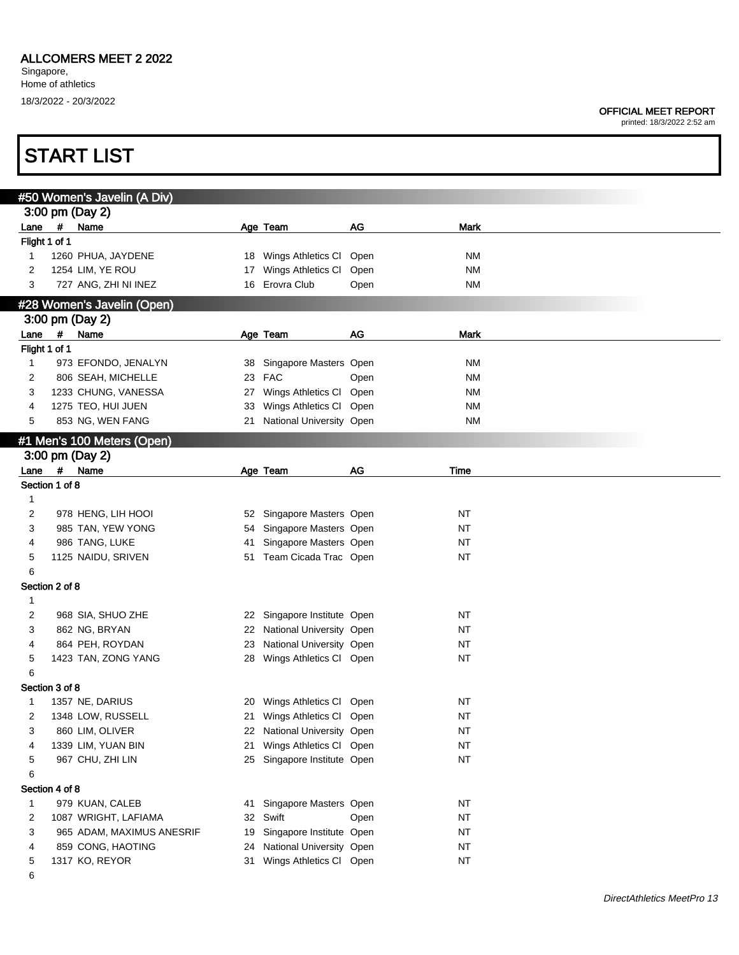printed: 18/3/2022 2:52 am

|                |   | #50 Women's Javelin (A Div) |    |                             |      |             |
|----------------|---|-----------------------------|----|-----------------------------|------|-------------|
|                |   | 3:00 pm (Day 2)             |    |                             |      |             |
| Lane           |   | # Name                      |    | Age Team                    | AG   | Mark        |
| Flight 1 of 1  |   |                             |    |                             |      |             |
| 1              |   | 1260 PHUA, JAYDENE          |    | 18 Wings Athletics CI Open  |      | <b>NM</b>   |
| 2              |   | 1254 LIM, YE ROU            |    | 17 Wings Athletics Cl       | Open | <b>NM</b>   |
| 3              |   | 727 ANG, ZHI NI INEZ        |    | 16 Erovra Club              | Open | <b>NM</b>   |
|                |   | #28 Women's Javelin (Open)  |    |                             |      |             |
|                |   | 3:00 pm (Day 2)             |    |                             |      |             |
| Lane           | # | Name                        |    | Age Team                    | AG   | <b>Mark</b> |
| Flight 1 of 1  |   |                             |    |                             |      |             |
| 1              |   | 973 EFONDO, JENALYN         |    | 38 Singapore Masters Open   |      | <b>NM</b>   |
| 2              |   | 806 SEAH, MICHELLE          |    | 23 FAC                      | Open | <b>NM</b>   |
| 3              |   | 1233 CHUNG, VANESSA         |    | 27 Wings Athletics Cl Open  |      | <b>NM</b>   |
| 4              |   | 1275 TEO, HUI JUEN          |    | 33 Wings Athletics Cl Open  |      | <b>NM</b>   |
| 5              |   | 853 NG, WEN FANG            |    | 21 National University Open |      | <b>NM</b>   |
|                |   |                             |    |                             |      |             |
|                |   | #1 Men's 100 Meters (Open)  |    |                             |      |             |
|                |   | 3:00 pm (Day 2)             |    |                             |      |             |
|                |   | Lane # Name                 |    | Age Team                    | AG   | Time        |
| Section 1 of 8 |   |                             |    |                             |      |             |
| 1              |   |                             |    |                             |      |             |
| 2              |   | 978 HENG, LIH HOOI          |    | 52 Singapore Masters Open   |      | NT          |
| 3              |   | 985 TAN, YEW YONG           |    | 54 Singapore Masters Open   |      | NT          |
| 4              |   | 986 TANG, LUKE              | 41 | Singapore Masters Open      |      | <b>NT</b>   |
| 5              |   | 1125 NAIDU, SRIVEN          |    | 51 Team Cicada Trac Open    |      | NT          |
| 6              |   |                             |    |                             |      |             |
| Section 2 of 8 |   |                             |    |                             |      |             |
| $\mathbf{1}$   |   |                             |    |                             |      |             |
| 2              |   | 968 SIA, SHUO ZHE           |    | 22 Singapore Institute Open |      | <b>NT</b>   |
| 3              |   | 862 NG, BRYAN               |    | 22 National University Open |      | <b>NT</b>   |
| 4              |   | 864 PEH, ROYDAN             |    | 23 National University Open |      | NT          |
| 5              |   | 1423 TAN, ZONG YANG         |    | 28 Wings Athletics Cl Open  |      | <b>NT</b>   |
| 6              |   |                             |    |                             |      |             |
| Section 3 of 8 |   |                             |    |                             |      |             |
|                |   | 1357 NE, DARIUS             |    | 20 Wings Athletics Cl Open  |      | <b>NT</b>   |
| 2              |   | 1348 LOW, RUSSELL           |    | 21 Wings Athletics Cl Open  |      | NT          |
|                |   | 860 LIM, OLIVER             |    | 22 National University Open |      | $\sf{NT}$   |
| 4              |   | 1339 LIM, YUAN BIN          | 21 | Wings Athletics Cl Open     |      | <b>NT</b>   |
| 5              |   | 967 CHU, ZHI LIN            |    | 25 Singapore Institute Open |      | <b>NT</b>   |
| 6              |   |                             |    |                             |      |             |
| Section 4 of 8 |   |                             |    |                             |      |             |
| 1              |   | 979 KUAN, CALEB             |    | 41 Singapore Masters Open   |      | <b>NT</b>   |
| 2              |   | 1087 WRIGHT, LAFIAMA        |    | 32 Swift                    | Open | <b>NT</b>   |
| 3              |   | 965 ADAM, MAXIMUS ANESRIF   |    | 19 Singapore Institute Open |      | <b>NT</b>   |
| 4              |   | 859 CONG, HAOTING           |    | 24 National University Open |      | <b>NT</b>   |
| 5              |   | 1317 KO, REYOR              |    | 31 Wings Athletics Cl Open  |      | <b>NT</b>   |
| 6              |   |                             |    |                             |      |             |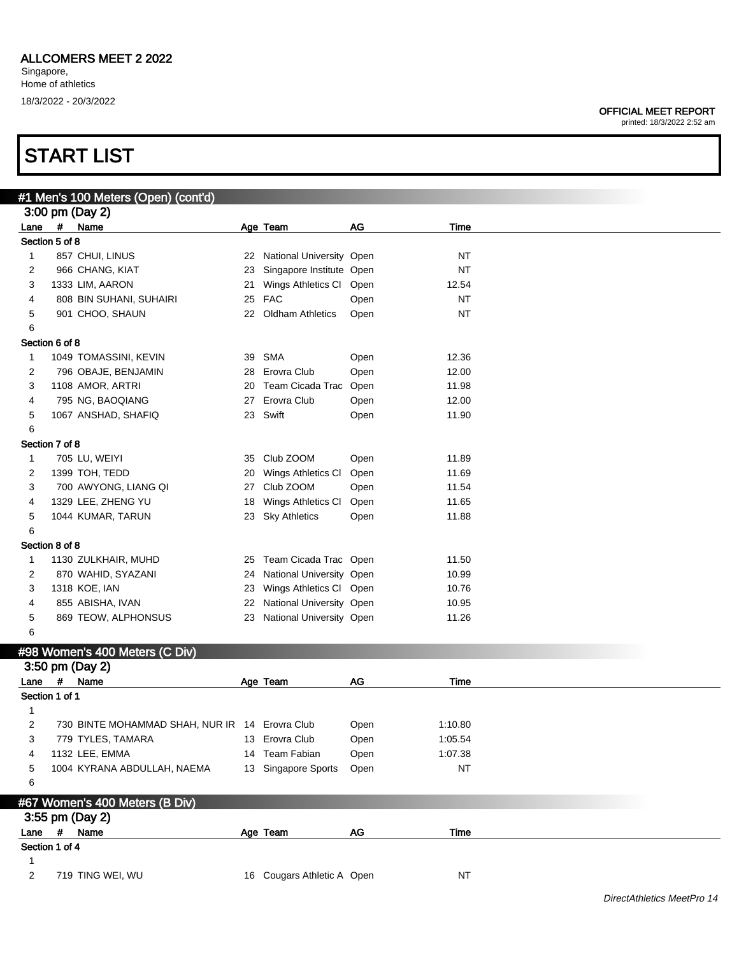### START LIST

|                |            | #1 Men's 100 Meters (Open) (cont'd)            |    |                                  |               |           |  |
|----------------|------------|------------------------------------------------|----|----------------------------------|---------------|-----------|--|
|                |            | 3:00 pm (Day 2)                                |    |                                  |               |           |  |
| Lane           | $\pmb{\#}$ | Name                                           |    | Age Team                         | AG            | Time      |  |
| Section 5 of 8 |            |                                                |    |                                  |               |           |  |
| 1              |            | 857 CHUI, LINUS                                |    | 22 National University Open      |               | <b>NT</b> |  |
| 2              |            | 966 CHANG, KIAT                                | 23 | Singapore Institute Open         |               | <b>NT</b> |  |
| 3              |            | 1333 LIM, AARON                                | 21 | Wings Athletics Cl Open          |               | 12.54     |  |
| 4              |            | 808 BIN SUHANI, SUHAIRI                        | 25 | <b>FAC</b>                       | Open          | <b>NT</b> |  |
| 5              |            | 901 CHOO, SHAUN                                |    | 22 Oldham Athletics              | Open          | <b>NT</b> |  |
| 6              |            |                                                |    |                                  |               |           |  |
| Section 6 of 8 |            |                                                |    |                                  |               |           |  |
| $\mathbf{1}$   |            | 1049 TOMASSINI, KEVIN                          | 39 | SMA                              | Open          | 12.36     |  |
| 2              |            | 796 OBAJE, BENJAMIN                            | 28 | Erovra Club                      | Open          | 12.00     |  |
| 3              |            | 1108 AMOR, ARTRI                               | 20 | Team Cicada Trac Open            |               | 11.98     |  |
| 4              |            | 795 NG, BAOQIANG                               | 27 | Erovra Club                      | Open          | 12.00     |  |
| 5              |            | 1067 ANSHAD, SHAFIQ                            |    | 23 Swift                         | Open          | 11.90     |  |
| 6              |            |                                                |    |                                  |               |           |  |
| Section 7 of 8 |            |                                                |    |                                  |               |           |  |
| $\mathbf{1}$   |            | 705 LU, WEIYI                                  | 35 | Club ZOOM                        | Open          | 11.89     |  |
| 2              |            | 1399 TOH, TEDD                                 | 20 | Wings Athletics CI               | Open          | 11.69     |  |
| 3              |            | 700 AWYONG, LIANG QI                           | 27 | Club ZOOM                        | Open          | 11.54     |  |
| 4              |            | 1329 LEE, ZHENG YU                             | 18 | Wings Athletics CI               | Open          | 11.65     |  |
| 5              |            | 1044 KUMAR, TARUN                              |    | 23 Sky Athletics                 | Open          | 11.88     |  |
| 6              |            |                                                |    |                                  |               |           |  |
| Section 8 of 8 |            |                                                |    |                                  |               |           |  |
| $\mathbf{1}$   |            | 1130 ZULKHAIR, MUHD                            |    | 25 Team Cicada Trac Open         |               | 11.50     |  |
| 2              |            | 870 WAHID, SYAZANI                             | 24 | National University Open         |               | 10.99     |  |
| 3              |            | 1318 KOE, IAN                                  | 23 | Wings Athletics Cl Open          |               | 10.76     |  |
| 4              |            | 855 ABISHA, IVAN                               |    | 22 National University Open      |               | 10.95     |  |
| 5              |            | 869 TEOW, ALPHONSUS                            |    | 23 National University Open      |               | 11.26     |  |
| 6              |            |                                                |    |                                  |               |           |  |
|                |            | #98 Women's 400 Meters (C Div)                 |    |                                  |               |           |  |
|                |            | 3:50 pm (Day 2)                                |    |                                  |               |           |  |
| Lane           | #          | Name                                           |    | Age Team                         | AG            | Time      |  |
| Section 1 of 1 |            |                                                |    |                                  |               |           |  |
| 1              |            |                                                |    |                                  |               |           |  |
| 2              |            | 730 BINTE MOHAMMAD SHAH, NUR IR 14 Erovra Club |    |                                  | Open          | 1:10.80   |  |
| 3              |            |                                                |    |                                  |               | 1:05.54   |  |
|                |            | 779 TYLES, TAMARA<br>1132 LEE, EMMA            |    | 13 Erovra Club<br>14 Team Fabian | Open          | 1:07.38   |  |
| 4              |            |                                                |    |                                  | Open          |           |  |
| 5              |            | 1004 KYRANA ABDULLAH, NAEMA                    |    | 13 Singapore Sports              | Open          | <b>NT</b> |  |
| 6              |            |                                                |    |                                  |               |           |  |
|                |            | #67 Women's 400 Meters (B Div)                 |    |                                  |               |           |  |
|                |            | 3:55 pm (Day 2)                                |    |                                  |               |           |  |
| Lane # Name    |            |                                                |    | Age Team                         | $\mathsf{AG}$ | Time      |  |
| Section 1 of 4 |            |                                                |    |                                  |               |           |  |
| 1              |            |                                                |    |                                  |               |           |  |
| 2              |            | 719 TING WEI, WU                               |    | 16 Cougars Athletic A Open       |               | <b>NT</b> |  |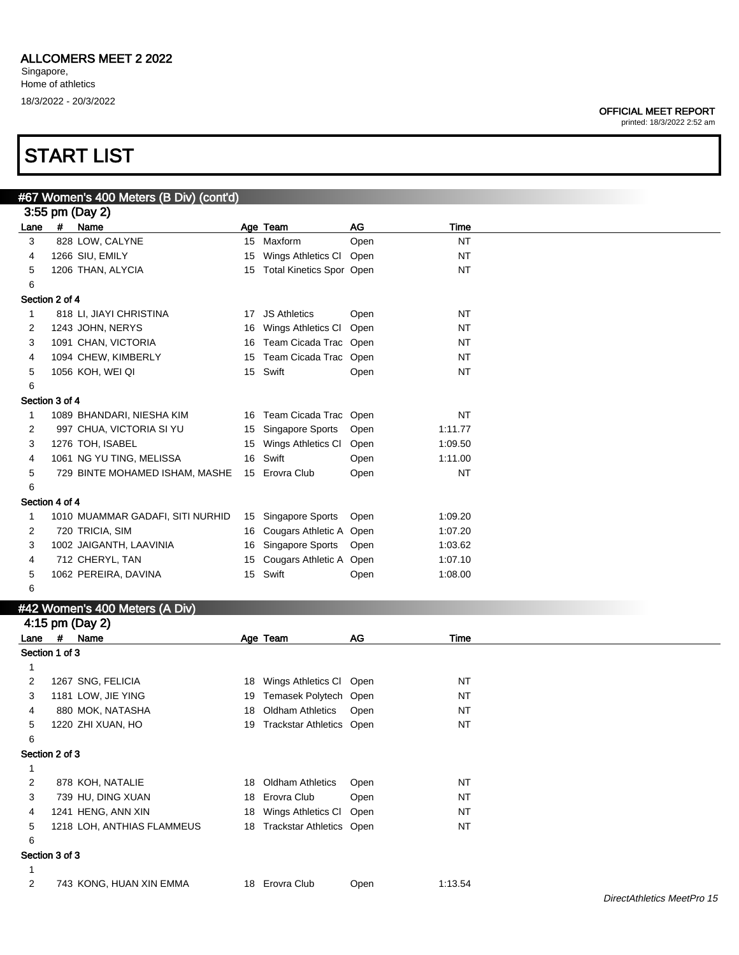#### OFFICIAL MEET REPORT printed: 18/3/2022 2:52 am

|                |   | #67 Women's 400 Meters (B Div) (cont'd) |    |                             |           |           |  |
|----------------|---|-----------------------------------------|----|-----------------------------|-----------|-----------|--|
|                |   | 3:55 pm (Day 2)                         |    |                             |           |           |  |
| Lane           |   | # Name                                  |    | Age Team                    | <b>AG</b> | Time      |  |
| 3              |   | 828 LOW, CALYNE                         |    | 15 Maxform                  | Open      | <b>NT</b> |  |
| 4              |   | 1266 SIU, EMILY                         | 15 | Wings Athletics Cl Open     |           | <b>NT</b> |  |
| 5              |   | 1206 THAN, ALYCIA                       |    | 15 Total Kinetics Spor Open |           | <b>NT</b> |  |
| 6              |   |                                         |    |                             |           |           |  |
| Section 2 of 4 |   |                                         |    |                             |           |           |  |
| 1              |   | 818 LI, JIAYI CHRISTINA                 |    | 17 JS Athletics             | Open      | <b>NT</b> |  |
| 2              |   | 1243 JOHN, NERYS                        |    | 16 Wings Athletics CI       | Open      | <b>NT</b> |  |
| 3              |   | 1091 CHAN, VICTORIA                     |    | 16 Team Cicada Trac Open    |           | <b>NT</b> |  |
| 4              |   | 1094 CHEW, KIMBERLY                     | 15 | Team Cicada Trac Open       |           | <b>NT</b> |  |
| 5              |   | 1056 KOH, WEI QI                        |    | 15 Swift                    | Open      | NT        |  |
| 6              |   |                                         |    |                             |           |           |  |
| Section 3 of 4 |   |                                         |    |                             |           |           |  |
| 1              |   | 1089 BHANDARI, NIESHA KIM               |    | 16 Team Cicada Trac Open    |           | <b>NT</b> |  |
| 2              |   | 997 CHUA, VICTORIA SI YU                |    | 15 Singapore Sports         | Open      | 1:11.77   |  |
| 3              |   | 1276 TOH, ISABEL                        |    | 15 Wings Athletics CI       | Open      | 1:09.50   |  |
| 4              |   | 1061 NG YU TING, MELISSA                |    | 16 Swift                    | Open      | 1:11.00   |  |
| 5              |   | 729 BINTE MOHAMED ISHAM, MASHE          |    | 15 Erovra Club              | Open      | <b>NT</b> |  |
| 6              |   |                                         |    |                             |           |           |  |
| Section 4 of 4 |   |                                         |    |                             |           |           |  |
| 1              |   | 1010 MUAMMAR GADAFI, SITI NURHID        |    | 15 Singapore Sports         | Open      | 1:09.20   |  |
| 2              |   | 720 TRICIA, SIM                         |    | 16 Cougars Athletic A Open  |           | 1:07.20   |  |
| 3              |   |                                         |    |                             |           |           |  |
|                |   | 1002 JAIGANTH, LAAVINIA                 |    | 16 Singapore Sports         | Open      | 1:03.62   |  |
| 4              |   | 712 CHERYL, TAN                         | 15 | Cougars Athletic A Open     |           | 1:07.10   |  |
| 5              |   | 1062 PEREIRA, DAVINA                    |    | 15 Swift                    | Open      | 1:08.00   |  |
| 6              |   |                                         |    |                             |           |           |  |
|                |   | #42 Women's 400 Meters (A Div)          |    |                             |           |           |  |
|                |   | 4:15 pm (Day 2)                         |    |                             |           |           |  |
| Lane           | # | Name                                    |    | Age Team                    | <b>AG</b> | Time      |  |
| Section 1 of 3 |   |                                         |    |                             |           |           |  |
| 1              |   |                                         |    |                             |           |           |  |
| 2              |   | 1267 SNG, FELICIA                       |    | 18 Wings Athletics CI       | Open      | <b>NT</b> |  |
| 3              |   | 1181 LOW, JIE YING                      |    | 19 Temasek Polytech Open    |           | <b>NT</b> |  |
| 4              |   | 880 MOK, NATASHA                        | 18 | <b>Oldham Athletics</b>     | Open      | <b>NT</b> |  |
| 5              |   | 1220 ZHI XUAN, HO                       |    | 19 Trackstar Athletics Open |           | <b>NT</b> |  |
| 6              |   |                                         |    |                             |           |           |  |
| Section 2 of 3 |   |                                         |    |                             |           |           |  |
| $\mathbf{1}$   |   |                                         |    |                             |           |           |  |
| 2              |   | 878 KOH, NATALIE                        |    | 18 Oldham Athletics         | Open      | NT        |  |
| 3              |   | 739 HU, DING XUAN                       |    | 18 Erovra Club              | Open      | <b>NT</b> |  |
| 4              |   | 1241 HENG, ANN XIN                      |    | 18 Wings Athletics Cl Open  |           | NT        |  |
| 5              |   | 1218 LOH, ANTHIAS FLAMMEUS              |    | 18 Trackstar Athletics Open |           | NT        |  |
| 6              |   |                                         |    |                             |           |           |  |
| Section 3 of 3 |   |                                         |    |                             |           |           |  |
| $\mathbf{1}$   |   |                                         |    |                             |           |           |  |
| 2              |   | 743 KONG, HUAN XIN EMMA                 |    | 18 Erovra Club              | Open      | 1:13.54   |  |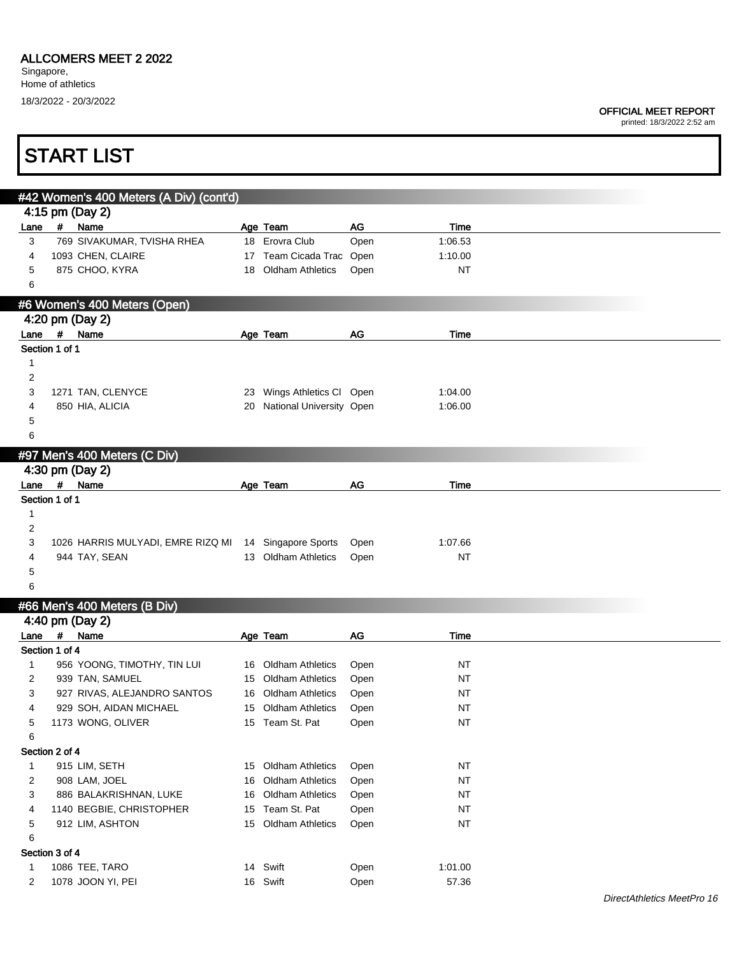|                |                | <b>START LIST</b>                                     |                             |      |           |  |
|----------------|----------------|-------------------------------------------------------|-----------------------------|------|-----------|--|
|                |                |                                                       |                             |      |           |  |
|                |                | #42 Women's 400 Meters (A Div) (cont'd)               |                             |      |           |  |
|                |                | 4:15 pm (Day 2)<br># Name                             |                             | AG   | Time      |  |
| Lane<br>3      |                | 769 SIVAKUMAR, TVISHA RHEA                            | Age Team<br>18 Erovra Club  | Open | 1:06.53   |  |
| 4              |                | 1093 CHEN, CLAIRE                                     | 17 Team Cicada Trac Open    |      | 1:10.00   |  |
| 5              |                | 875 CHOO, KYRA                                        | 18 Oldham Athletics         | Open | <b>NT</b> |  |
| 6              |                |                                                       |                             |      |           |  |
|                |                | #6 Women's 400 Meters (Open)                          |                             |      |           |  |
|                |                | 4:20 pm (Day 2)                                       |                             |      |           |  |
|                |                | Lane # Name                                           | Age Team                    | AG   | Time      |  |
|                | Section 1 of 1 |                                                       |                             |      |           |  |
| $\mathbf{1}$   |                |                                                       |                             |      |           |  |
| 2              |                |                                                       |                             |      |           |  |
| 3              |                | 1271 TAN, CLENYCE                                     | 23 Wings Athletics Cl Open  |      | 1:04.00   |  |
| 4              |                | 850 HIA, ALICIA                                       | 20 National University Open |      | 1:06.00   |  |
| 5<br>6         |                |                                                       |                             |      |           |  |
|                |                |                                                       |                             |      |           |  |
|                |                | #97 Men's 400 Meters (C Div)                          |                             |      |           |  |
|                | #              | 4:30 pm (Day 2)<br>Name                               |                             | AG   | Time      |  |
| Lane           | Section 1 of 1 |                                                       | Age Team                    |      |           |  |
| 1              |                |                                                       |                             |      |           |  |
| 2              |                |                                                       |                             |      |           |  |
| 3              |                | 1026 HARRIS MULYADI, EMRE RIZQ MI 14 Singapore Sports |                             | Open | 1:07.66   |  |
| 4              |                | 944 TAY, SEAN                                         | 13 Oldham Athletics         | Open | NT        |  |
| 5              |                |                                                       |                             |      |           |  |
| 6              |                |                                                       |                             |      |           |  |
|                |                | #66 Men's 400 Meters (B Div)                          |                             |      |           |  |
|                |                | 4:40 pm (Day 2)                                       |                             |      |           |  |
|                |                | Lane # Name                                           | Age Team                    | AG   | Time      |  |
|                | Section 1 of 4 |                                                       |                             |      |           |  |
| $\mathbf{1}$   |                | 956 YOONG, TIMOTHY, TIN LUI                           | 16 Oldham Athletics         | Open | NT        |  |
| 2              |                | 939 TAN, SAMUEL                                       | 15 Oldham Athletics Open    |      | $\sf{NT}$ |  |
| 3              |                | 927 RIVAS, ALEJANDRO SANTOS                           | 16 Oldham Athletics         | Open | NT        |  |
| 4              |                | 929 SOH, AIDAN MICHAEL                                | 15 Oldham Athletics         | Open | NT        |  |
| 5              |                | 1173 WONG, OLIVER                                     | 15 Team St. Pat             | Open | <b>NT</b> |  |
| 6              | Section 2 of 4 |                                                       |                             |      |           |  |
| $\mathbf{1}$   |                | 915 LIM, SETH                                         | 15 Oldham Athletics         | Open | <b>NT</b> |  |
| $\overline{c}$ |                | 908 LAM, JOEL                                         | 16 Oldham Athletics         | Open | <b>NT</b> |  |
| 3              |                | 886 BALAKRISHNAN, LUKE                                | 16 Oldham Athletics         | Open | NT        |  |
| 4              |                | 1140 BEGBIE, CHRISTOPHER                              | 15 Team St. Pat             | Open | <b>NT</b> |  |
| 5              |                | 912 LIM, ASHTON                                       | 15 Oldham Athletics         | Open | <b>NT</b> |  |
| 6              |                |                                                       |                             |      |           |  |
|                | Section 3 of 4 |                                                       |                             |      |           |  |
| $\mathbf{1}$   |                | 1086 TEE, TARO                                        | 14 Swift                    | Open | 1:01.00   |  |
| 2              |                | 1078 JOON YI, PEI                                     | 16 Swift                    | Open | 57.36     |  |
|                |                |                                                       |                             |      |           |  |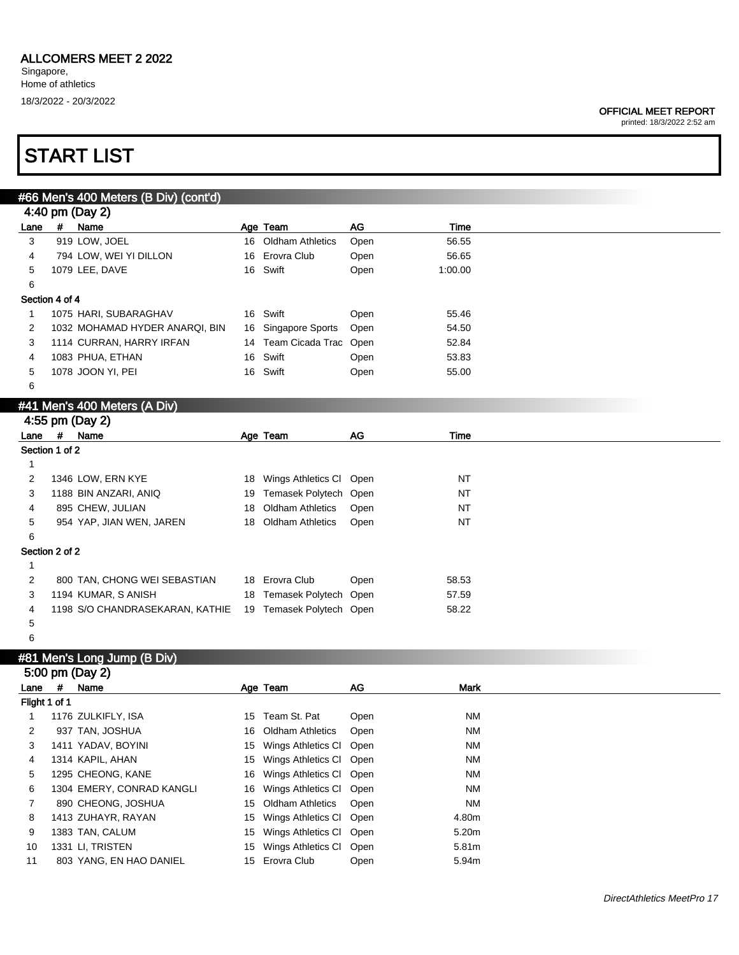#### OFFICIAL MEET REPORT

printed: 18/3/2022 2:52 am

### START LIST

|                |                    | #66 Men's 400 Meters (B Div) (cont'd) |    |                          |           |           |  |
|----------------|--------------------|---------------------------------------|----|--------------------------|-----------|-----------|--|
|                |                    | 4:40 pm (Day 2)                       |    |                          |           |           |  |
| Lane           | #                  | Name                                  |    | Age Team                 | <b>AG</b> | Time      |  |
| 3              |                    | 919 LOW, JOEL                         | 16 | <b>Oldham Athletics</b>  | Open      | 56.55     |  |
| 4              |                    | 794 LOW, WEI YI DILLON                |    | 16 Erovra Club           | Open      | 56.65     |  |
| 5              |                    | 1079 LEE, DAVE                        |    | 16 Swift                 | Open      | 1:00.00   |  |
| 6              |                    |                                       |    |                          |           |           |  |
| Section 4 of 4 |                    |                                       |    |                          |           |           |  |
| $\mathbf{1}$   |                    | 1075 HARI, SUBARAGHAV                 |    | 16 Swift                 | Open      | 55.46     |  |
| 2              |                    | 1032 MOHAMAD HYDER ANARQI, BIN        |    | 16 Singapore Sports      | Open      | 54.50     |  |
| 3              |                    | 1114 CURRAN, HARRY IRFAN              |    | 14 Team Cicada Trac Open |           | 52.84     |  |
| 4              |                    | 1083 PHUA, ETHAN                      |    | 16 Swift                 | Open      | 53.83     |  |
| 5              |                    | 1078 JOON YI, PEI                     |    | 16 Swift                 | Open      | 55.00     |  |
| 6              |                    |                                       |    |                          |           |           |  |
|                |                    | #41 Men's 400 Meters (A Div)          |    |                          |           |           |  |
|                |                    | 4:55 pm (Day 2)                       |    |                          |           |           |  |
| Lane           | $\boldsymbol{\mu}$ | Name                                  |    | Age Team                 | <b>AG</b> | Time      |  |
| Section 1 of 2 |                    |                                       |    |                          |           |           |  |
| 1              |                    |                                       |    |                          |           |           |  |
| 2              |                    | 1346 LOW, ERN KYE                     | 18 | Wings Athletics CI       | Open      |           |  |
| 3              |                    |                                       |    |                          |           | <b>NT</b> |  |
|                |                    | 1188 BIN ANZARI, ANIQ                 | 19 | Temasek Polytech Open    |           | <b>NT</b> |  |
| 4              |                    | 895 CHEW, JULIAN                      | 18 | <b>Oldham Athletics</b>  | Open      | <b>NT</b> |  |
| 5              |                    | 954 YAP, JIAN WEN, JAREN              |    | 18 Oldham Athletics      | Open      | <b>NT</b> |  |
| 6              |                    |                                       |    |                          |           |           |  |
| Section 2 of 2 |                    |                                       |    |                          |           |           |  |
| 1              |                    |                                       |    |                          |           |           |  |
| $\overline{2}$ |                    | 800 TAN, CHONG WEI SEBASTIAN          |    | 18 Erovra Club           | Open      | 58.53     |  |
| 3              |                    | 1194 KUMAR, S ANISH                   |    | 18 Temasek Polytech Open |           | 57.59     |  |
| 4              |                    | 1198 S/O CHANDRASEKARAN, KATHIE       |    | 19 Temasek Polytech Open |           | 58.22     |  |

### #81 Men's Long Jump (B Div)

|               |   | 5:00 pm (Day 2)           |      |                            |      |           |
|---------------|---|---------------------------|------|----------------------------|------|-----------|
| Lane          | # | Name                      |      | Age Team                   | AG   | Mark      |
| Flight 1 of 1 |   |                           |      |                            |      |           |
|               |   | 1176 ZULKIFLY, ISA        | 15   | Team St. Pat               | Open | <b>NM</b> |
| 2             |   | 937 TAN, JOSHUA           |      | 16 Oldham Athletics        | Open | <b>NM</b> |
| 3             |   | 1411 YADAV, BOYINI        |      | 15 Wings Athletics CI Open |      | <b>NM</b> |
| 4             |   | 1314 KAPIL, AHAN          |      | 15 Wings Athletics CI Open |      | <b>NM</b> |
| 5             |   | 1295 CHEONG, KANE         |      | 16 Wings Athletics CI Open |      | <b>NM</b> |
| 6             |   | 1304 EMERY, CONRAD KANGLI | 16   | Wings Athletics CI Open    |      | <b>NM</b> |
|               |   | 890 CHEONG, JOSHUA        |      | 15 Oldham Athletics        | Open | <b>NM</b> |
| 8             |   | 1413 ZUHAYR, RAYAN        | 15 - | Wings Athletics CI Open    |      | 4.80m     |
| 9             |   | 1383 TAN, CALUM           | 15   | Wings Athletics CI         | Open | 5.20m     |
| 10            |   | 1331 LI, TRISTEN          | 15.  | Wings Athletics CI         | Open | 5.81m     |
| 11            |   | 803 YANG, EN HAO DANIEL   |      | 15 Erovra Club             | Open | 5.94m     |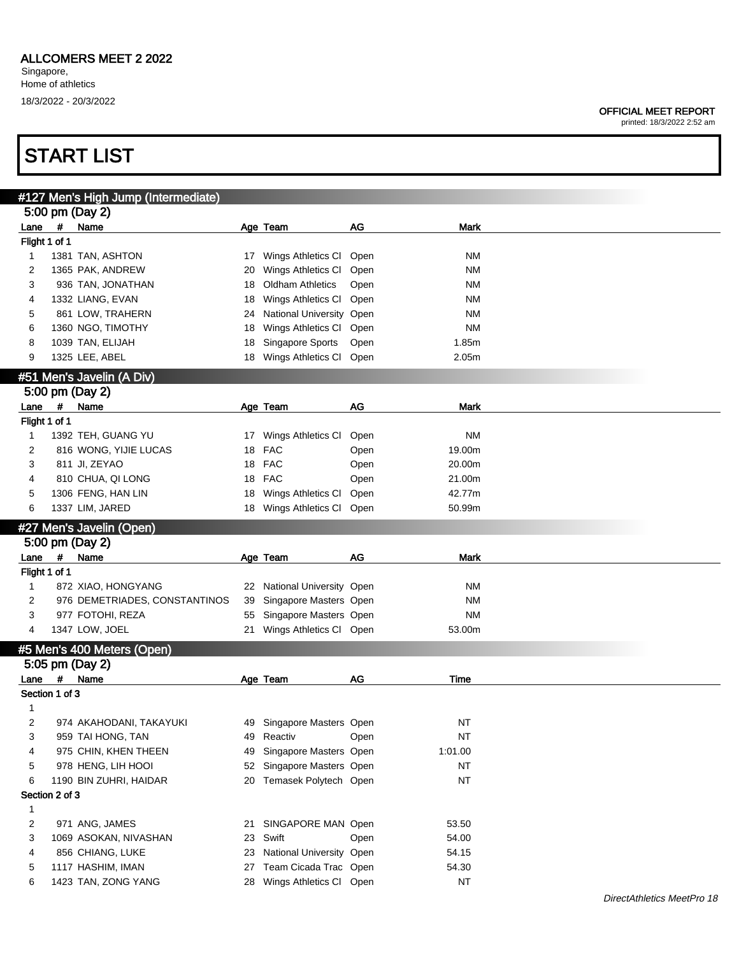printed: 18/3/2022 2:52 am

|                |            | #127 Men's High Jump (Intermediate)      |    |                                                     |      |                    |
|----------------|------------|------------------------------------------|----|-----------------------------------------------------|------|--------------------|
|                |            | 5:00 pm (Day 2)                          |    |                                                     |      |                    |
| Lane           | $\pmb{\#}$ | Name                                     |    | Age Team                                            | AG   | Mark               |
| Flight 1 of 1  |            |                                          |    |                                                     |      |                    |
| 1              |            | 1381 TAN, ASHTON                         | 17 | Wings Athletics CI Open                             |      | NΜ                 |
| 2              |            | 1365 PAK, ANDREW                         | 20 | Wings Athletics CI                                  | Open | ΝM                 |
| 3              |            | 936 TAN, JONATHAN                        | 18 | <b>Oldham Athletics</b>                             | Open | ΝM                 |
| 4              |            | 1332 LIANG, EVAN                         | 18 | Wings Athletics CI                                  | Open | ΝM                 |
| 5              |            | 861 LOW, TRAHERN                         | 24 | National University Open                            |      | <b>NM</b>          |
| 6              |            | 1360 NGO, TIMOTHY                        | 18 | Wings Athletics CI                                  | Open | <b>NM</b>          |
| 8              |            | 1039 TAN, ELIJAH                         | 18 | Singapore Sports                                    | Open | 1.85m              |
| 9              |            | 1325 LEE, ABEL                           | 18 | Wings Athletics Cl Open                             |      | 2.05m              |
|                |            |                                          |    |                                                     |      |                    |
|                |            | #51 Men's Javelin (A Div)                |    |                                                     |      |                    |
|                |            | 5:00 pm (Day 2)                          |    |                                                     |      |                    |
| Lane           | #          | Name                                     |    | Age Team                                            | AG   | <b>Mark</b>        |
| Flight 1 of 1  |            |                                          |    |                                                     |      |                    |
| 1              |            | 1392 TEH, GUANG YU                       |    | 17 Wings Athletics CI                               | Open | <b>NM</b>          |
| 2              |            | 816 WONG, YIJIE LUCAS                    | 18 | <b>FAC</b>                                          | Open | 19.00m             |
| 3              |            | 811 JI, ZEYAO                            | 18 | <b>FAC</b>                                          | Open | 20.00m             |
| 4              |            | 810 CHUA, QI LONG                        | 18 | <b>FAC</b>                                          | Open | 21.00m             |
| 5              |            | 1306 FENG, HAN LIN                       | 18 | Wings Athletics CI                                  | Open | 42.77m             |
| 6              |            | 1337 LIM, JARED                          | 18 | Wings Athletics CI                                  | Open | 50.99m             |
|                |            | #27 Men's Javelin (Open)                 |    |                                                     |      |                    |
|                |            | 5:00 pm (Day 2)                          |    |                                                     |      |                    |
|                |            |                                          |    |                                                     |      |                    |
|                |            |                                          |    |                                                     |      |                    |
| Lane           | $\pmb{\#}$ | Name                                     |    | Age Team                                            | AG   | <b>Mark</b>        |
| Flight 1 of 1  |            |                                          |    |                                                     |      |                    |
| $\mathbf{1}$   |            | 872 XIAO, HONGYANG                       | 22 | National University Open                            |      | ΝM                 |
| 2              |            | 976 DEMETRIADES, CONSTANTINOS            | 39 | Singapore Masters Open                              |      | <b>NM</b>          |
| 3              |            | 977 FOTOHI, REZA                         | 55 | Singapore Masters Open                              |      | <b>NM</b>          |
| 4              |            | 1347 LOW, JOEL                           | 21 | Wings Athletics Cl Open                             |      | 53.00m             |
|                |            | #5 Men's 400 Meters (Open)               |    |                                                     |      |                    |
|                |            | 5:05 pm (Day 2)                          |    |                                                     |      |                    |
| Lane #         |            | Name                                     |    | Age Team                                            | AG   | Time               |
| Section 1 of 3 |            |                                          |    |                                                     |      |                    |
| 1              |            |                                          |    |                                                     |      |                    |
| 2              |            | 974 AKAHODANI, TAKAYUKI                  |    | 49 Singapore Masters Open                           |      | <b>NT</b>          |
| 3              |            | 959 TAI HONG, TAN                        | 49 | Reactiv                                             | Open | NT                 |
| 4              |            |                                          | 49 |                                                     |      |                    |
|                |            | 975 CHIN, KHEN THEEN                     | 52 | Singapore Masters Open                              |      | 1:01.00            |
| 5              |            | 978 HENG, LIH HOOI                       |    | Singapore Masters Open                              |      | NT                 |
| 6              |            | 1190 BIN ZUHRI, HAIDAR                   | 20 | Temasek Polytech Open                               |      | <b>NT</b>          |
| Section 2 of 3 |            |                                          |    |                                                     |      |                    |
| 1              |            |                                          |    |                                                     |      |                    |
| $\overline{c}$ |            | 971 ANG, JAMES                           | 21 | SINGAPORE MAN Open                                  |      | 53.50              |
| 3              |            | 1069 ASOKAN, NIVASHAN                    | 23 | Swift                                               | Open | 54.00              |
| 4              |            | 856 CHIANG, LUKE                         | 23 | National University Open                            |      | 54.15              |
| 5<br>6         |            | 1117 HASHIM, IMAN<br>1423 TAN, ZONG YANG | 27 | Team Cicada Trac Open<br>28 Wings Athletics Cl Open |      | 54.30<br><b>NT</b> |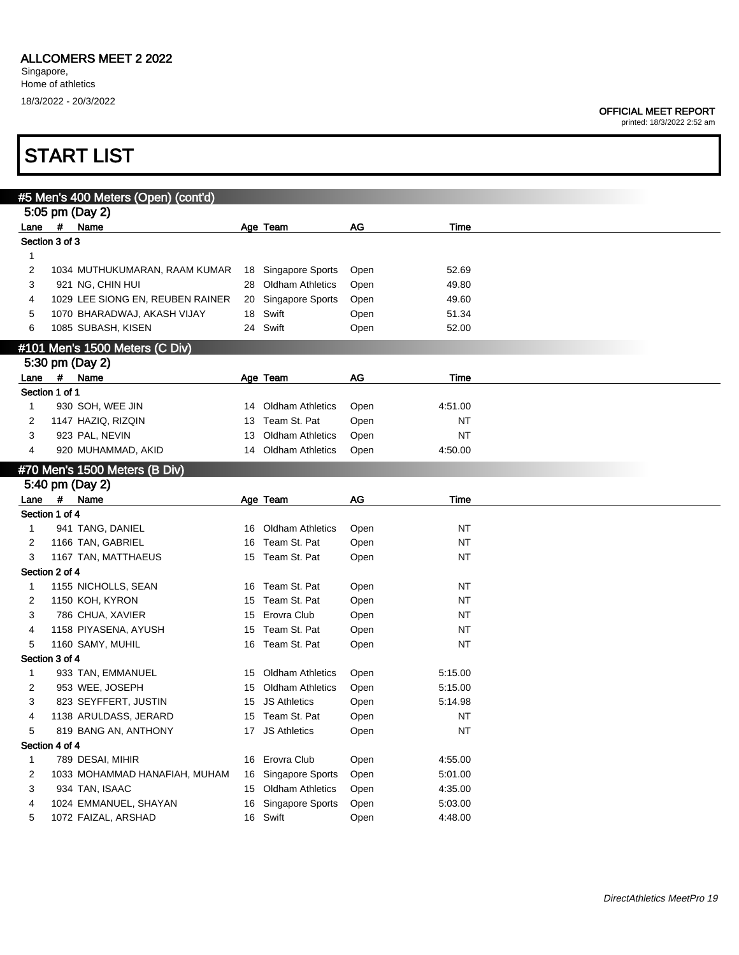### ALLCOMERS MEET 2 2022

Singapore, Home of athletics 18/3/2022 - 20/3/2022

#### OFFICIAL MEET REPORT

printed: 18/3/2022 2:52 am

|              |                | #5 Men's 400 Meters (Open) (cont'd) |    |                         |      |           |  |
|--------------|----------------|-------------------------------------|----|-------------------------|------|-----------|--|
|              |                | 5:05 pm (Day 2)                     |    |                         |      |           |  |
|              |                | Lane # Name                         |    | Age Team                | AG   | Time      |  |
|              | Section 3 of 3 |                                     |    |                         |      |           |  |
| 1            |                |                                     |    |                         |      |           |  |
| 2            |                | 1034 MUTHUKUMARAN, RAAM KUMAR       |    | 18 Singapore Sports     | Open | 52.69     |  |
| 3            |                | 921 NG, CHIN HUI                    |    | 28 Oldham Athletics     | Open | 49.80     |  |
| 4            |                | 1029 LEE SIONG EN, REUBEN RAINER    |    | 20 Singapore Sports     | Open | 49.60     |  |
| 5            |                | 1070 BHARADWAJ, AKASH VIJAY         |    | 18 Swift                | Open | 51.34     |  |
| 6            |                | 1085 SUBASH, KISEN                  |    | 24 Swift                | Open | 52.00     |  |
|              |                | #101 Men's 1500 Meters (C Div)      |    |                         |      |           |  |
|              |                | 5:30 pm (Day 2)                     |    |                         |      |           |  |
| Lane         | #              | Name                                |    | Age Team                | AG   | Time      |  |
|              | Section 1 of 1 |                                     |    |                         |      |           |  |
| 1            |                | 930 SOH, WEE JIN                    |    | 14 Oldham Athletics     | Open | 4:51.00   |  |
| 2            |                | 1147 HAZIQ, RIZQIN                  |    | 13 Team St. Pat         | Open | NT        |  |
| 3            |                | 923 PAL, NEVIN                      | 13 | <b>Oldham Athletics</b> | Open | <b>NT</b> |  |
| 4            |                | 920 MUHAMMAD, AKID                  |    | 14 Oldham Athletics     | Open | 4:50.00   |  |
|              |                | #70 Men's 1500 Meters (B Div)       |    |                         |      |           |  |
|              |                | 5:40 pm (Day 2)                     |    |                         |      |           |  |
| Lane         | $\#$           | Name                                |    | Age Team                | AG   | Time      |  |
|              | Section 1 of 4 |                                     |    |                         |      |           |  |
| $\mathbf{1}$ |                | 941 TANG, DANIEL                    |    | 16 Oldham Athletics     | Open | ΝT        |  |
| 2            |                | 1166 TAN, GABRIEL                   |    | 16 Team St. Pat         | Open | <b>NT</b> |  |
| 3            |                | 1167 TAN, MATTHAEUS                 |    | 15 Team St. Pat         | Open | NT        |  |
|              | Section 2 of 4 |                                     |    |                         |      |           |  |
| 1            |                | 1155 NICHOLLS, SEAN                 |    | 16 Team St. Pat         | Open | <b>NT</b> |  |
| 2            |                | 1150 KOH, KYRON                     |    | 15 Team St. Pat         | Open | NT        |  |
| 3            |                | 786 CHUA, XAVIER                    | 15 | Erovra Club             | Open | NT        |  |
| 4            |                | 1158 PIYASENA, AYUSH                |    | 15 Team St. Pat         | Open | NT        |  |
| 5            |                | 1160 SAMY, MUHIL                    |    | 16 Team St. Pat         | Open | NT        |  |
|              | Section 3 of 4 |                                     |    |                         |      |           |  |
| $\mathbf{1}$ |                | 933 TAN, EMMANUEL                   |    | 15 Oldham Athletics     | Open | 5:15.00   |  |
| 2            |                | 953 WEE, JOSEPH                     |    | 15 Oldham Athletics     | Open | 5:15.00   |  |
| 3            |                | 823 SEYFFERT, JUSTIN                |    | 15 JS Athletics         | Open | 5:14.98   |  |
| 4            |                | 1138 ARULDASS, JERARD               |    | 15 Team St. Pat         | Open | <b>NT</b> |  |
| 5            |                | 819 BANG AN, ANTHONY                |    | 17 JS Athletics         | Open | <b>NT</b> |  |
|              | Section 4 of 4 |                                     |    |                         |      |           |  |
| 1            |                | 789 DESAI, MIHIR                    |    | 16 Erovra Club          | Open | 4:55.00   |  |
| 2            |                | 1033 MOHAMMAD HANAFIAH, MUHAM       |    | 16 Singapore Sports     | Open | 5:01.00   |  |
| 3            |                | 934 TAN, ISAAC                      |    | 15 Oldham Athletics     | Open | 4:35.00   |  |
| 4            |                | 1024 EMMANUEL, SHAYAN               |    | 16 Singapore Sports     | Open | 5:03.00   |  |
| 5            |                | 1072 FAIZAL, ARSHAD                 |    | 16 Swift                | Open | 4:48.00   |  |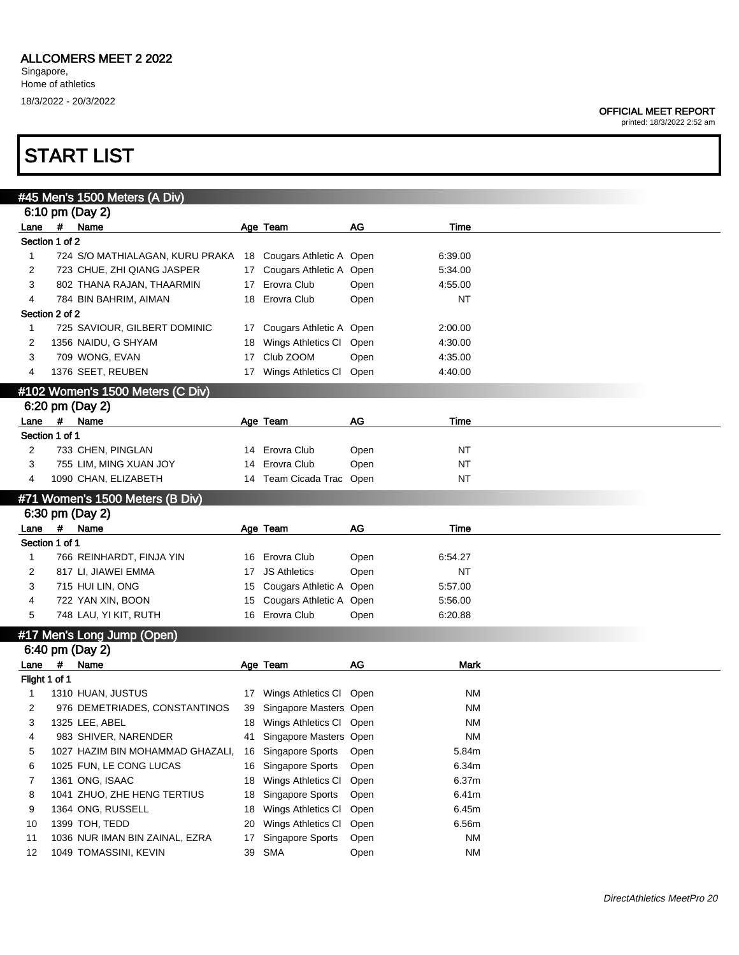### ALLCOMERS MEET 2 2022

Singapore, Home of athletics 18/3/2022 - 20/3/2022

#### OFFICIAL MEET REPORT

printed: 18/3/2022 2:52 am

|                |      | #45 Men's 1500 Meters (A Div)    |                 |                            |      |           |  |
|----------------|------|----------------------------------|-----------------|----------------------------|------|-----------|--|
|                |      | 6:10 pm (Day 2)                  |                 |                            |      |           |  |
| Lane #         |      | <b>Name</b>                      |                 | Age Team                   | AG   | Time      |  |
| Section 1 of 2 |      |                                  |                 |                            |      |           |  |
| $\mathbf{1}$   |      | 724 S/O MATHIALAGAN, KURU PRAKA  |                 | 18 Cougars Athletic A Open |      | 6:39.00   |  |
| 2              |      | 723 CHUE, ZHI QIANG JASPER       |                 | 17 Cougars Athletic A Open |      | 5:34.00   |  |
| 3              |      | 802 THANA RAJAN, THAARMIN        | 17              | Erovra Club                | Open | 4:55.00   |  |
| 4              |      | 784 BIN BAHRIM, AIMAN            | 18              | Erovra Club                | Open | NT        |  |
| Section 2 of 2 |      |                                  |                 |                            |      |           |  |
| $\mathbf{1}$   |      | 725 SAVIOUR, GILBERT DOMINIC     | 17              | Cougars Athletic A Open    |      | 2:00.00   |  |
| 2              |      | 1356 NAIDU, G SHYAM              | 18              | Wings Athletics CI Open    |      | 4:30.00   |  |
| 3              |      | 709 WONG, EVAN                   | 17              | Club ZOOM                  | Open | 4:35.00   |  |
| 4              |      | 1376 SEET, REUBEN                | 17              | Wings Athletics Cl Open    |      | 4:40.00   |  |
|                |      | #102 Women's 1500 Meters (C Div) |                 |                            |      |           |  |
|                |      | 6:20 pm (Day 2)                  |                 |                            |      |           |  |
| Lane #         |      | Name                             |                 | Age Team                   | AG   | Time      |  |
| Section 1 of 1 |      |                                  |                 |                            |      |           |  |
| 2              |      | 733 CHEN, PINGLAN                |                 | 14 Erovra Club             | Open | NT        |  |
| 3              |      | 755 LIM, MING XUAN JOY           | 14              | Erovra Club                | Open | <b>NT</b> |  |
| 4              |      | 1090 CHAN, ELIZABETH             |                 | 14 Team Cicada Trac Open   |      | NT        |  |
|                |      |                                  |                 |                            |      |           |  |
|                |      | #71 Women's 1500 Meters (B Div)  |                 |                            |      |           |  |
|                |      | 6:30 pm (Day 2)                  |                 |                            |      |           |  |
| Lane           | $\#$ | Name                             |                 | Age Team                   | AG   | Time      |  |
| Section 1 of 1 |      |                                  |                 |                            |      |           |  |
| 1              |      | 766 REINHARDT, FINJA YIN         |                 | 16 Erovra Club             | Open | 6:54.27   |  |
| 2              |      | 817 LI, JIAWEI EMMA              | 17 <sup>2</sup> | <b>JS Athletics</b>        | Open | <b>NT</b> |  |
| 3              |      | 715 HUI LIN, ONG                 |                 | 15 Cougars Athletic A Open |      | 5:57.00   |  |
| 4              |      |                                  |                 |                            |      |           |  |
|                |      | 722 YAN XIN, BOON                | 15              | Cougars Athletic A Open    |      | 5:56.00   |  |
| 5              |      | 748 LAU, YI KIT, RUTH            |                 | 16 Erovra Club             | Open | 6:20.88   |  |
|                |      | #17 Men's Long Jump (Open)       |                 |                            |      |           |  |
|                |      | 6:40 pm (Day 2)                  |                 |                            |      |           |  |
| Lane           | $\#$ | Name                             |                 | Age Team                   | AG   | Mark      |  |
| Flight 1 of 1  |      |                                  |                 |                            |      |           |  |
| 1              |      | 1310 HUAN, JUSTUS                |                 | 17 Wings Athletics CI Open |      | <b>NM</b> |  |
| 2              |      | 976 DEMETRIADES, CONSTANTINOS    | 39              | Singapore Masters Open     |      | <b>NM</b> |  |
| 3              |      | 1325 LEE, ABEL                   |                 | 18 Wings Athletics Cl Open |      | NM        |  |
| 4              |      | 983 SHIVER, NARENDER             | 41              | Singapore Masters Open     |      | <b>NM</b> |  |
| 5              |      | 1027 HAZIM BIN MOHAMMAD GHAZALI, | 16              | Singapore Sports           | Open | 5.84m     |  |
| 6              |      | 1025 FUN, LE CONG LUCAS          | 16              | Singapore Sports           | Open | 6.34m     |  |
| 7              |      | 1361 ONG, ISAAC                  | 18              | Wings Athletics CI         | Open | 6.37m     |  |
| 8              |      | 1041 ZHUO, ZHE HENG TERTIUS      | 18              | Singapore Sports           | Open | 6.41m     |  |
| 9              |      | 1364 ONG, RUSSELL                | 18              | Wings Athletics CI         | Open | 6.45m     |  |
| 10             |      | 1399 TOH, TEDD                   | 20              | Wings Athletics CI         | Open | 6.56m     |  |
| 11             |      | 1036 NUR IMAN BIN ZAINAL, EZRA   | 17              | Singapore Sports           | Open | <b>NM</b> |  |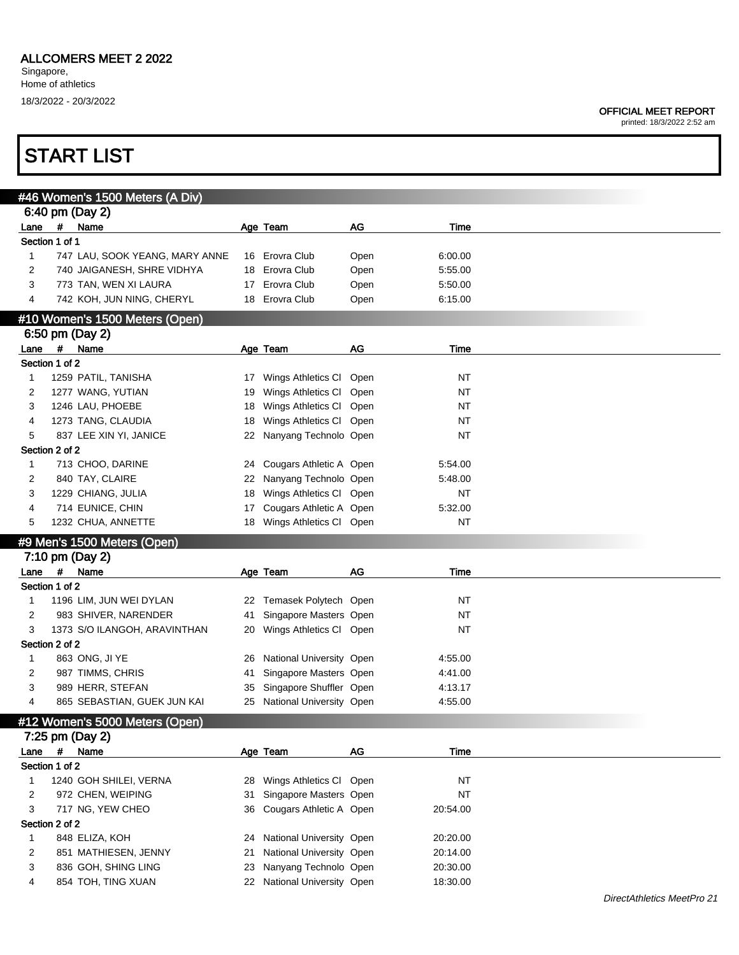printed: 18/3/2022 2:52 am

|                |                | #46 Women's 1500 Meters (A Div)           |    |                                                      |      |                      |  |
|----------------|----------------|-------------------------------------------|----|------------------------------------------------------|------|----------------------|--|
|                |                | 6:40 pm (Day 2)                           |    |                                                      |      |                      |  |
| Lane           | $\pmb{\#}$     | Name                                      |    | Age Team                                             | AG   | Time                 |  |
|                | Section 1 of 1 |                                           |    |                                                      |      |                      |  |
| 1              |                | 747 LAU, SOOK YEANG, MARY ANNE            |    | 16 Erovra Club                                       | Open | 6:00.00              |  |
| 2              |                | 740 JAIGANESH, SHRE VIDHYA                |    | 18 Erovra Club                                       | Open | 5:55.00              |  |
| 3              |                | 773 TAN, WEN XI LAURA                     | 17 | Erovra Club                                          | Open | 5:50.00              |  |
| 4              |                | 742 KOH, JUN NING, CHERYL                 |    | 18 Erovra Club                                       | Open | 6:15.00              |  |
|                |                | #10 Women's 1500 Meters (Open)            |    |                                                      |      |                      |  |
|                |                | 6:50 pm (Day 2)                           |    |                                                      |      |                      |  |
| Lane #         |                | Name                                      |    | Age Team                                             | AG   | Time                 |  |
|                | Section 1 of 2 |                                           |    |                                                      |      |                      |  |
| 1              |                | 1259 PATIL, TANISHA                       | 17 | Wings Athletics CI                                   | Open | <b>NT</b>            |  |
| 2              |                | 1277 WANG, YUTIAN                         | 19 | Wings Athletics CI                                   | Open | <b>NT</b>            |  |
| 3              |                | 1246 LAU, PHOEBE                          | 18 | Wings Athletics CI                                   | Open | <b>NT</b>            |  |
| 4              |                | 1273 TANG, CLAUDIA                        | 18 | Wings Athletics CI                                   | Open | <b>NT</b>            |  |
| 5              |                | 837 LEE XIN YI, JANICE                    |    | 22 Nanyang Technolo Open                             |      | <b>NT</b>            |  |
|                | Section 2 of 2 |                                           |    |                                                      |      |                      |  |
| 1              |                | 713 CHOO, DARINE                          | 24 | Cougars Athletic A Open                              |      | 5:54.00              |  |
| 2              |                | 840 TAY, CLAIRE                           | 22 | Nanyang Technolo Open                                |      | 5:48.00              |  |
| 3              |                | 1229 CHIANG, JULIA                        | 18 | Wings Athletics Cl Open                              |      | <b>NT</b>            |  |
| 4              |                | 714 EUNICE, CHIN                          | 17 | Cougars Athletic A Open                              |      | 5:32.00              |  |
| 5              |                | 1232 CHUA, ANNETTE                        | 18 | Wings Athletics Cl Open                              |      | <b>NT</b>            |  |
|                |                | #9 Men's 1500 Meters (Open)               |    |                                                      |      |                      |  |
|                |                | 7:10 pm (Day 2)                           |    |                                                      |      |                      |  |
| Lane $#$       |                | Name                                      |    | Age Team                                             | AG   | Time                 |  |
|                | Section 1 of 2 |                                           |    |                                                      |      |                      |  |
| 1              |                | 1196 LIM, JUN WEI DYLAN                   | 22 | Temasek Polytech Open                                |      | <b>NT</b>            |  |
| $\overline{c}$ |                | 983 SHIVER, NARENDER                      | 41 | Singapore Masters Open                               |      | <b>NT</b>            |  |
| 3              |                | 1373 S/O ILANGOH, ARAVINTHAN              | 20 | Wings Athletics Cl Open                              |      | <b>NT</b>            |  |
|                | Section 2 of 2 |                                           |    |                                                      |      |                      |  |
| $\mathbf{1}$   |                | 863 ONG, JI YE                            | 26 | National University Open                             |      | 4:55.00              |  |
| 2              |                | 987 TIMMS, CHRIS                          | 41 | Singapore Masters Open                               |      | 4:41.00              |  |
| 3              |                | 989 HERR, STEFAN                          | 35 | Singapore Shuffler Open                              |      | 4:13.17              |  |
| 4              |                | 865 SEBASTIAN, GUEK JUN KAI               | 25 | National University Open                             |      | 4:55.00              |  |
|                |                |                                           |    |                                                      |      |                      |  |
|                |                | #12 Women's 5000 Meters (Open)            |    |                                                      |      |                      |  |
|                |                | 7:25 pm (Day 2)                           |    |                                                      |      |                      |  |
| Lane           | $\pmb{\ast}$   | Name                                      |    | Age Team                                             | AG   | Time                 |  |
|                | Section 1 of 2 |                                           |    |                                                      |      |                      |  |
| 1              |                | 1240 GOH SHILEI, VERNA                    | 28 | Wings Athletics Cl Open                              |      | <b>NT</b>            |  |
| 2              |                | 972 CHEN, WEIPING                         | 31 | Singapore Masters Open                               |      | <b>NT</b>            |  |
| 3              |                | 717 NG, YEW CHEO                          | 36 | Cougars Athletic A Open                              |      | 20:54.00             |  |
|                | Section 2 of 2 |                                           |    |                                                      |      |                      |  |
| 1              |                | 848 ELIZA, KOH                            | 24 | National University Open                             |      | 20:20.00             |  |
| 2              |                | 851 MATHIESEN, JENNY                      | 21 | National University Open                             |      | 20:14.00             |  |
|                |                |                                           |    |                                                      |      |                      |  |
| 3<br>4         |                | 836 GOH, SHING LING<br>854 TOH, TING XUAN | 23 | Nanyang Technolo Open<br>22 National University Open |      | 20:30.00<br>18:30.00 |  |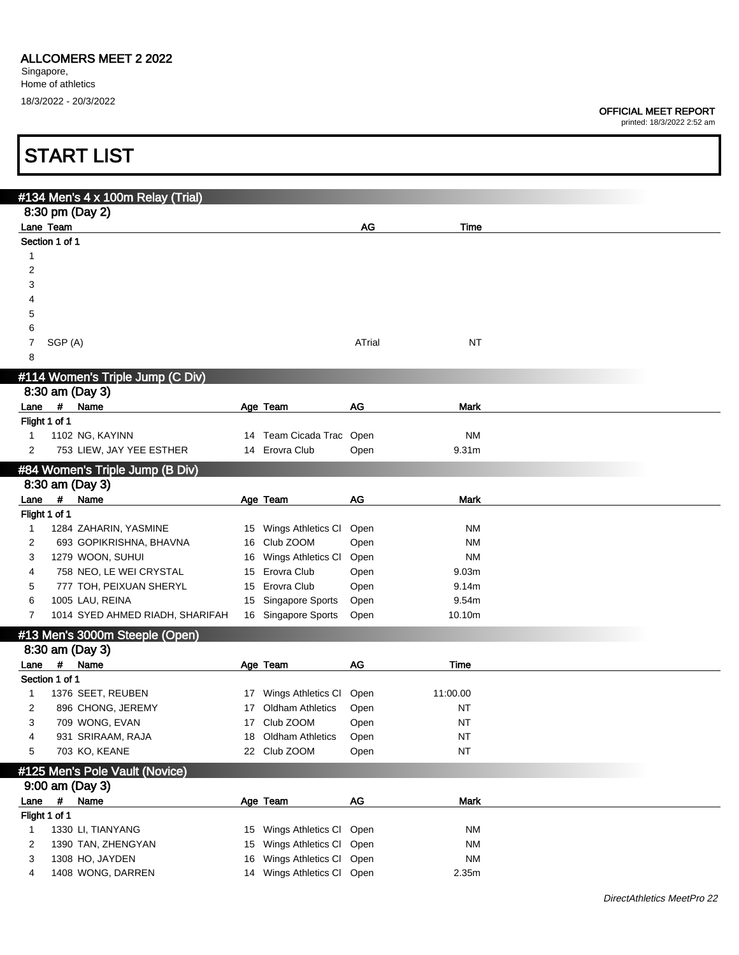### OFFICIAL MEET REPORT

printed: 18/3/2022 2:52 am

ī

|                       |             | <b>START LIST</b>                                    |    |                                                  |              |                        |  |
|-----------------------|-------------|------------------------------------------------------|----|--------------------------------------------------|--------------|------------------------|--|
|                       |             |                                                      |    |                                                  |              |                        |  |
|                       |             | #134 Men's 4 x 100m Relay (Trial)<br>8:30 pm (Day 2) |    |                                                  |              |                        |  |
| Lane Team             |             |                                                      |    |                                                  | AG           | Time                   |  |
| Section 1 of 1        |             |                                                      |    |                                                  |              |                        |  |
| 1                     |             |                                                      |    |                                                  |              |                        |  |
| $\overline{c}$        |             |                                                      |    |                                                  |              |                        |  |
| 3                     |             |                                                      |    |                                                  |              |                        |  |
| 4                     |             |                                                      |    |                                                  |              |                        |  |
| 5                     |             |                                                      |    |                                                  |              |                        |  |
| 6                     |             |                                                      |    |                                                  |              |                        |  |
| 7                     | SGP (A)     |                                                      |    |                                                  | ATrial       | <b>NT</b>              |  |
| 8                     |             |                                                      |    |                                                  |              |                        |  |
|                       |             | #114 Women's Triple Jump (C Div)                     |    |                                                  |              |                        |  |
|                       |             | 8:30 am (Day 3)                                      |    |                                                  |              |                        |  |
| Lane                  | #           | Name                                                 |    | Age Team                                         | AG           | <b>Mark</b>            |  |
| Flight 1 of 1         |             |                                                      |    |                                                  |              |                        |  |
| 1                     |             | 1102 NG, KAYINN                                      |    | 14 Team Cicada Trac Open                         |              | <b>NM</b>              |  |
| 2                     |             | 753 LIEW, JAY YEE ESTHER                             |    | 14 Erovra Club                                   | Open         | 9.31 <sub>m</sub>      |  |
|                       |             |                                                      |    |                                                  |              |                        |  |
|                       |             | #84 Women's Triple Jump (B Div)                      |    |                                                  |              |                        |  |
|                       | $\pmb{\#}$  | 8:30 am (Day 3)                                      |    |                                                  |              |                        |  |
| Lane<br>Flight 1 of 1 |             | Name                                                 |    | Age Team                                         | AG           | Mark                   |  |
| 1                     |             | 1284 ZAHARIN, YASMINE                                |    | 15 Wings Athletics CI                            | Open         | ΝM                     |  |
| 2                     |             | 693 GOPIKRISHNA, BHAVNA                              | 16 | Club ZOOM                                        | Open         | ΝM                     |  |
| 3                     |             | 1279 WOON, SUHUI                                     | 16 | Wings Athletics CI                               | Open         | <b>NM</b>              |  |
| 4                     |             | 758 NEO, LE WEI CRYSTAL                              | 15 | Erovra Club                                      | Open         | 9.03m                  |  |
| 5                     |             | 777 TOH, PEIXUAN SHERYL                              | 15 | Erovra Club                                      | Open         | 9.14m                  |  |
| 6                     |             | 1005 LAU, REINA                                      | 15 | Singapore Sports                                 | Open         | 9.54m                  |  |
| $\overline{7}$        |             | 1014 SYED AHMED RIADH, SHARIFAH                      |    | 16 Singapore Sports                              | Open         | 10.10m                 |  |
|                       |             |                                                      |    |                                                  |              |                        |  |
|                       |             | #13 Men's 3000m Steeple (Open)                       |    |                                                  |              |                        |  |
|                       |             | 8:30 am (Day 3)                                      |    |                                                  |              |                        |  |
| Lane                  | #           | Name                                                 |    | Age Team                                         | AG           | Time                   |  |
| Section 1 of 1        |             |                                                      |    |                                                  |              |                        |  |
| 1                     |             | 1376 SEET, REUBEN                                    |    | 17 Wings Athletics CI<br><b>Oldham Athletics</b> | Open         | 11:00.00               |  |
| 2<br>3                |             | 896 CHONG, JEREMY                                    | 17 | Club ZOOM                                        | Open         | $\sf{NT}$<br><b>NT</b> |  |
| 4                     |             | 709 WONG, EVAN<br>931 SRIRAAM, RAJA                  | 17 | <b>Oldham Athletics</b>                          | Open         | $\sf{NT}$              |  |
| 5                     |             | 703 KO, KEANE                                        | 18 | 22 Club ZOOM                                     | Open<br>Open | $\sf{NT}$              |  |
|                       |             |                                                      |    |                                                  |              |                        |  |
|                       |             | #125 Men's Pole Vault (Novice)                       |    |                                                  |              |                        |  |
|                       |             | 9:00 am (Day 3)                                      |    |                                                  |              |                        |  |
| Lane                  | $\pmb{\mu}$ | Name                                                 |    | Age Team                                         | AG           | <b>Mark</b>            |  |
| Flight 1 of 1         |             |                                                      |    |                                                  |              |                        |  |
| $\mathbf{1}$          |             | 1330 LI, TIANYANG                                    |    | 15 Wings Athletics CI                            | Open         | NM                     |  |
| $\overline{c}$        |             | 1390 TAN, ZHENGYAN                                   | 15 | Wings Athletics CI                               | Open         | <b>NM</b>              |  |
| 3                     |             | 1308 HO, JAYDEN                                      | 16 | Wings Athletics CI                               | Open         | <b>NM</b>              |  |
| 4                     |             | 1408 WONG, DARREN                                    |    | 14 Wings Athletics Cl Open                       |              | 2.35m                  |  |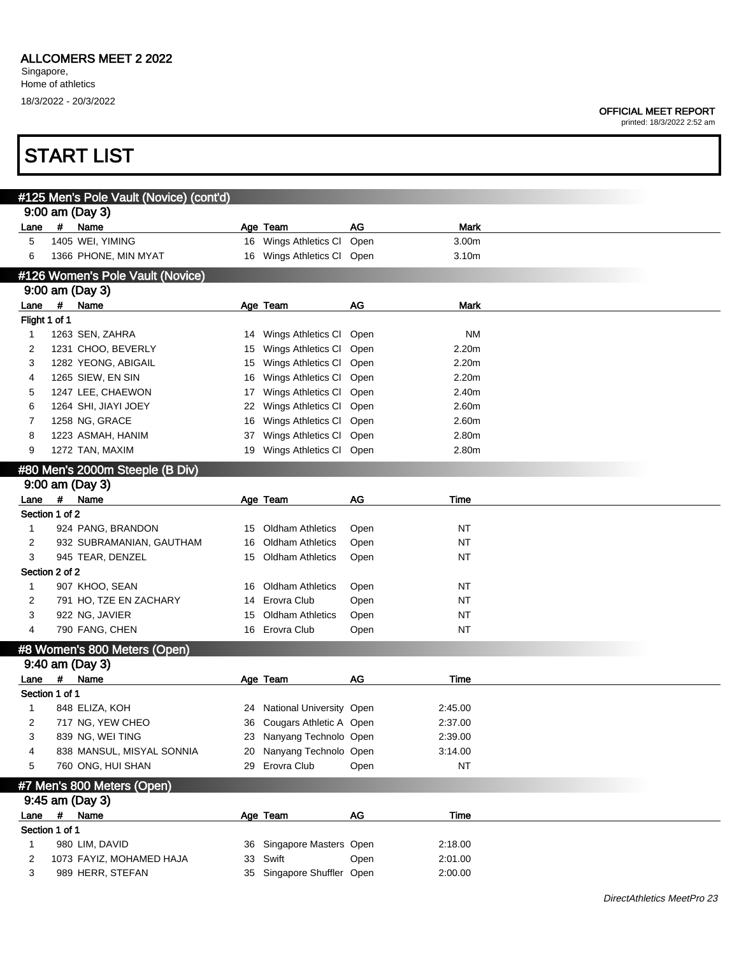### OFFICIAL MEET REPORT

|               | <b>START LIST</b>   |                                                           |                             |              |                |  |
|---------------|---------------------|-----------------------------------------------------------|-----------------------------|--------------|----------------|--|
|               |                     |                                                           |                             |              |                |  |
|               | 9:00 am (Day 3)     | #125 Men's Pole Vault (Novice) (cont'd)                   |                             |              |                |  |
| Lane          | #<br>Name           |                                                           | Age Team                    | AG           | <b>Mark</b>    |  |
| 5             | 1405 WEI, YIMING    |                                                           | 16 Wings Athletics CI       | Open         | 3.00m          |  |
| 6             |                     | 1366 PHONE, MIN MYAT                                      | 16 Wings Athletics Cl Open  |              | 3.10m          |  |
|               |                     | #126 Women's Pole Vault (Novice)                          |                             |              |                |  |
|               | 9:00 am (Day 3)     |                                                           |                             |              |                |  |
| Lane          | $\pmb{\mu}$<br>Name |                                                           | Age Team                    | AG           | <b>Mark</b>    |  |
| Flight 1 of 1 |                     |                                                           |                             |              |                |  |
| $\mathbf{1}$  | 1263 SEN, ZAHRA     | 14                                                        | Wings Athletics CI          | Open         | ΝM             |  |
| 2             |                     | 1231 CHOO, BEVERLY<br>15                                  | Wings Athletics CI          | Open         | 2.20m          |  |
| 3             |                     | 1282 YEONG, ABIGAIL<br>15                                 | Wings Athletics CI          | Open         | 2.20m          |  |
| 4             | 1265 SIEW, EN SIN   | 16                                                        | Wings Athletics CI          | Open         | 2.20m          |  |
| 5             |                     | 1247 LEE, CHAEWON<br>17                                   | Wings Athletics CI          | Open         | 2.40m          |  |
| 6             |                     | 1264 SHI, JIAYI JOEY<br>22                                | Wings Athletics CI          | Open         | 2.60m          |  |
| 7             | 1258 NG, GRACE      | 16                                                        | Wings Athletics CI          | Open         | 2.60m          |  |
| 8<br>9        | 1223 ASMAH, HANIM   | 37                                                        | Wings Athletics CI          | Open         | 2.80m<br>2.80m |  |
|               | 1272 TAN, MAXIM     |                                                           | 19 Wings Athletics Cl Open  |              |                |  |
|               |                     | #80 Men's 2000m Steeple (B Div)                           |                             |              |                |  |
|               | 9:00 am (Day 3)     |                                                           |                             |              |                |  |
| Lane          | $\pmb{\#}$<br>Name  |                                                           | Age Team                    | <b>AG</b>    | Time           |  |
| $\mathbf{1}$  | Section 1 of 2      |                                                           | <b>Oldham Athletics</b>     |              | <b>NT</b>      |  |
| 2             |                     | 924 PANG, BRANDON<br>15<br>932 SUBRAMANIAN, GAUTHAM<br>16 | <b>Oldham Athletics</b>     | Open<br>Open | <b>NT</b>      |  |
| 3             |                     | 945 TEAR, DENZEL<br>15                                    | <b>Oldham Athletics</b>     | Open         | <b>NT</b>      |  |
|               | Section 2 of 2      |                                                           |                             |              |                |  |
| $\mathbf{1}$  | 907 KHOO, SEAN      | 16                                                        | <b>Oldham Athletics</b>     | Open         | ΝT             |  |
| 2             |                     | 791 HO, TZE EN ZACHARY<br>14                              | Erovra Club                 | Open         | <b>NT</b>      |  |
| 3             | 922 NG, JAVIER      | 15                                                        | <b>Oldham Athletics</b>     | Open         | <b>NT</b>      |  |
| 4             | 790 FANG, CHEN      |                                                           | 16 Erovra Club              | Open         | <b>NT</b>      |  |
|               |                     | #8 Women's 800 Meters (Open)                              |                             |              |                |  |
|               | 9:40 am (Day 3)     |                                                           |                             |              |                |  |
|               | Lane # Name         |                                                           | Age Team                    | AG           | Time           |  |
|               | Section 1 of 1      |                                                           |                             |              |                |  |
| 1             | 848 ELIZA, KOH      |                                                           | 24 National University Open |              | 2:45.00        |  |
| 2             |                     | 717 NG, YEW CHEO<br>36                                    | Cougars Athletic A Open     |              | 2:37.00        |  |
| 3             | 839 NG, WEI TING    | 23                                                        | Nanyang Technolo Open       |              | 2:39.00        |  |
| 4             |                     | 838 MANSUL, MISYAL SONNIA<br>20                           | Nanyang Technolo Open       |              | 3:14.00        |  |
| 5             |                     | 760 ONG, HUI SHAN<br>29                                   | Erovra Club                 | Open         | NT             |  |
|               |                     | #7 Men's 800 Meters (Open)                                |                             |              |                |  |
|               | 9:45 am (Day 3)     |                                                           |                             |              |                |  |
| Lane          | #<br>Name           |                                                           | Age Team                    | AG           | Time           |  |
|               | Section 1 of 1      |                                                           |                             |              |                |  |
| 1             | 980 LIM, DAVID      |                                                           | 36 Singapore Masters Open   |              | 2:18.00        |  |
| 2             |                     | 1073 FAYIZ, MOHAMED HAJA                                  | 33 Swift                    | Open         | 2:01.00        |  |
| 3             |                     | 989 HERR, STEFAN                                          | 35 Singapore Shuffler Open  |              | 2:00.00        |  |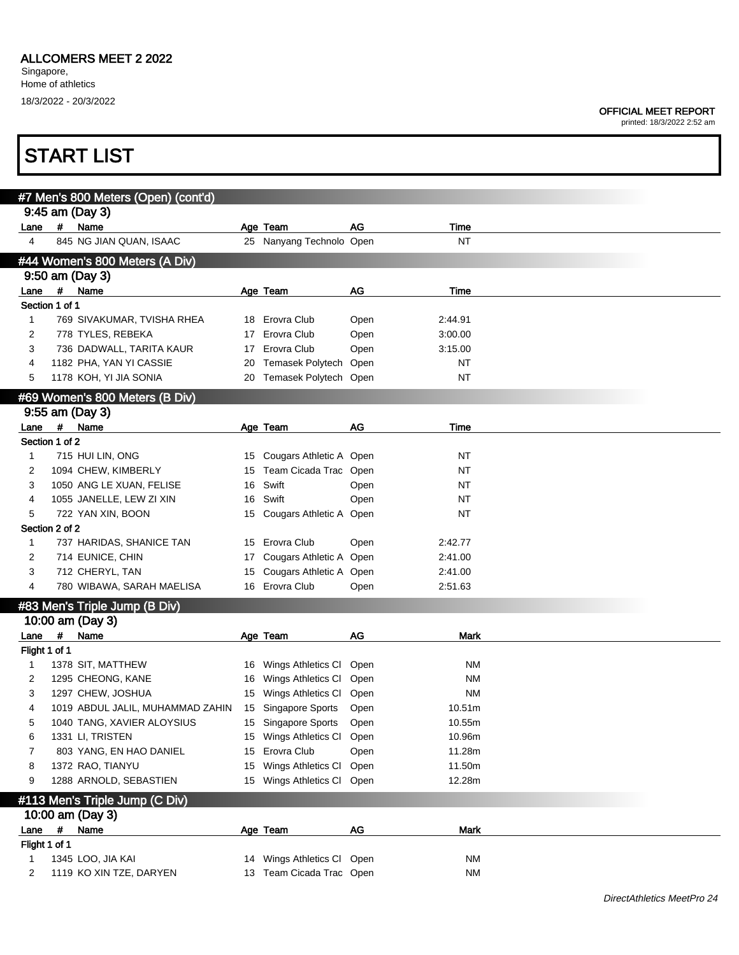#### OFFICIAL MEET REPORT

|                |   | <b>START LIST</b>                   |    |                            |      |             |  |
|----------------|---|-------------------------------------|----|----------------------------|------|-------------|--|
|                |   | #7 Men's 800 Meters (Open) (cont'd) |    |                            |      |             |  |
|                |   | 9:45 am (Day 3)                     |    |                            |      |             |  |
| Lane           | # | Name                                |    | Age Team                   | AG   | Time        |  |
| 4              |   | 845 NG JIAN QUAN, ISAAC             |    | 25 Nanyang Technolo Open   |      | <b>NT</b>   |  |
|                |   | #44 Women's 800 Meters (A Div)      |    |                            |      |             |  |
|                |   | 9:50 am (Day 3)                     |    |                            |      |             |  |
| Lane           | # | Name                                |    | Age Team                   | AG   | Time        |  |
| Section 1 of 1 |   |                                     |    |                            |      |             |  |
| 1              |   | 769 SIVAKUMAR, TVISHA RHEA          | 18 | Erovra Club                | Open | 2:44.91     |  |
| 2              |   | 778 TYLES, REBEKA                   |    | 17 Erovra Club             | Open | 3:00.00     |  |
| 3              |   | 736 DADWALL, TARITA KAUR            | 17 | Erovra Club                | Open | 3:15.00     |  |
| 4              |   | 1182 PHA, YAN YI CASSIE             | 20 | Temasek Polytech Open      |      | NT          |  |
| 5              |   | 1178 KOH, YI JIA SONIA              |    | 20 Temasek Polytech Open   |      | <b>NT</b>   |  |
|                |   | #69 Women's 800 Meters (B Div)      |    |                            |      |             |  |
|                |   | 9:55 am (Day 3)                     |    |                            |      |             |  |
| Lane           | # | Name                                |    | Age Team                   | AG   | Time        |  |
| Section 1 of 2 |   |                                     |    |                            |      |             |  |
| 1              |   | 715 HUI LIN, ONG                    |    | 15 Cougars Athletic A Open |      | NT          |  |
| 2              |   | 1094 CHEW, KIMBERLY                 | 15 | Team Cicada Trac Open      |      | NT          |  |
| 3              |   | 1050 ANG LE XUAN, FELISE            | 16 | Swift                      | Open | NT          |  |
| 4              |   | 1055 JANELLE, LEW ZI XIN            | 16 | Swift                      | Open | NT          |  |
| 5              |   | 722 YAN XIN, BOON                   | 15 | Cougars Athletic A Open    |      | NT          |  |
| Section 2 of 2 |   |                                     |    |                            |      |             |  |
| 1              |   | 737 HARIDAS, SHANICE TAN            |    | 15 Erovra Club             | Open | 2:42.77     |  |
| 2              |   | 714 EUNICE, CHIN                    | 17 | Cougars Athletic A Open    |      | 2:41.00     |  |
| 3              |   | 712 CHERYL, TAN                     | 15 | Cougars Athletic A Open    |      | 2:41.00     |  |
| 4              |   | 780 WIBAWA, SARAH MAELISA           |    | 16 Erovra Club             | Open | 2:51.63     |  |
|                |   | #83 Men's Triple Jump (B Div)       |    |                            |      |             |  |
|                |   | 10:00 am (Day 3)                    |    |                            |      |             |  |
| Lane           | # | Name                                |    | Age Team                   | AG   | Mark        |  |
| Flight 1 of 1  |   |                                     |    |                            |      |             |  |
|                |   | 1378 SIT, MATTHEW                   |    | 16 Wings Athletics Cl Open |      | <b>NM</b>   |  |
|                |   | 1295 CHEONG, KANE                   |    | 16 Wings Athletics CI Open |      | <b>NM</b>   |  |
| 3              |   | 1297 CHEW, JOSHUA                   |    | 15 Wings Athletics CI      | Open | <b>NM</b>   |  |
| 4              |   | 1019 ABDUL JALIL, MUHAMMAD ZAHIN    |    | 15 Singapore Sports        | Open | 10.51m      |  |
| 5              |   | 1040 TANG, XAVIER ALOYSIUS          |    | 15 Singapore Sports        | Open | 10.55m      |  |
| 6              |   | 1331 LI, TRISTEN                    |    | 15 Wings Athletics CI      | Open | 10.96m      |  |
| 7              |   | 803 YANG, EN HAO DANIEL             | 15 | Erovra Club                | Open | 11.28m      |  |
| 8              |   | 1372 RAO, TIANYU                    | 15 | Wings Athletics CI         | Open | 11.50m      |  |
| 9              |   | 1288 ARNOLD, SEBASTIEN              |    | 15 Wings Athletics CI      | Open | 12.28m      |  |
|                |   | #113 Men's Triple Jump (C Div)      |    |                            |      |             |  |
|                |   | 10:00 am (Day 3)                    |    |                            |      |             |  |
| Lane           | # | Name                                |    | Age Team                   | AG   | <b>Mark</b> |  |
| Flight 1 of 1  |   |                                     |    |                            |      |             |  |
| 1              |   | 1345 LOO, JIA KAI                   |    | 14 Wings Athletics CI Open |      | ΝM          |  |
| 2              |   | 1119 KO XIN TZE, DARYEN             |    | 13 Team Cicada Trac Open   |      | ΝM          |  |
|                |   |                                     |    |                            |      |             |  |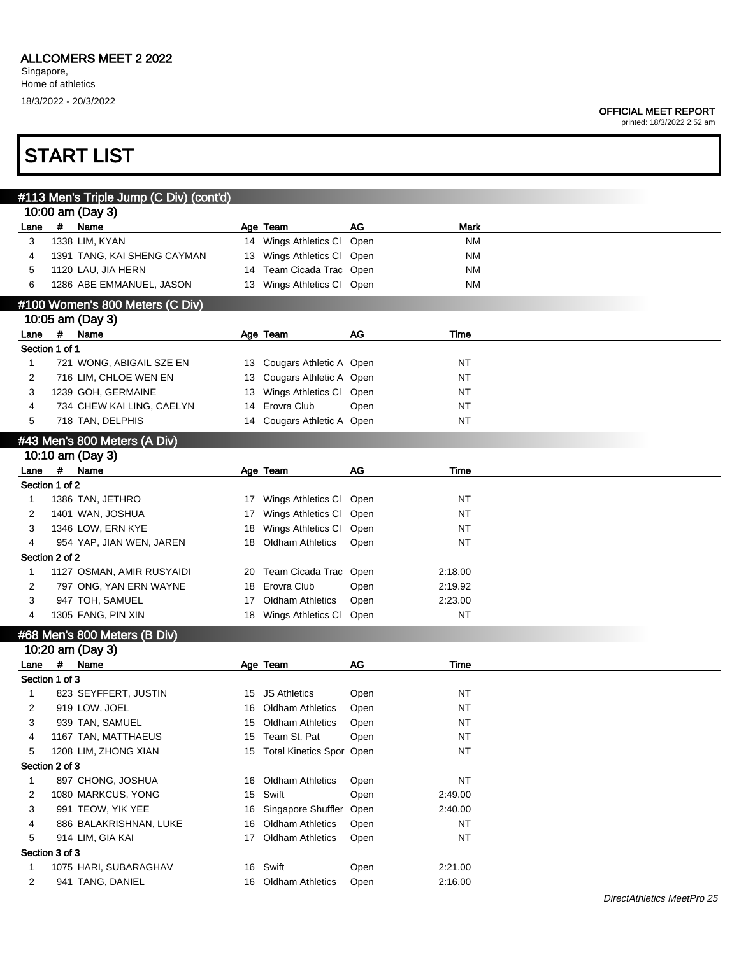#### OFFICIAL MEET REPORT

printed: 18/3/2022 2:52 am

|              |      |                | #113 Men's Triple Jump (C Div) (cont'd) |    |                             |      |             |
|--------------|------|----------------|-----------------------------------------|----|-----------------------------|------|-------------|
|              |      |                | 10:00 am (Day 3)                        |    |                             |      |             |
| Lane         |      | #              | Name                                    |    | Age Team                    | AG   | <b>Mark</b> |
| 3            |      |                | 1338 LIM, KYAN                          |    | 14 Wings Athletics CI       | Open | ΝM          |
| 4            |      |                | 1391 TANG, KAI SHENG CAYMAN             | 13 | Wings Athletics Cl Open     |      | ΝM          |
| 5            |      |                | 1120 LAU, JIA HERN                      | 14 | Team Cicada Trac Open       |      | ΝM          |
| 6            |      |                | 1286 ABE EMMANUEL, JASON                |    | 13 Wings Athletics Cl Open  |      | ΝM          |
|              |      |                |                                         |    |                             |      |             |
|              |      |                | #100 Women's 800 Meters (C Div)         |    |                             |      |             |
|              |      |                | 10:05 am (Day 3)                        |    |                             |      |             |
|              | Lane | $\#$           | Name                                    |    | Age Team                    | AG   | Time        |
|              |      | Section 1 of 1 |                                         |    |                             |      |             |
| $\mathbf{1}$ |      |                | 721 WONG, ABIGAIL SZE EN                |    | 13 Cougars Athletic A Open  |      | <b>NT</b>   |
| 2            |      |                | 716 LIM, CHLOE WEN EN                   | 13 | Cougars Athletic A Open     |      | <b>NT</b>   |
| 3            |      |                | 1239 GOH, GERMAINE                      | 13 | Wings Athletics Cl Open     |      | <b>NT</b>   |
| 4            |      |                | 734 CHEW KAI LING, CAELYN               | 14 | Erovra Club                 | Open | <b>NT</b>   |
| 5            |      |                | 718 TAN, DELPHIS                        | 14 | Cougars Athletic A Open     |      | <b>NT</b>   |
|              |      |                | #43 Men's 800 Meters (A Div)            |    |                             |      |             |
|              |      |                | 10:10 am (Day 3)                        |    |                             |      |             |
| Lane         |      | #              | Name                                    |    | Age Team                    | AG   | Time        |
|              |      | Section 1 of 2 |                                         |    |                             |      |             |
|              |      |                |                                         |    |                             |      |             |
| $\mathbf{1}$ |      |                | 1386 TAN, JETHRO                        | 17 | Wings Athletics CI          | Open | <b>NT</b>   |
| 2            |      |                | 1401 WAN, JOSHUA                        | 17 | Wings Athletics CI          | Open | <b>NT</b>   |
| 3            |      |                | 1346 LOW, ERN KYE                       | 18 | Wings Athletics CI          | Open | NT          |
| 4            |      |                | 954 YAP, JIAN WEN, JAREN                | 18 | <b>Oldham Athletics</b>     | Open | NT          |
|              |      | Section 2 of 2 |                                         |    |                             |      |             |
| $\mathbf{1}$ |      |                | 1127 OSMAN, AMIR RUSYAIDI               | 20 | Team Cicada Trac Open       |      | 2:18.00     |
| 2            |      |                | 797 ONG, YAN ERN WAYNE                  | 18 | Erovra Club                 | Open | 2:19.92     |
| 3            |      |                | 947 TOH, SAMUEL                         | 17 | <b>Oldham Athletics</b>     | Open | 2:23.00     |
| 4            |      |                | 1305 FANG, PIN XIN                      |    | 18 Wings Athletics CI       | Open | <b>NT</b>   |
|              |      |                | #68 Men's 800 Meters (B Div)            |    |                             |      |             |
|              |      |                | 10:20 am (Day 3)                        |    |                             |      |             |
| Lane         |      | #              | Name                                    |    | Age Team                    | AG   | Time        |
|              |      | Section 1 of 3 |                                         |    |                             |      |             |
|              |      |                | 823 SEYFFERT, JUSTIN                    |    | 15 JS Athletics             |      | NT          |
| 1            |      |                |                                         |    |                             | Open |             |
| 2            |      |                | 919 LOW, JOEL                           | 16 | <b>Oldham Athletics</b>     | Open | <b>NT</b>   |
| 3            |      |                | 939 TAN, SAMUEL                         |    | 15 Oldham Athletics         | Open | <b>NT</b>   |
| 4            |      |                | 1167 TAN, MATTHAEUS                     |    | 15 Team St. Pat             | Open | <b>NT</b>   |
| 5            |      |                | 1208 LIM, ZHONG XIAN                    |    | 15 Total Kinetics Spor Open |      | <b>NT</b>   |
|              |      | Section 2 of 3 |                                         |    |                             |      |             |
| 1            |      |                | 897 CHONG, JOSHUA                       | 16 | <b>Oldham Athletics</b>     | Open | <b>NT</b>   |
| 2            |      |                | 1080 MARKCUS, YONG                      | 15 | Swift                       | Open | 2:49.00     |
| 3            |      |                | 991 TEOW, YIK YEE                       | 16 | Singapore Shuffler          | Open | 2:40.00     |
| 4            |      |                | 886 BALAKRISHNAN, LUKE                  | 16 | <b>Oldham Athletics</b>     | Open | NT          |
| 5            |      |                | 914 LIM, GIA KAI                        | 17 | <b>Oldham Athletics</b>     | Open | <b>NT</b>   |
|              |      |                |                                         |    |                             |      |             |
|              |      | Section 3 of 3 |                                         |    |                             |      |             |
| 1            |      |                | 1075 HARI, SUBARAGHAV                   |    | 16 Swift                    | Open | 2:21.00     |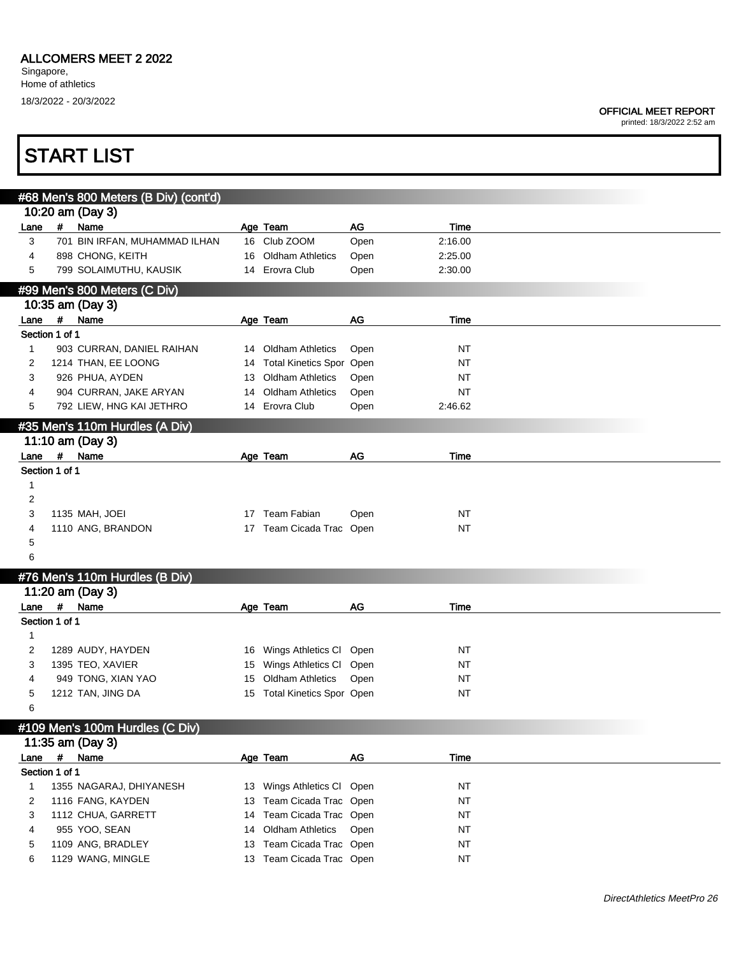### OFFICIAL MEET REPORT

|                |             | <b>START LIST</b>                     |    |                                                    |      |                        |  |
|----------------|-------------|---------------------------------------|----|----------------------------------------------------|------|------------------------|--|
|                |             | #68 Men's 800 Meters (B Div) (cont'd) |    |                                                    |      |                        |  |
|                |             | 10:20 am (Day 3)                      |    |                                                    |      |                        |  |
| Lane           | #           | Name                                  |    | Age Team                                           | AG   | Time                   |  |
| 3              |             | 701 BIN IRFAN, MUHAMMAD ILHAN         |    | 16 Club ZOOM                                       | Open | 2:16.00                |  |
| 4              |             | 898 CHONG, KEITH                      |    | 16 Oldham Athletics                                | Open | 2:25.00                |  |
| 5              |             | 799 SOLAIMUTHU, KAUSIK                |    | 14 Erovra Club                                     | Open | 2:30.00                |  |
|                |             | #99 Men's 800 Meters (C Div)          |    |                                                    |      |                        |  |
|                |             | 10:35 am (Day 3)                      |    |                                                    |      |                        |  |
| Lane #         |             | Name                                  |    | Age Team                                           | AG   | Time                   |  |
| Section 1 of 1 |             |                                       |    |                                                    |      |                        |  |
| $\mathbf{1}$   |             | 903 CURRAN, DANIEL RAIHAN             |    | 14 Oldham Athletics                                | Open | <b>NT</b>              |  |
| 2              |             | 1214 THAN, EE LOONG                   |    | 14 Total Kinetics Spor Open                        |      | <b>NT</b>              |  |
| 3              |             | 926 PHUA, AYDEN                       | 13 | <b>Oldham Athletics</b>                            | Open | NT                     |  |
| 4              |             | 904 CURRAN, JAKE ARYAN                | 14 | <b>Oldham Athletics</b>                            | Open | <b>NT</b>              |  |
| 5              |             | 792 LIEW, HNG KAI JETHRO              |    | 14 Erovra Club                                     | Open | 2:46.62                |  |
|                |             | #35 Men's 110m Hurdles (A Div)        |    |                                                    |      |                        |  |
|                |             | 11:10 am (Day 3)                      |    |                                                    |      |                        |  |
|                |             | Lane # Name                           |    | Age Team                                           | AG   | Time                   |  |
| Section 1 of 1 |             |                                       |    |                                                    |      |                        |  |
| 1              |             |                                       |    |                                                    |      |                        |  |
| $\overline{c}$ |             |                                       |    |                                                    |      |                        |  |
| 3              |             | 1135 MAH, JOEI                        |    | 17 Team Fabian                                     | Open | <b>NT</b>              |  |
| 4              |             | 1110 ANG, BRANDON                     |    | 17 Team Cicada Trac Open                           |      | NT                     |  |
| 5              |             |                                       |    |                                                    |      |                        |  |
| 6              |             |                                       |    |                                                    |      |                        |  |
|                |             | #76 Men's 110m Hurdles (B Div)        |    |                                                    |      |                        |  |
|                |             | 11:20 am (Day 3)                      |    |                                                    |      |                        |  |
| Lane           | #           | Name                                  |    | Age Team                                           | AG   | Time                   |  |
| Section 1 of 1 |             |                                       |    |                                                    |      |                        |  |
| 1              |             |                                       |    |                                                    |      |                        |  |
| 2              |             | 1289 AUDY, HAYDEN                     |    | 16 Wings Athletics CI                              | Open | <b>NT</b>              |  |
| 3              |             | 1395 TEO, XAVIER                      |    | 15 Wings Athletics CI                              | Open | <b>NT</b>              |  |
| 4              |             | 949 TONG, XIAN YAO                    |    | 15 Oldham Athletics<br>15 Total Kinetics Spor Open | Open | <b>NT</b><br><b>NT</b> |  |
| 5<br>6         |             | 1212 TAN, JING DA                     |    |                                                    |      |                        |  |
|                |             |                                       |    |                                                    |      |                        |  |
|                |             | #109 Men's 100m Hurdles (C Div)       |    |                                                    |      |                        |  |
| Lane           | $\pmb{\mu}$ | 11:35 am (Day 3)<br>Name              |    | Age Team                                           | AG   | Time                   |  |
| Section 1 of 1 |             |                                       |    |                                                    |      |                        |  |
| 1              |             | 1355 NAGARAJ, DHIYANESH               |    | 13 Wings Athletics Cl Open                         |      | <b>NT</b>              |  |
| 2              |             | 1116 FANG, KAYDEN                     |    | 13 Team Cicada Trac Open                           |      | <b>NT</b>              |  |
| 3              |             | 1112 CHUA, GARRETT                    | 14 | Team Cicada Trac Open                              |      | <b>NT</b>              |  |
| 4              |             | 955 YOO, SEAN                         | 14 | <b>Oldham Athletics</b>                            | Open | <b>NT</b>              |  |
| 5              |             | 1109 ANG, BRADLEY                     | 13 | Team Cicada Trac Open                              |      | <b>NT</b>              |  |
| 6              |             | 1129 WANG, MINGLE                     |    | 13 Team Cicada Trac Open                           |      | <b>NT</b>              |  |
|                |             |                                       |    |                                                    |      |                        |  |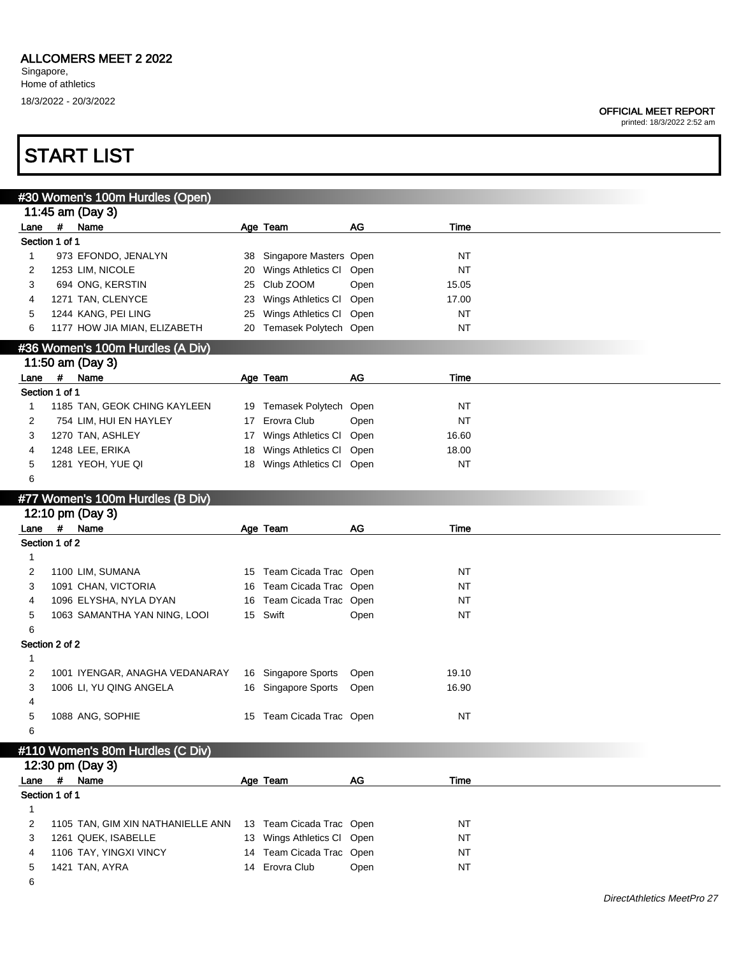printed: 18/3/2022 2:52 am

|                        |             | #30 Women's 100m Hurdles (Open)   |    |                            |      |           |  |
|------------------------|-------------|-----------------------------------|----|----------------------------|------|-----------|--|
|                        |             | 11:45 am (Day 3)                  |    |                            |      |           |  |
| Lane                   |             | # Name                            |    | Age Team                   | AG   | Time      |  |
| Section 1 of 1         |             |                                   |    |                            |      |           |  |
| 1                      |             | 973 EFONDO, JENALYN               | 38 | Singapore Masters Open     |      | NT        |  |
| 2                      |             | 1253 LIM, NICOLE                  | 20 | Wings Athletics Cl Open    |      | <b>NT</b> |  |
| 3                      |             | 694 ONG, KERSTIN                  | 25 | Club ZOOM                  | Open | 15.05     |  |
| 4                      |             | 1271 TAN, CLENYCE                 | 23 | Wings Athletics Cl         | Open | 17.00     |  |
| 5                      |             | 1244 KANG, PEI LING               | 25 | Wings Athletics CI         | Open | <b>NT</b> |  |
| 6                      |             | 1177 HOW JIA MIAN, ELIZABETH      |    | 20 Temasek Polytech Open   |      | <b>NT</b> |  |
|                        |             | #36 Women's 100m Hurdles (A Div)  |    |                            |      |           |  |
|                        |             | 11:50 am (Day 3)                  |    |                            |      |           |  |
| Lane                   | $\pmb{\mu}$ | Name                              |    | Age Team                   | AG   | Time      |  |
| Section 1 of 1         |             |                                   |    |                            |      |           |  |
| 1                      |             | 1185 TAN, GEOK CHING KAYLEEN      |    | 19 Temasek Polytech Open   |      | NT        |  |
| 2                      |             | 754 LIM, HUI EN HAYLEY            | 17 | Erovra Club                | Open | <b>NT</b> |  |
| 3                      |             | 1270 TAN, ASHLEY                  |    | 17 Wings Athletics Cl Open |      | 16.60     |  |
| 4                      |             | 1248 LEE, ERIKA                   | 18 | Wings Athletics Cl Open    |      | 18.00     |  |
| 5                      |             | 1281 YEOH, YUE QI                 |    | 18 Wings Athletics Cl Open |      | <b>NT</b> |  |
| 6                      |             |                                   |    |                            |      |           |  |
|                        |             |                                   |    |                            |      |           |  |
|                        |             | #77 Women's 100m Hurdles (B Div)  |    |                            |      |           |  |
|                        |             | 12:10 pm (Day 3)                  |    |                            |      |           |  |
| Lane<br>Section 1 of 2 |             | # Name                            |    | Age Team                   | AG   | Time      |  |
|                        |             |                                   |    |                            |      |           |  |
| 1                      |             |                                   |    |                            |      |           |  |
| 2                      |             | 1100 LIM, SUMANA                  |    | 15 Team Cicada Trac Open   |      | <b>NT</b> |  |
| 3                      |             | 1091 CHAN, VICTORIA               | 16 | Team Cicada Trac Open      |      | <b>NT</b> |  |
|                        |             |                                   |    |                            |      |           |  |
| 4                      |             | 1096 ELYSHA, NYLA DYAN            | 16 | Team Cicada Trac Open      |      | <b>NT</b> |  |
| 5                      |             | 1063 SAMANTHA YAN NING, LOOI      |    | 15 Swift                   | Open | <b>NT</b> |  |
| 6                      |             |                                   |    |                            |      |           |  |
| Section 2 of 2         |             |                                   |    |                            |      |           |  |
| 1                      |             |                                   |    |                            |      |           |  |
| 2                      |             | 1001 IYENGAR, ANAGHA VEDANARAY    |    | 16 Singapore Sports        | Open | 19.10     |  |
| 3                      |             | 1006 LI, YU QING ANGELA           |    | 16 Singapore Sports        | Open | 16.90     |  |
| 4                      |             |                                   |    |                            |      |           |  |
| 5                      |             | 1088 ANG, SOPHIE                  |    | 15 Team Cicada Trac Open   |      | <b>NT</b> |  |
| 6                      |             |                                   |    |                            |      |           |  |
|                        |             | #110 Women's 80m Hurdles (C Div)  |    |                            |      |           |  |
|                        |             | 12:30 pm (Day 3)                  |    |                            |      |           |  |
| Lane                   |             | # Name                            |    | Age Team                   | AG   | Time      |  |
| Section 1 of 1         |             |                                   |    |                            |      |           |  |
| 1                      |             |                                   |    |                            |      |           |  |
| 2                      |             | 1105 TAN, GIM XIN NATHANIELLE ANN |    | 13 Team Cicada Trac Open   |      | NT        |  |
| 3                      |             | 1261 QUEK, ISABELLE               |    | 13 Wings Athletics Cl Open |      | <b>NT</b> |  |
| 4                      |             | 1106 TAY, YINGXI VINCY            |    | 14 Team Cicada Trac Open   |      | <b>NT</b> |  |
| 5                      |             | 1421 TAN, AYRA                    |    | 14 Erovra Club             | Open | NT        |  |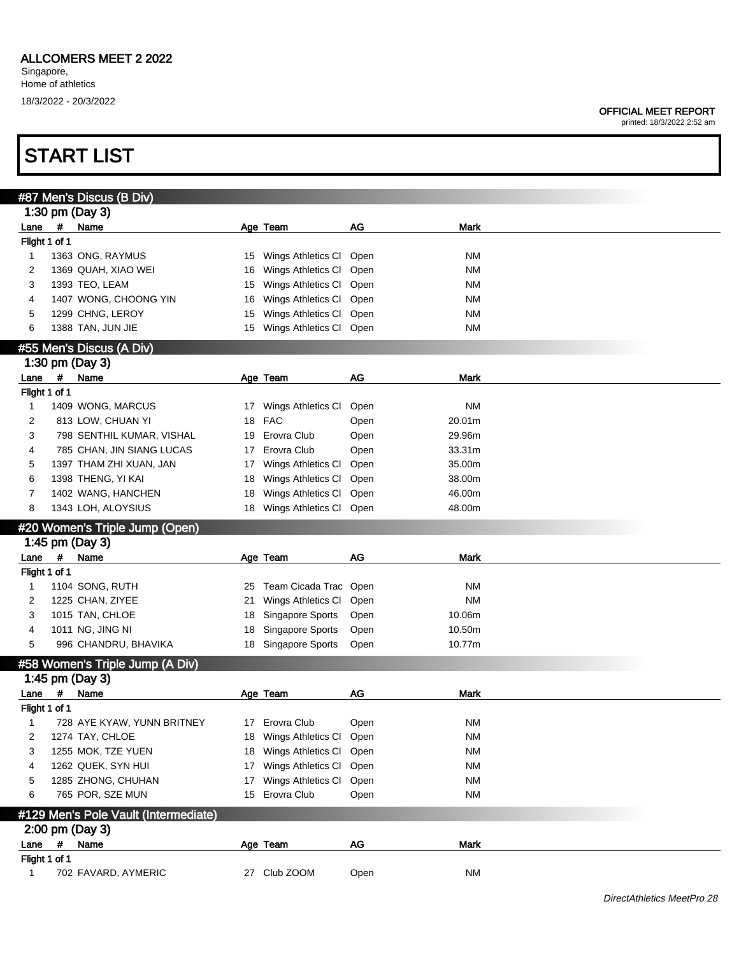printed: 18/3/2022 2:52 am

|               |             | #87 Men's Discus (B Div)             |    |                         |           |             |  |
|---------------|-------------|--------------------------------------|----|-------------------------|-----------|-------------|--|
|               |             | 1:30 pm (Day 3)                      |    |                         |           |             |  |
| Lane          | #           | Name                                 |    | Age Team                | AG        | Mark        |  |
| Flight 1 of 1 |             |                                      |    |                         |           |             |  |
| 1             |             | 1363 ONG, RAYMUS                     | 15 | Wings Athletics CI Open |           | <b>NM</b>   |  |
| 2             |             | 1369 QUAH, XIAO WEI                  | 16 | Wings Athletics CI      | Open      | <b>NM</b>   |  |
| 3             |             | 1393 TEO, LEAM                       | 15 | Wings Athletics CI      | Open      | <b>NM</b>   |  |
| 4             |             | 1407 WONG, CHOONG YIN                | 16 | Wings Athletics CI      | Open      | <b>NM</b>   |  |
| 5             |             | 1299 CHNG, LEROY                     | 15 | Wings Athletics CI      | Open      | <b>NM</b>   |  |
| 6             |             | 1388 TAN, JUN JIE                    | 15 | Wings Athletics Cl Open |           | <b>NM</b>   |  |
|               |             |                                      |    |                         |           |             |  |
|               |             | #55 Men's Discus (A Div)             |    |                         |           |             |  |
|               |             | 1:30 pm (Day 3)                      |    |                         |           |             |  |
| Lane #        |             | Name                                 |    | Age Team                | AG        | <b>Mark</b> |  |
| Flight 1 of 1 |             |                                      |    |                         |           |             |  |
| 1             |             | 1409 WONG, MARCUS                    | 17 | Wings Athletics CI      | Open      | <b>NM</b>   |  |
| 2             |             | 813 LOW, CHUAN YI                    | 18 | <b>FAC</b>              | Open      | 20.01m      |  |
| 3             |             | 798 SENTHIL KUMAR, VISHAL            | 19 | Erovra Club             | Open      | 29.96m      |  |
| 4             |             | 785 CHAN, JIN SIANG LUCAS            | 17 | Erovra Club             | Open      | 33.31m      |  |
| 5             |             | 1397 THAM ZHI XUAN, JAN              | 17 | Wings Athletics CI      | Open      | 35.00m      |  |
| 6             |             | 1398 THENG, YI KAI                   | 18 | Wings Athletics CI      | Open      | 38.00m      |  |
| 7             |             | 1402 WANG, HANCHEN                   | 18 | Wings Athletics CI      | Open      | 46.00m      |  |
| 8             |             | 1343 LOH, ALOYSIUS                   | 18 | Wings Athletics CI      | Open      | 48.00m      |  |
|               |             |                                      |    |                         |           |             |  |
|               |             | #20 Women's Triple Jump (Open)       |    |                         |           |             |  |
|               |             | 1:45 pm (Day 3)                      |    |                         |           |             |  |
| Lane          | $\#$        | Name                                 |    | Age Team                | AG        | Mark        |  |
| Flight 1 of 1 |             |                                      |    |                         |           |             |  |
| 1             |             | 1104 SONG, RUTH                      | 25 | Team Cicada Trac Open   |           | <b>NM</b>   |  |
| 2             |             | 1225 CHAN, ZIYEE                     | 21 | Wings Athletics CI      | Open      | <b>NM</b>   |  |
| 3             |             | 1015 TAN, CHLOE                      | 18 | Singapore Sports        | Open      | 10.06m      |  |
| 4             |             | 1011 NG, JING NI                     | 18 | Singapore Sports        | Open      | 10.50m      |  |
| 5             |             | 996 CHANDRU, BHAVIKA                 | 18 | Singapore Sports        | Open      | 10.77m      |  |
|               |             | #58 Women's Triple Jump (A Div)      |    |                         |           |             |  |
|               |             | 1:45 pm (Day 3)                      |    |                         |           |             |  |
| Lane          | #           | Name                                 |    | Age Team                | <b>AG</b> | <b>Mark</b> |  |
| Flight 1 of 1 |             |                                      |    |                         |           |             |  |
| 1             |             | 728 AYE KYAW, YUNN BRITNEY           |    | 17 Erovra Club          | Open      | <b>NM</b>   |  |
| 2             |             | 1274 TAY, CHLOE                      | 18 | Wings Athletics Cl Open |           | <b>NM</b>   |  |
| 3             |             | 1255 MOK, TZE YUEN                   |    | 18 Wings Athletics CI   | Open      | <b>NM</b>   |  |
|               |             |                                      |    |                         |           | <b>NM</b>   |  |
| 4             |             | 1262 QUEK, SYN HUI                   |    | 17 Wings Athletics Cl   | Open      |             |  |
| 5             |             | 1285 ZHONG, CHUHAN                   | 17 | Wings Athletics CI      | Open      | <b>NM</b>   |  |
| 6             |             | 765 POR, SZE MUN                     | 15 | Erovra Club             | Open      | <b>NM</b>   |  |
|               |             | #129 Men's Pole Vault (Intermediate) |    |                         |           |             |  |
|               |             | 2:00 pm (Day 3)                      |    |                         |           |             |  |
| Lane          | $\pmb{\mu}$ | Name                                 |    | Age Team                | AG        | <b>Mark</b> |  |
| Flight 1 of 1 |             |                                      |    |                         |           |             |  |
| 1             |             | 702 FAVARD, AYMERIC                  |    | 27 Club ZOOM            | Open      | <b>NM</b>   |  |
|               |             |                                      |    |                         |           |             |  |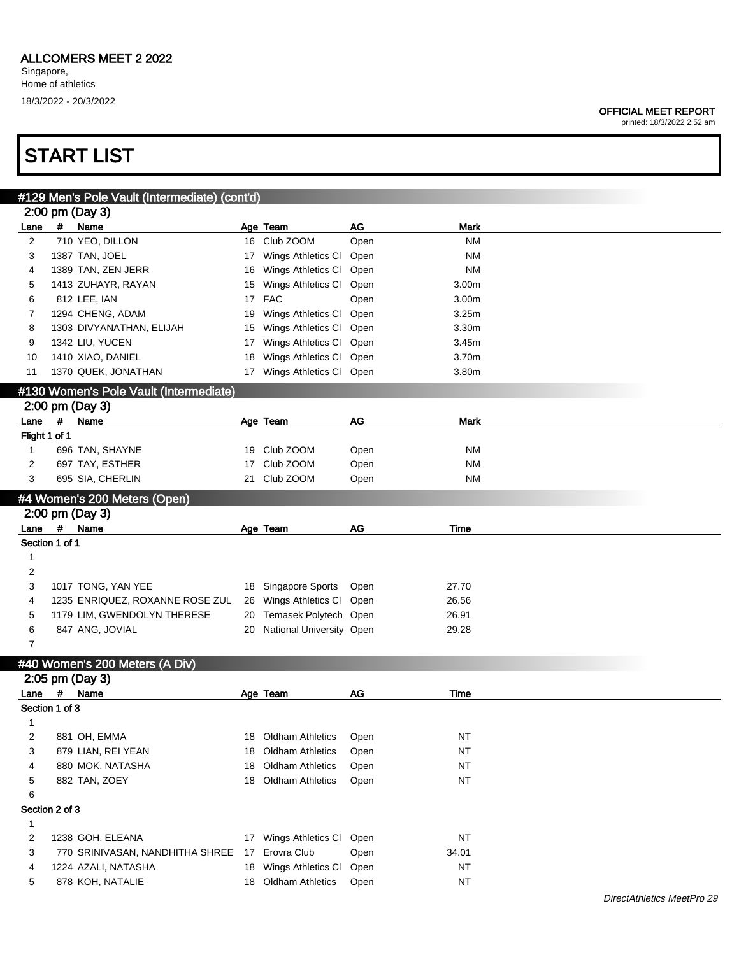#### OFFICIAL MEET REPORT

printed: 18/3/2022 2:52 am

|                |                | #129 Men's Pole Vault (Intermediate) (cont'd)   |    |                          |      |             |  |
|----------------|----------------|-------------------------------------------------|----|--------------------------|------|-------------|--|
|                |                | 2:00 pm (Day 3)                                 |    |                          |      |             |  |
| Lane           | #              | Name                                            |    | Age Team                 | AG   | <b>Mark</b> |  |
| $\overline{c}$ |                | 710 YEO, DILLON                                 |    | 16 Club ZOOM             | Open | <b>NM</b>   |  |
| 3              |                | 1387 TAN, JOEL                                  | 17 | Wings Athletics CI       | Open | <b>NM</b>   |  |
| 4              |                | 1389 TAN, ZEN JERR                              | 16 | Wings Athletics CI       | Open | <b>NM</b>   |  |
| 5              |                | 1413 ZUHAYR, RAYAN                              | 15 | Wings Athletics CI       | Open | 3.00m       |  |
| 6              |                | 812 LEE, IAN                                    | 17 | <b>FAC</b>               | Open | 3.00m       |  |
| 7              |                | 1294 CHENG, ADAM                                | 19 | Wings Athletics CI       | Open | 3.25m       |  |
| 8              |                | 1303 DIVYANATHAN, ELIJAH                        | 15 | Wings Athletics CI       | Open | 3.30m       |  |
| 9              |                | 1342 LIU, YUCEN                                 | 17 | Wings Athletics CI       | Open | 3.45m       |  |
| 10             |                | 1410 XIAO, DANIEL                               | 18 | Wings Athletics CI       | Open | 3.70m       |  |
| 11             |                | 1370 QUEK, JONATHAN                             | 17 | Wings Athletics CI       | Open | 3.80m       |  |
|                |                | #130 Women's Pole Vault (Intermediate)          |    |                          |      |             |  |
|                |                | 2:00 pm (Day 3)                                 |    |                          |      |             |  |
| Lane           | #              | Name                                            |    | Age Team                 | AG   | <b>Mark</b> |  |
|                | Flight 1 of 1  |                                                 |    |                          |      |             |  |
| 1              |                | 696 TAN, SHAYNE                                 | 19 | Club ZOOM                | Open | <b>NM</b>   |  |
| 2              |                | 697 TAY, ESTHER                                 | 17 | Club ZOOM                | Open | <b>NM</b>   |  |
| 3              |                | 695 SIA, CHERLIN                                | 21 | Club ZOOM                | Open | <b>NM</b>   |  |
|                |                |                                                 |    |                          |      |             |  |
|                |                | #4 Women's 200 Meters (Open)<br>2:00 pm (Day 3) |    |                          |      |             |  |
| Lane           | $\#$           | Name                                            |    | Age Team                 | AG   | Time        |  |
|                | Section 1 of 1 |                                                 |    |                          |      |             |  |
| 1              |                |                                                 |    |                          |      |             |  |
| $\overline{c}$ |                |                                                 |    |                          |      |             |  |
| 3              |                | 1017 TONG, YAN YEE                              |    |                          |      | 27.70       |  |
|                |                |                                                 | 18 | Singapore Sports         | Open |             |  |
| 4              |                | 1235 ENRIQUEZ, ROXANNE ROSE ZUL                 | 26 | Wings Athletics CI       | Open | 26.56       |  |
| 5              |                | 1179 LIM, GWENDOLYN THERESE                     | 20 | Temasek Polytech Open    |      | 26.91       |  |
| 6              |                | 847 ANG, JOVIAL                                 | 20 | National University Open |      | 29.28       |  |
| 7              |                |                                                 |    |                          |      |             |  |
|                |                | #40 Women's 200 Meters (A Div)                  |    |                          |      |             |  |
|                |                | 2:05 pm (Day 3)                                 |    |                          |      |             |  |
| Lane           | #              | Name                                            |    | Age Team                 | AG   | Time        |  |
|                | Section 1 of 3 |                                                 |    |                          |      |             |  |
| 1              |                |                                                 |    |                          |      |             |  |
|                |                |                                                 |    |                          |      |             |  |
| 2              |                | 881 OH, EMMA                                    |    | 18 Oldham Athletics      | Open | <b>NT</b>   |  |
| 3              |                | 879 LIAN, REI YEAN                              | 18 | <b>Oldham Athletics</b>  | Open | NT          |  |
| 4              |                | 880 MOK, NATASHA                                | 18 | <b>Oldham Athletics</b>  | Open | NT          |  |
| 5              |                | 882 TAN, ZOEY                                   |    | 18 Oldham Athletics      | Open | <b>NT</b>   |  |
| 6              |                |                                                 |    |                          |      |             |  |
|                | Section 2 of 3 |                                                 |    |                          |      |             |  |
| $\mathbf{1}$   |                |                                                 |    |                          |      |             |  |
| $\overline{c}$ |                | 1238 GOH, ELEANA                                | 17 | Wings Athletics CI       | Open | NT          |  |
| 3              |                | 770 SRINIVASAN, NANDHITHA SHREE                 | 17 | Erovra Club              | Open | 34.01       |  |
| 4              |                | 1224 AZALI, NATASHA                             | 18 | Wings Athletics CI       | Open | NT          |  |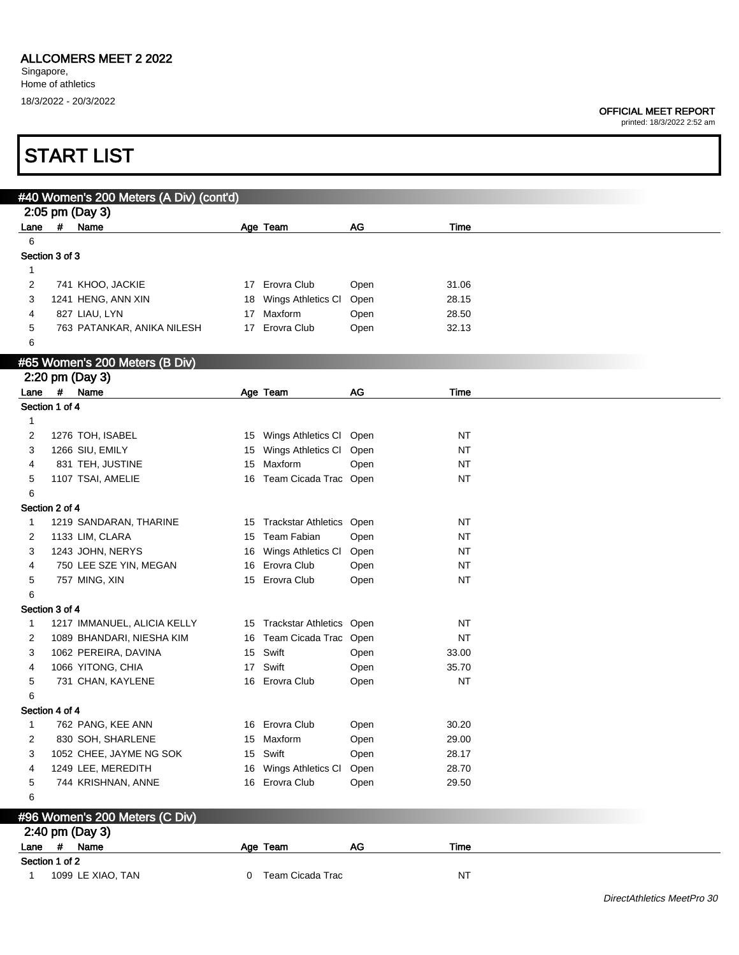|                |                | <b>START LIST</b>                       |   |                             |      |             |                            |
|----------------|----------------|-----------------------------------------|---|-----------------------------|------|-------------|----------------------------|
|                |                |                                         |   |                             |      |             |                            |
|                |                | #40 Women's 200 Meters (A Div) (cont'd) |   |                             |      |             |                            |
|                |                | 2:05 pm (Day 3)                         |   |                             |      |             |                            |
| Lane<br>6      | $\#$           | Name                                    |   | Age Team                    | AG   | Time        |                            |
|                | Section 3 of 3 |                                         |   |                             |      |             |                            |
| $\mathbf{1}$   |                |                                         |   |                             |      |             |                            |
| 2              |                | 741 KHOO, JACKIE                        |   | 17 Erovra Club              | Open | 31.06       |                            |
| 3              |                | 1241 HENG, ANN XIN                      |   | 18 Wings Athletics Cl       | Open | 28.15       |                            |
| 4              |                | 827 LIAU, LYN                           |   | 17 Maxform                  | Open | 28.50       |                            |
| 5              |                | 763 PATANKAR, ANIKA NILESH              |   | 17 Erovra Club              | Open | 32.13       |                            |
| 6              |                |                                         |   |                             |      |             |                            |
|                |                |                                         |   |                             |      |             |                            |
|                |                | #65 Women's 200 Meters (B Div)          |   |                             |      |             |                            |
|                |                | 2:20 pm (Day 3)<br>Lane # Name          |   |                             | AG   | <b>Time</b> |                            |
| Section 1 of 4 |                |                                         |   | Age Team                    |      |             |                            |
| 1              |                |                                         |   |                             |      |             |                            |
| 2              |                | 1276 TOH, ISABEL                        |   | 15 Wings Athletics Cl Open  |      | NT          |                            |
| 3              |                | 1266 SIU, EMILY                         |   | 15 Wings Athletics Cl Open  |      | NT          |                            |
| 4              |                | 831 TEH, JUSTINE                        |   | 15 Maxform                  | Open | NT          |                            |
| 5              |                | 1107 TSAI, AMELIE                       |   | 16 Team Cicada Trac Open    |      | NT          |                            |
| 6              |                |                                         |   |                             |      |             |                            |
|                | Section 2 of 4 |                                         |   |                             |      |             |                            |
| 1              |                | 1219 SANDARAN, THARINE                  |   | 15 Trackstar Athletics Open |      | NT          |                            |
| 2              |                | 1133 LIM, CLARA                         |   | 15 Team Fabian              | Open | NT          |                            |
| 3              |                | 1243 JOHN, NERYS                        |   | 16 Wings Athletics Cl       | Open | NT          |                            |
| 4              |                | 750 LEE SZE YIN, MEGAN                  |   | 16 Erovra Club              | Open | NT          |                            |
| 5              |                | 757 MING, XIN                           |   | 15 Erovra Club              | Open | NT          |                            |
| 6              |                |                                         |   |                             |      |             |                            |
|                | Section 3 of 4 |                                         |   |                             |      |             |                            |
| 1              |                | 1217 IMMANUEL, ALICIA KELLY             |   | 15 Trackstar Athletics Open |      | NT          |                            |
| 2              |                | 1089 BHANDARI, NIESHA KIM               |   | 16 Team Cicada Trac Open    |      | NT          |                            |
| 3              |                | 1062 PEREIRA, DAVINA                    |   | 15 Swift                    | Open | 33.00       |                            |
| 4              |                | 1066 YITONG, CHIA                       |   | 17 Swift                    | Open | 35.70       |                            |
|                |                | 731 CHAN, KAYLENE                       |   | 16 Erovra Club              | Open | <b>NT</b>   |                            |
| 6              |                |                                         |   |                             |      |             |                            |
|                | Section 4 of 4 |                                         |   |                             |      |             |                            |
| $\mathbf{1}$   |                | 762 PANG, KEE ANN                       |   | 16 Erovra Club              | Open | 30.20       |                            |
| 2              |                | 830 SOH, SHARLENE                       |   | 15 Maxform                  | Open | 29.00       |                            |
| 3              |                | 1052 CHEE, JAYME NG SOK                 |   | 15 Swift                    | Open | 28.17       |                            |
| 4              |                | 1249 LEE, MEREDITH                      |   | 16 Wings Athletics CI       | Open | 28.70       |                            |
| 5              |                | 744 KRISHNAN, ANNE                      |   | 16 Erovra Club              | Open | 29.50       |                            |
| 6              |                |                                         |   |                             |      |             |                            |
|                |                | #96 Women's 200 Meters (C Div)          |   |                             |      |             |                            |
|                |                | 2:40 pm (Day 3)                         |   |                             |      |             |                            |
|                |                | Lane # Name                             |   | Age Team                    | AG   | Time        |                            |
|                | Section 1 of 2 |                                         |   |                             |      |             |                            |
| 1              |                | 1099 LE XIAO, TAN                       | 0 | Team Cicada Trac            |      | <b>NT</b>   |                            |
|                |                |                                         |   |                             |      |             |                            |
|                |                |                                         |   |                             |      |             | DirectAthletics MeetPro 30 |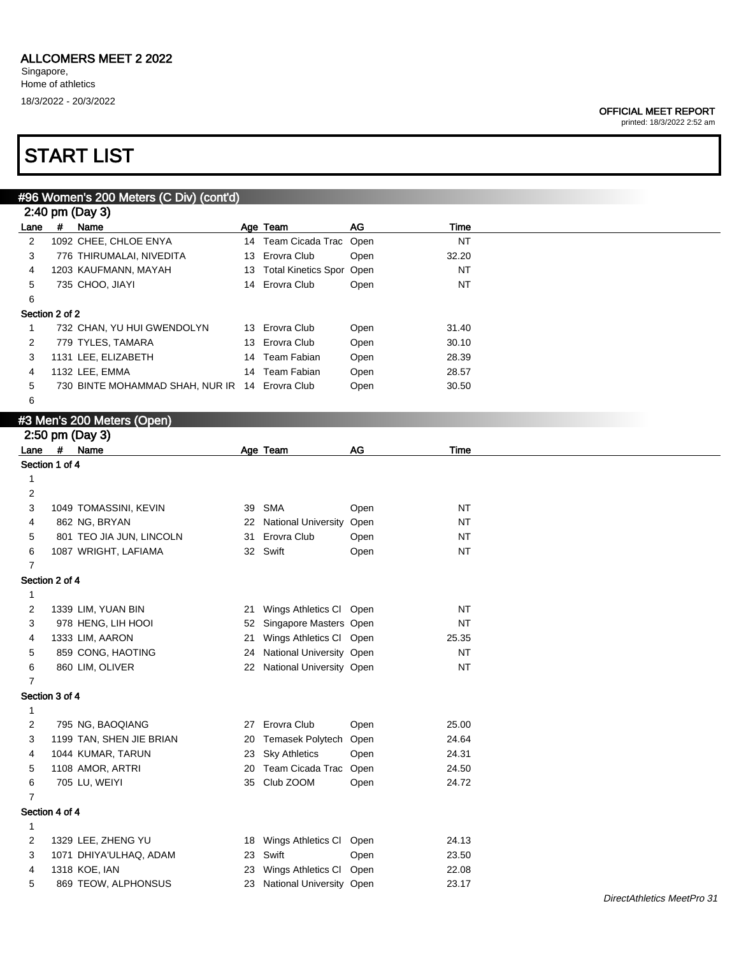### ALLCOMERS MEET 2 2022

Singapore, Home of athletics 18/3/2022 - 20/3/2022

#### OFFICIAL MEET REPORT

printed: 18/3/2022 2:52 am

|                         |   | #96 Women's 200 Meters (C Div) (cont'd)        |    |                             |      |           |
|-------------------------|---|------------------------------------------------|----|-----------------------------|------|-----------|
|                         |   | 2:40 pm (Day 3)                                |    |                             |      |           |
| Lane                    | # | Name                                           |    | Age Team                    | AG   | Time      |
| $\overline{2}$          |   | 1092 CHEE, CHLOE ENYA                          |    | 14 Team Cicada Trac Open    |      | <b>NT</b> |
| 3                       |   | 776 THIRUMALAI, NIVEDITA                       | 13 | Erovra Club                 | Open | 32.20     |
| 4                       |   | 1203 KAUFMANN, MAYAH                           | 13 | Total Kinetics Spor Open    |      | <b>NT</b> |
| 5                       |   | 735 CHOO, JIAYI                                |    | 14 Erovra Club              | Open | <b>NT</b> |
| 6                       |   |                                                |    |                             |      |           |
| Section 2 of 2          |   |                                                |    |                             |      |           |
| $\mathbf{1}$            |   | 732 CHAN, YU HUI GWENDOLYN                     |    | 13 Erovra Club              | Open | 31.40     |
| 2                       |   | 779 TYLES, TAMARA                              | 13 | Erovra Club                 | Open | 30.10     |
| 3                       |   | 1131 LEE, ELIZABETH                            | 14 | <b>Team Fabian</b>          | Open | 28.39     |
| 4                       |   | 1132 LEE, EMMA                                 | 14 | <b>Team Fabian</b>          | Open | 28.57     |
| 5                       |   | 730 BINTE MOHAMMAD SHAH, NUR IR 14 Erovra Club |    |                             | Open | 30.50     |
| 6                       |   |                                                |    |                             |      |           |
|                         |   | #3 Men's 200 Meters (Open)                     |    |                             |      |           |
|                         |   | 2:50 pm (Day 3)                                |    |                             |      |           |
| Lane                    | # | Name                                           |    | Age Team                    | AG   | Time      |
| Section 1 of 4          |   |                                                |    |                             |      |           |
| $\mathbf{1}$            |   |                                                |    |                             |      |           |
| 2                       |   |                                                |    |                             |      |           |
| 3                       |   | 1049 TOMASSINI, KEVIN                          | 39 | SMA                         | Open | <b>NT</b> |
| 4                       |   | 862 NG, BRYAN                                  |    | 22 National University Open |      | <b>NT</b> |
| 5                       |   | 801 TEO JIA JUN, LINCOLN                       | 31 | Erovra Club                 | Open | <b>NT</b> |
| 6                       |   | 1087 WRIGHT, LAFIAMA                           |    | 32 Swift                    | Open | NT        |
| $\overline{7}$          |   |                                                |    |                             |      |           |
| Section 2 of 4          |   |                                                |    |                             |      |           |
|                         |   |                                                |    |                             |      |           |
| $\mathbf{1}$            |   |                                                |    |                             |      |           |
| 2                       |   | 1339 LIM, YUAN BIN                             | 21 | Wings Athletics Cl Open     |      | <b>NT</b> |
| 3                       |   | 978 HENG, LIH HOOI                             | 52 | Singapore Masters Open      |      | <b>NT</b> |
| 4                       |   | 1333 LIM, AARON                                | 21 | Wings Athletics Cl Open     |      | 25.35     |
| 5                       |   | 859 CONG, HAOTING                              |    | 24 National University Open |      | <b>NT</b> |
| 6                       |   | 860 LIM, OLIVER                                |    | 22 National University Open |      | NT        |
| $\overline{7}$          |   |                                                |    |                             |      |           |
| Section 3 of 4          |   |                                                |    |                             |      |           |
| $\mathbf 1$             |   |                                                |    |                             |      |           |
| 2                       |   | 795 NG, BAOQIANG                               |    | 27 Erovra Club              | Open | 25.00     |
| 3                       |   | 1199 TAN, SHEN JIE BRIAN                       | 20 | Temasek Polytech Open       |      | 24.64     |
| 4                       |   | 1044 KUMAR, TARUN                              | 23 | <b>Sky Athletics</b>        | Open | 24.31     |
| 5                       |   | 1108 AMOR, ARTRI                               | 20 | Team Cicada Trac Open       |      | 24.50     |
| 6                       |   | 705 LU, WEIYI                                  | 35 | Club ZOOM                   | Open | 24.72     |
| $\overline{7}$          |   |                                                |    |                             |      |           |
| Section 4 of 4          |   |                                                |    |                             |      |           |
| $\mathbf{1}$            |   |                                                |    |                             |      |           |
| $\overline{\mathbf{c}}$ |   | 1329 LEE, ZHENG YU                             | 18 | Wings Athletics Cl Open     |      | 24.13     |
| 3                       |   | 1071 DHIYA'ULHAQ, ADAM                         | 23 | Swift                       | Open | 23.50     |
| 4                       |   | 1318 KOE, IAN                                  | 23 | Wings Athletics Cl Open     |      | 22.08     |
| 5                       |   | 869 TEOW, ALPHONSUS                            |    | 23 National University Open |      | 23.17     |
|                         |   |                                                |    |                             |      |           |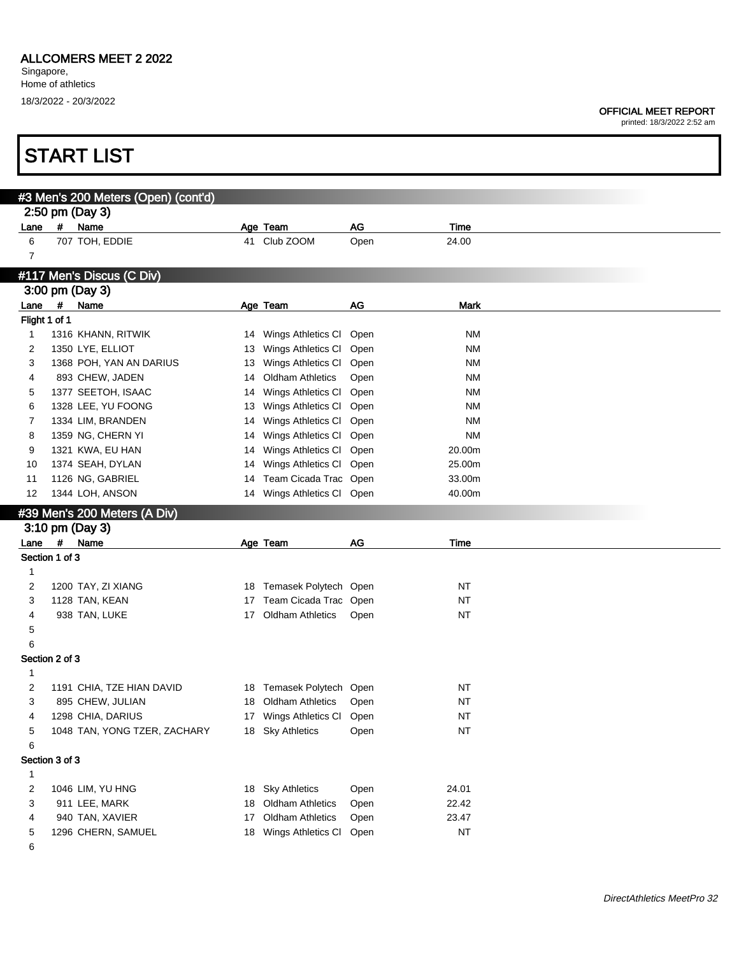Г

#### OFFICIAL MEET REPORT

|                | <b>START LIST</b>                   |    |                          |      |             |  |
|----------------|-------------------------------------|----|--------------------------|------|-------------|--|
|                |                                     |    |                          |      |             |  |
|                | #3 Men's 200 Meters (Open) (cont'd) |    |                          |      |             |  |
|                | 2:50 pm (Day 3)                     |    |                          |      |             |  |
| Lane           | #<br>Name                           |    | Age Team                 | AG   | Time        |  |
| 6              | 707 TOH, EDDIE                      |    | 41 Club ZOOM             | Open | 24.00       |  |
| $\overline{7}$ |                                     |    |                          |      |             |  |
|                |                                     |    |                          |      |             |  |
|                | #117 Men's Discus (C Div)           |    |                          |      |             |  |
|                | 3:00 pm (Day 3)                     |    |                          |      |             |  |
| Lane #         | Name                                |    | Age Team                 | AG   | <b>Mark</b> |  |
|                | Flight 1 of 1                       |    |                          |      |             |  |
| $\mathbf{1}$   | 1316 KHANN, RITWIK                  |    | 14 Wings Athletics CI    | Open | <b>NM</b>   |  |
| 2              | 1350 LYE, ELLIOT                    | 13 | Wings Athletics CI       | Open | <b>NM</b>   |  |
| 3              | 1368 POH, YAN AN DARIUS             | 13 | Wings Athletics CI       | Open | <b>NM</b>   |  |
| 4              | 893 CHEW, JADEN                     | 14 | <b>Oldham Athletics</b>  | Open | <b>NM</b>   |  |
| 5              | 1377 SEETOH, ISAAC                  | 14 | Wings Athletics CI       | Open | <b>NM</b>   |  |
| 6              | 1328 LEE, YU FOONG                  | 13 | Wings Athletics CI       | Open | <b>NM</b>   |  |
| 7              | 1334 LIM, BRANDEN                   | 14 | Wings Athletics CI       | Open | <b>NM</b>   |  |
| 8              | 1359 NG, CHERN YI                   | 14 | Wings Athletics CI       | Open | <b>NM</b>   |  |
| 9              | 1321 KWA, EU HAN                    | 14 | Wings Athletics CI       | Open | 20.00m      |  |
| 10             | 1374 SEAH, DYLAN                    | 14 | Wings Athletics CI       | Open | 25.00m      |  |
| 11             | 1126 NG, GABRIEL                    | 14 | Team Cicada Trac Open    |      | 33.00m      |  |
| 12             | 1344 LOH, ANSON                     | 14 | Wings Athletics Cl Open  |      | 40.00m      |  |
|                | #39 Men's 200 Meters (A Div)        |    |                          |      |             |  |
|                | 3:10 pm (Day 3)                     |    |                          |      |             |  |
|                | Lane #<br>Name                      |    | Age Team                 | AG   | Time        |  |
|                | Section 1 of 3                      |    |                          |      |             |  |
| 1              |                                     |    |                          |      |             |  |
| 2              | 1200 TAY, ZI XIANG                  |    | 18 Temasek Polytech Open |      | <b>NT</b>   |  |
| 3              | 1128 TAN, KEAN                      | 17 | Team Cicada Trac Open    |      | <b>NT</b>   |  |
| 4              | 938 TAN, LUKE                       | 17 | <b>Oldham Athletics</b>  | Open | <b>NT</b>   |  |
| 5              |                                     |    |                          |      |             |  |
| 6              |                                     |    |                          |      |             |  |
|                | Section 2 of 3                      |    |                          |      |             |  |
| 1              |                                     |    |                          |      |             |  |
| 2              |                                     |    |                          |      |             |  |
|                | 1191 CHIA, TZE HIAN DAVID           |    | 18 Temasek Polytech Open |      | NT          |  |
| 3              | 895 CHEW, JULIAN                    |    | 18 Oldham Athletics      | Open | <b>NT</b>   |  |
| 4              | 1298 CHIA, DARIUS                   |    | 17 Wings Athletics CI    | Open | <b>NT</b>   |  |
| 5              | 1048 TAN, YONG TZER, ZACHARY        |    | 18 Sky Athletics         | Open | <b>NT</b>   |  |
| 6              |                                     |    |                          |      |             |  |
|                | Section 3 of 3                      |    |                          |      |             |  |
| $\mathbf{1}$   |                                     |    |                          |      |             |  |
| $\overline{c}$ | 1046 LIM, YU HNG                    |    | 18 Sky Athletics         | Open | 24.01       |  |
| 3              | 911 LEE, MARK                       |    | 18 Oldham Athletics      | Open | 22.42       |  |
| 4              | 940 TAN, XAVIER                     | 17 | <b>Oldham Athletics</b>  | Open | 23.47       |  |
| 5              | 1296 CHERN, SAMUEL                  |    | 18 Wings Athletics CI    | Open | <b>NT</b>   |  |
| 6              |                                     |    |                          |      |             |  |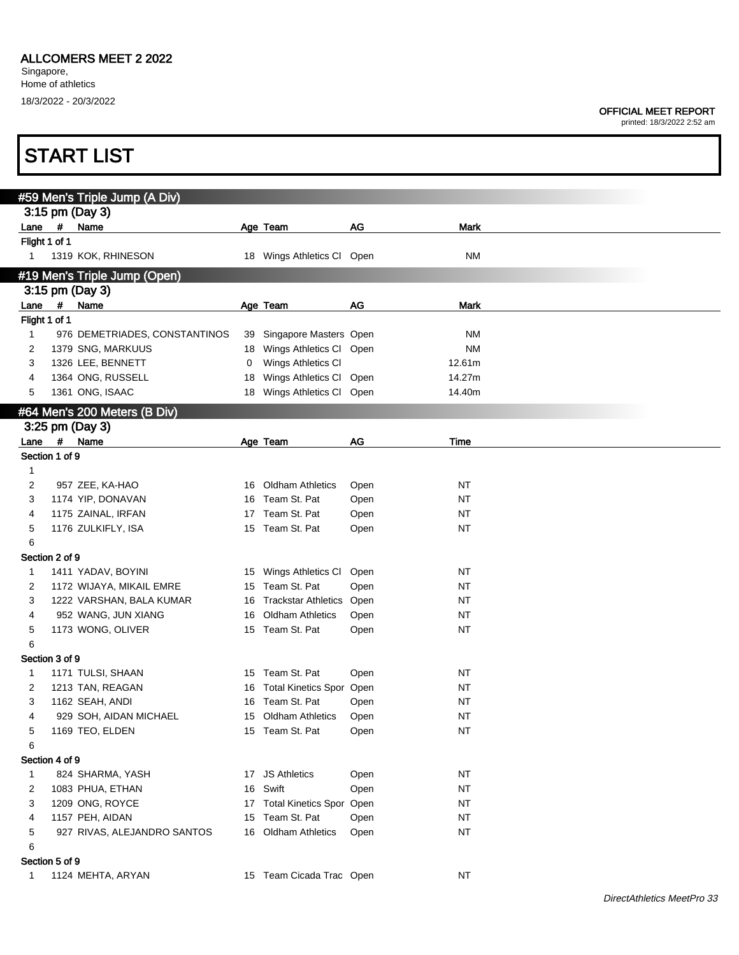Г

|                               |                | <b>START LIST</b>             |    |                             |      |             |  |  |  |  |
|-------------------------------|----------------|-------------------------------|----|-----------------------------|------|-------------|--|--|--|--|
|                               |                |                               |    |                             |      |             |  |  |  |  |
|                               |                | #59 Men's Triple Jump (A Div) |    |                             |      |             |  |  |  |  |
|                               |                | 3:15 pm (Day 3)               |    |                             |      |             |  |  |  |  |
| Lane                          | $\pmb{\#}$     | Name                          |    | Age Team                    | AG   | Mark        |  |  |  |  |
| Flight 1 of 1<br>$\mathbf{1}$ |                | 1319 KOK, RHINESON            |    | 18 Wings Athletics CI Open  |      | NΜ          |  |  |  |  |
|                               |                |                               |    |                             |      |             |  |  |  |  |
| #19 Men's Triple Jump (Open)  |                |                               |    |                             |      |             |  |  |  |  |
|                               |                | 3:15 pm (Day 3)               |    |                             |      |             |  |  |  |  |
| Lane<br>Flight 1 of 1         | #              | Name                          |    | Age Team                    | AG   | <b>Mark</b> |  |  |  |  |
| $\mathbf{1}$                  |                | 976 DEMETRIADES, CONSTANTINOS |    | 39 Singapore Masters Open   |      | ΝM          |  |  |  |  |
| 2                             |                | 1379 SNG, MARKUUS             |    | 18 Wings Athletics Cl Open  |      | <b>NM</b>   |  |  |  |  |
| 3                             |                | 1326 LEE, BENNETT             | 0  | Wings Athletics CI          |      | 12.61m      |  |  |  |  |
| 4                             |                | 1364 ONG, RUSSELL             | 18 | Wings Athletics Cl Open     |      | 14.27m      |  |  |  |  |
| 5                             |                | 1361 ONG, ISAAC               |    | 18 Wings Athletics Cl Open  |      | 14.40m      |  |  |  |  |
|                               |                | #64 Men's 200 Meters (B Div)  |    |                             |      |             |  |  |  |  |
|                               |                | 3:25 pm (Day 3)               |    |                             |      |             |  |  |  |  |
| Lane                          |                | # Name                        |    | Age Team                    | AG   | Time        |  |  |  |  |
|                               | Section 1 of 9 |                               |    |                             |      |             |  |  |  |  |
| 1                             |                |                               |    |                             |      |             |  |  |  |  |
| 2                             |                | 957 ZEE, KA-HAO               | 16 | <b>Oldham Athletics</b>     | Open | <b>NT</b>   |  |  |  |  |
| 3                             |                | 1174 YIP, DONAVAN             | 16 | Team St. Pat                | Open | <b>NT</b>   |  |  |  |  |
| 4                             |                | 1175 ZAINAL, IRFAN            | 17 | Team St. Pat                | Open | <b>NT</b>   |  |  |  |  |
| 5                             |                | 1176 ZULKIFLY, ISA            |    | 15 Team St. Pat             | Open | NT          |  |  |  |  |
| 6                             |                |                               |    |                             |      |             |  |  |  |  |
|                               | Section 2 of 9 |                               |    |                             |      |             |  |  |  |  |
| 1                             |                | 1411 YADAV, BOYINI            |    | 15 Wings Athletics CI       | Open | <b>NT</b>   |  |  |  |  |
| 2                             |                | 1172 WIJAYA, MIKAIL EMRE      | 15 | Team St. Pat                | Open | NT          |  |  |  |  |
| 3                             |                | 1222 VARSHAN, BALA KUMAR      | 16 | Trackstar Athletics Open    |      | NT          |  |  |  |  |
| 4                             |                | 952 WANG, JUN XIANG           | 16 | <b>Oldham Athletics</b>     | Open | <b>NT</b>   |  |  |  |  |
| 5<br>6                        |                | 1173 WONG, OLIVER             |    | 15 Team St. Pat             | Open | NT          |  |  |  |  |
|                               | Section 3 of 9 |                               |    |                             |      |             |  |  |  |  |
| 1                             |                | 1171 TULSI, SHAAN             |    | 15 Team St. Pat             | Open | <b>NT</b>   |  |  |  |  |
|                               |                | 1213 TAN, REAGAN              |    | 16 Total Kinetics Spor Open |      | <b>NT</b>   |  |  |  |  |
| 3                             |                | 1162 SEAH, ANDI               |    | 16 Team St. Pat             | Open | <b>NT</b>   |  |  |  |  |
| 4                             |                | 929 SOH, AIDAN MICHAEL        |    | 15 Oldham Athletics         | Open | <b>NT</b>   |  |  |  |  |
| 5                             |                | 1169 TEO, ELDEN               |    | 15 Team St. Pat             | Open | <b>NT</b>   |  |  |  |  |
| 6                             |                |                               |    |                             |      |             |  |  |  |  |
| Section 4 of 9                |                |                               |    |                             |      |             |  |  |  |  |
| 1                             |                | 824 SHARMA, YASH              |    | 17 JS Athletics             | Open | <b>NT</b>   |  |  |  |  |
| 2                             |                | 1083 PHUA, ETHAN              |    | 16 Swift                    | Open | <b>NT</b>   |  |  |  |  |
| 3                             |                | 1209 ONG, ROYCE               |    | 17 Total Kinetics Spor Open |      | <b>NT</b>   |  |  |  |  |
| 4                             |                | 1157 PEH, AIDAN               |    | 15 Team St. Pat             | Open | <b>NT</b>   |  |  |  |  |
| 5                             |                | 927 RIVAS, ALEJANDRO SANTOS   |    | 16 Oldham Athletics         | Open | <b>NT</b>   |  |  |  |  |
| 6                             |                |                               |    |                             |      |             |  |  |  |  |
|                               | Section 5 of 9 |                               |    |                             |      |             |  |  |  |  |
| 1                             |                | 1124 MEHTA, ARYAN             |    | 15 Team Cicada Trac Open    |      | <b>NT</b>   |  |  |  |  |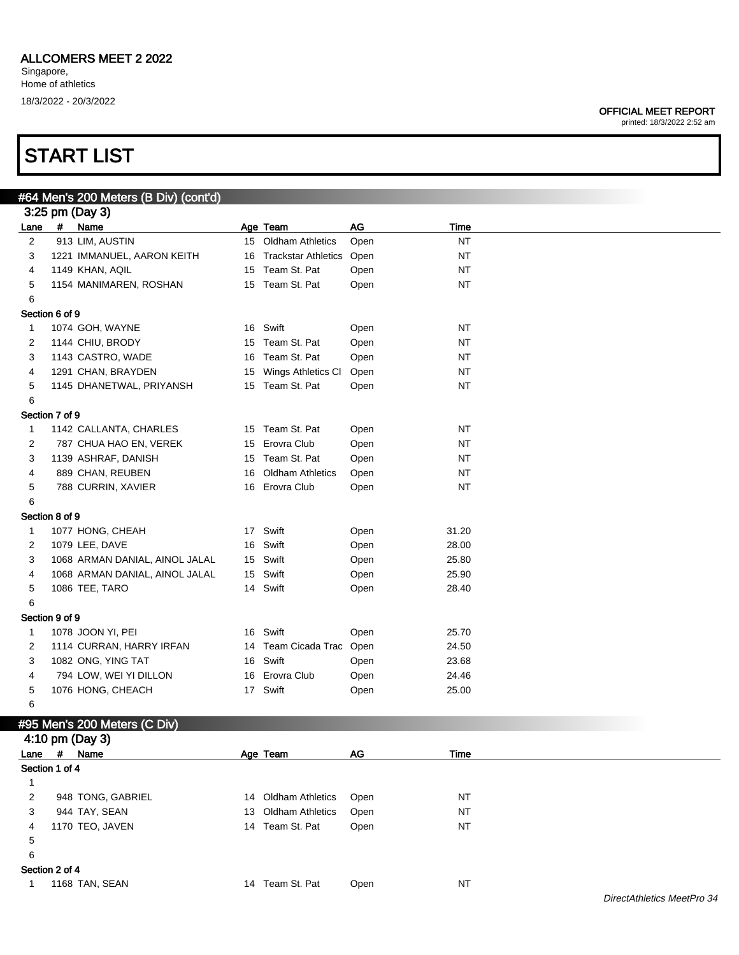### START LIST

#### OFFICIAL MEET REPORT

|                | #64 Men's 200 Meters (B Div) (cont'd) |    |                            |      |           |  |
|----------------|---------------------------------------|----|----------------------------|------|-----------|--|
|                | 3:25 pm (Day 3)                       |    |                            |      |           |  |
| Lane           | # Name                                |    | Age Team                   | AG   | Time      |  |
| $\overline{2}$ | 913 LIM, AUSTIN                       |    | 15 Oldham Athletics        | Open | NT        |  |
| 3              | 1221 IMMANUEL, AARON KEITH            | 16 | <b>Trackstar Athletics</b> | Open | NT        |  |
| 4              | 1149 KHAN, AQIL                       |    | 15 Team St. Pat            | Open | NT        |  |
| 5              | 1154 MANIMAREN, ROSHAN                |    | 15 Team St. Pat            | Open | NT        |  |
| 6              |                                       |    |                            |      |           |  |
| Section 6 of 9 |                                       |    |                            |      |           |  |
| 1              | 1074 GOH, WAYNE                       |    | 16 Swift                   | Open | NT        |  |
| 2              | 1144 CHIU, BRODY                      |    | 15 Team St. Pat            | Open | NT        |  |
| 3              | 1143 CASTRO, WADE                     | 16 | Team St. Pat               | Open | NT        |  |
| 4              | 1291 CHAN, BRAYDEN                    | 15 | Wings Athletics CI         | Open | NT        |  |
| 5              | 1145 DHANETWAL, PRIYANSH              |    | 15 Team St. Pat            | Open | NT        |  |
| 6              |                                       |    |                            |      |           |  |
| Section 7 of 9 |                                       |    |                            |      |           |  |
| 1              | 1142 CALLANTA, CHARLES                |    | 15 Team St. Pat            | Open | NT        |  |
| 2              | 787 CHUA HAO EN, VEREK                | 15 | Erovra Club                | Open | NT        |  |
| 3              | 1139 ASHRAF, DANISH                   |    | 15 Team St. Pat            | Open | NT        |  |
| 4              | 889 CHAN, REUBEN                      | 16 | <b>Oldham Athletics</b>    | Open | NT        |  |
| 5              | 788 CURRIN, XAVIER                    |    | 16 Erovra Club             | Open | NT        |  |
| 6              |                                       |    |                            |      |           |  |
| Section 8 of 9 |                                       |    |                            |      |           |  |
| 1              | 1077 HONG, CHEAH                      |    | 17 Swift                   | Open | 31.20     |  |
| 2              | 1079 LEE, DAVE                        |    | 16 Swift                   | Open | 28.00     |  |
| 3              | 1068 ARMAN DANIAL, AINOL JALAL        |    | 15 Swift                   | Open | 25.80     |  |
| 4              | 1068 ARMAN DANIAL, AINOL JALAL        |    | 15 Swift                   | Open | 25.90     |  |
| 5              | 1086 TEE, TARO                        |    | 14 Swift                   | Open | 28.40     |  |
| 6              |                                       |    |                            |      |           |  |
| Section 9 of 9 |                                       |    |                            |      |           |  |
|                |                                       |    | 16 Swift                   |      |           |  |
| 1              | 1078 JOON YI, PEI                     |    |                            | Open | 25.70     |  |
| 2              | 1114 CURRAN, HARRY IRFAN              |    | 14 Team Cicada Trac        | Open | 24.50     |  |
| 3              | 1082 ONG, YING TAT                    |    | 16 Swift                   | Open | 23.68     |  |
| 4              | 794 LOW, WEI YI DILLON                |    | 16 Erovra Club             | Open | 24.46     |  |
| 5              | 1076 HONG, CHEACH                     |    | 17 Swift                   | Open | 25.00     |  |
| 6              |                                       |    |                            |      |           |  |
|                | #95 Men's 200 Meters (C Div)          |    |                            |      |           |  |
|                | 4:10 pm (Day 3)                       |    |                            |      |           |  |
| Lane           | # Name                                |    | Age Team                   | AG   | Time      |  |
| Section 1 of 4 |                                       |    |                            |      |           |  |
| $\mathbf{1}$   |                                       |    |                            |      |           |  |
| 2              | 948 TONG, GABRIEL                     |    | 14 Oldham Athletics        | Open | <b>NT</b> |  |
| 3              | 944 TAY, SEAN                         | 13 | <b>Oldham Athletics</b>    | Open | <b>NT</b> |  |
| 4              | 1170 TEO, JAVEN                       |    | 14 Team St. Pat            | Open | <b>NT</b> |  |
| 5              |                                       |    |                            |      |           |  |
| 6              |                                       |    |                            |      |           |  |
| Section 2 of 4 |                                       |    |                            |      |           |  |
| 1              | 1168 TAN, SEAN                        |    | 14 Team St. Pat            | Open | NT        |  |
|                |                                       |    |                            |      |           |  |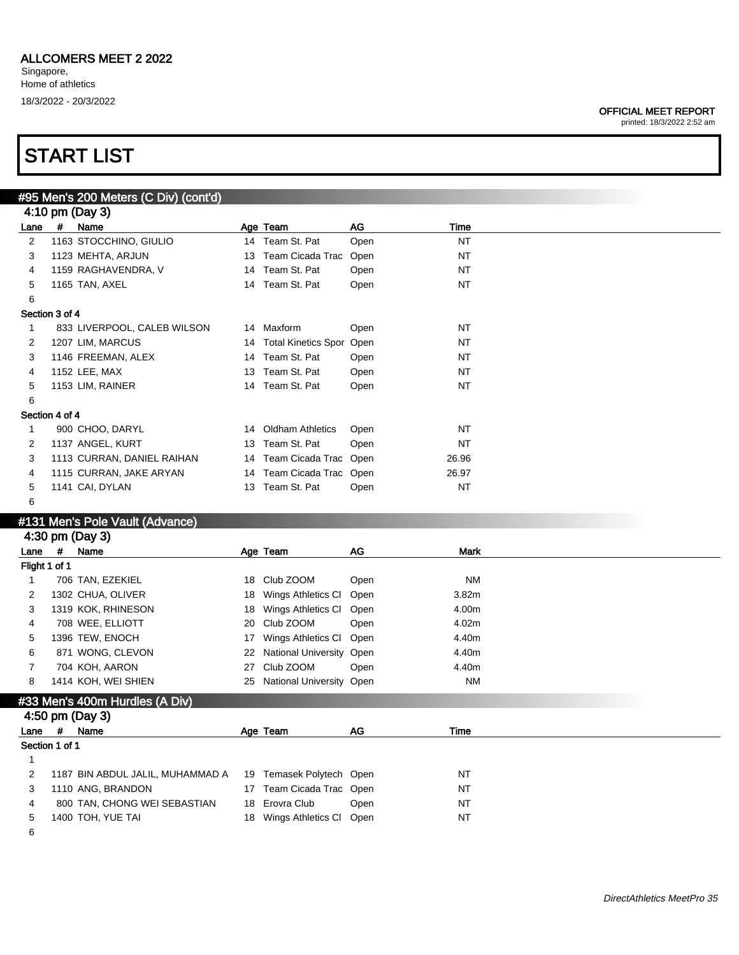### OFFICIAL MEET REPORT

printed: 18/3/2022 2:52 am

### START LIST

|                 |   | #95 Men's 200 Meters (C Div) (cont'd) |    |                         |      |           |  |  |  |
|-----------------|---|---------------------------------------|----|-------------------------|------|-----------|--|--|--|
| 4:10 pm (Day 3) |   |                                       |    |                         |      |           |  |  |  |
| Lane            | # | Name                                  |    | Age Team                | AG   | Time      |  |  |  |
| 2               |   | 1163 STOCCHINO, GIULIO                |    | 14 Team St. Pat         | Open | <b>NT</b> |  |  |  |
| 3               |   | 1123 MEHTA, ARJUN                     |    | 13 Team Cicada Trac     | Open | <b>NT</b> |  |  |  |
| 4               |   | 1159 RAGHAVENDRA, V                   |    | 14 Team St. Pat         | Open | <b>NT</b> |  |  |  |
| 5               |   | 1165 TAN, AXEL                        |    | 14 Team St. Pat         | Open | <b>NT</b> |  |  |  |
| 6               |   |                                       |    |                         |      |           |  |  |  |
| Section 3 of 4  |   |                                       |    |                         |      |           |  |  |  |
|                 |   | 833 LIVERPOOL, CALEB WILSON           |    | 14 Maxform              | Open | <b>NT</b> |  |  |  |
| 2               |   | 1207 LIM, MARCUS                      |    | 14 Total Kinetics Spor  | Open | <b>NT</b> |  |  |  |
| 3               |   | 1146 FREEMAN, ALEX                    |    | 14 Team St. Pat         | Open | <b>NT</b> |  |  |  |
| 4               |   | 1152 LEE, MAX                         |    | 13 Team St. Pat         | Open | <b>NT</b> |  |  |  |
| 5               |   | 1153 LIM, RAINER                      |    | 14 Team St. Pat         | Open | NT        |  |  |  |
| 6               |   |                                       |    |                         |      |           |  |  |  |
| Section 4 of 4  |   |                                       |    |                         |      |           |  |  |  |
|                 |   | 900 CHOO, DARYL                       | 14 | <b>Oldham Athletics</b> | Open | NT        |  |  |  |
| 2               |   | 1137 ANGEL, KURT                      |    | 13 Team St. Pat         | Open | <b>NT</b> |  |  |  |
| 3               |   | 1113 CURRAN, DANIEL RAIHAN            |    | 14 Team Cicada Trac     | Open | 26.96     |  |  |  |
| 4               |   | 1115 CURRAN, JAKE ARYAN               |    | 14 Team Cicada Trac     | Open | 26.97     |  |  |  |
| 5               |   | 1141 CAI, DYLAN                       |    | 13 Team St. Pat         | Open | <b>NT</b> |  |  |  |
| 6               |   |                                       |    |                         |      |           |  |  |  |
|                 |   | #131 Men's Pole Vault (Advance)       |    |                         |      |           |  |  |  |

#### #131 Men's Pole Vault (Advance)

6

|                |   | 4:30 pm (Day 3)                  |    |                          |      |             |
|----------------|---|----------------------------------|----|--------------------------|------|-------------|
| Lane           | # | Name                             |    | Age Team                 | AG   | <b>Mark</b> |
| Flight 1 of 1  |   |                                  |    |                          |      |             |
|                |   | 706 TAN, EZEKIEL                 | 18 | Club ZOOM                | Open | <b>NM</b>   |
| 2              |   | 1302 CHUA, OLIVER                | 18 | Wings Athletics CI       | Open | 3.82m       |
| 3              |   | 1319 KOK, RHINESON               | 18 | Wings Athletics CI       | Open | 4.00m       |
| 4              |   | 708 WEE, ELLIOTT                 | 20 | Club ZOOM                | Open | 4.02m       |
| 5              |   | 1396 TEW, ENOCH                  | 17 | Wings Athletics CI       | Open | 4.40m       |
| 6              |   | 871 WONG, CLEVON                 | 22 | National University Open |      | 4.40m       |
|                |   | 704 KOH, AARON                   | 27 | Club ZOOM                | Open | 4.40m       |
| 8              |   | 1414 KOH, WEI SHIEN              | 25 | National University Open |      | NM          |
|                |   | #33 Men's 400m Hurdles (A Div)   |    |                          |      |             |
|                |   | 4:50 pm (Day 3)                  |    |                          |      |             |
| Lane           | # | Name                             |    | Age Team                 | AG   | Time        |
| Section 1 of 1 |   |                                  |    |                          |      |             |
|                |   |                                  |    |                          |      |             |
| 2              |   | 1187 BIN ABDUL JALIL, MUHAMMAD A | 19 | Temasek Polytech Open    |      | NT          |
| 3              |   | 1110 ANG, BRANDON                |    | 17 Team Cicada Trac Open |      | <b>NT</b>   |
| 4              |   | 800 TAN, CHONG WEI SEBASTIAN     |    | 18 Erovra Club           | Open | <b>NT</b>   |
| 5              |   | 1400 TOH, YUE TAI                | 18 | Wings Athletics CI       | Open | <b>NT</b>   |

DirectAthletics MeetPro 35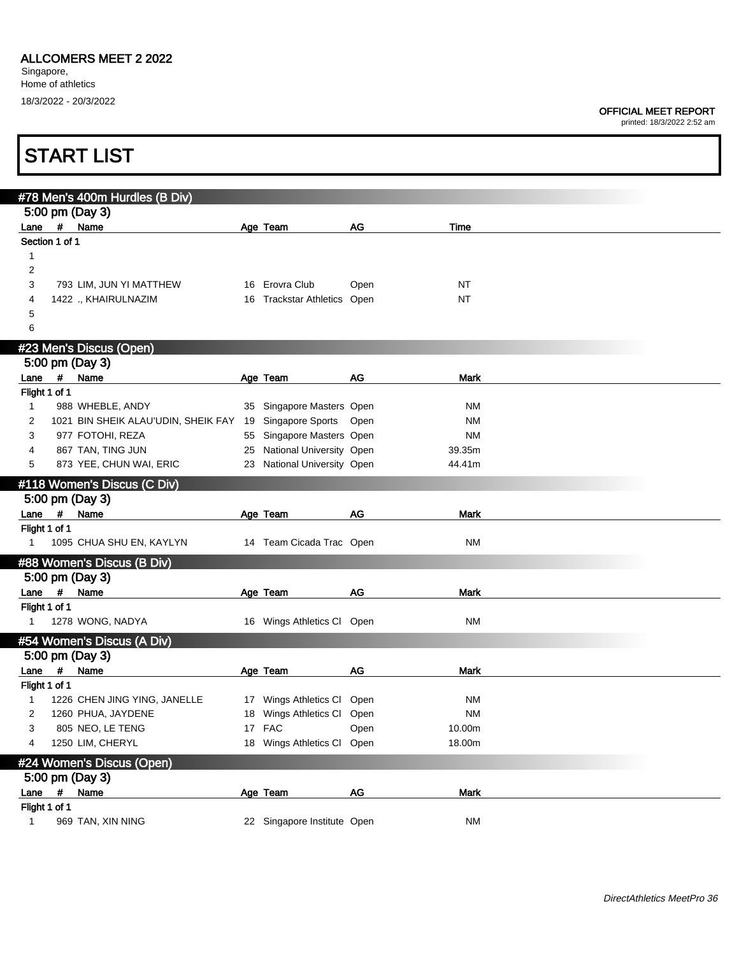### ALLCOMERS MEET 2 2022

Singapore, Home of athletics 18/3/2022 - 20/3/2022

### OFFICIAL MEET REPORT

|                       |   | <b>START LIST</b>                                            |    |                             |      |             |  |
|-----------------------|---|--------------------------------------------------------------|----|-----------------------------|------|-------------|--|
|                       |   | #78 Men's 400m Hurdles (B Div)                               |    |                             |      |             |  |
|                       |   | 5:00 pm (Day 3)                                              |    |                             |      |             |  |
| Lane                  |   | # Name                                                       |    | Age Team                    | AG   | Time        |  |
| Section 1 of 1        |   |                                                              |    |                             |      |             |  |
| 1                     |   |                                                              |    |                             |      |             |  |
| 2                     |   |                                                              |    |                             |      |             |  |
| 3                     |   | 793 LIM, JUN YI MATTHEW                                      |    | 16 Erovra Club              | Open | NT          |  |
| 4                     |   | 1422 ., KHAIRULNAZIM                                         |    | 16 Trackstar Athletics Open |      | <b>NT</b>   |  |
| 5<br>6                |   |                                                              |    |                             |      |             |  |
|                       |   |                                                              |    |                             |      |             |  |
|                       |   | #23 Men's Discus (Open)                                      |    |                             |      |             |  |
|                       |   | 5:00 pm (Day 3)                                              |    |                             |      |             |  |
| Lane<br>Flight 1 of 1 |   | # Name                                                       |    | Age Team                    | AG   | <b>Mark</b> |  |
| 1                     |   | 988 WHEBLE, ANDY                                             |    | 35 Singapore Masters Open   |      | ΝM          |  |
| 2                     |   | 1021 BIN SHEIK ALAU'UDIN, SHEIK FAY 19 Singapore Sports Open |    |                             |      | <b>NM</b>   |  |
| 3                     |   | 977 FOTOHI, REZA                                             |    | 55 Singapore Masters Open   |      | <b>NM</b>   |  |
| 4                     |   | 867 TAN, TING JUN                                            |    | 25 National University Open |      | 39.35m      |  |
| 5                     |   | 873 YEE, CHUN WAI, ERIC                                      |    | 23 National University Open |      | 44.41m      |  |
|                       |   | #118 Women's Discus (C Div)                                  |    |                             |      |             |  |
|                       |   | 5:00 pm (Day 3)                                              |    |                             |      |             |  |
| Lane                  | # | Name                                                         |    | Age Team                    | AG   | Mark        |  |
| Flight 1 of 1         |   |                                                              |    |                             |      |             |  |
| $\mathbf{1}$          |   | 1095 CHUA SHU EN, KAYLYN                                     |    | 14 Team Cicada Trac Open    |      | <b>NM</b>   |  |
|                       |   | #88 Women's Discus (B Div)                                   |    |                             |      |             |  |
|                       |   | 5:00 pm (Day 3)                                              |    |                             |      |             |  |
|                       |   | Lane # Name                                                  |    | Age Team                    | AG   | <b>Mark</b> |  |
| Flight 1 of 1         |   |                                                              |    |                             |      |             |  |
| $\mathbf{1}$          |   | 1278 WONG, NADYA                                             |    | 16 Wings Athletics Cl Open  |      | ΝM          |  |
|                       |   | #54 Women's Discus (A Div)                                   |    |                             |      |             |  |
|                       |   | 5:00 pm (Day 3)                                              |    |                             |      |             |  |
|                       |   | Lane # Name                                                  |    | Age Team                    | AG   | Mark        |  |
| Flight 1 of 1         |   |                                                              |    |                             |      |             |  |
| 1                     |   | 1226 CHEN JING YING, JANELLE                                 |    | 17 Wings Athletics CI       | Open | <b>NM</b>   |  |
| 2                     |   | 1260 PHUA, JAYDENE                                           | 18 | Wings Athletics CI          | Open | <b>NM</b>   |  |
| 3                     |   | 805 NEO, LE TENG                                             |    | 17 FAC                      | Open | 10.00m      |  |
| 4                     |   | 1250 LIM, CHERYL                                             |    | 18 Wings Athletics CI       | Open | 18.00m      |  |
|                       |   | #24 Women's Discus (Open)                                    |    |                             |      |             |  |
|                       |   | 5:00 pm (Day 3)                                              |    |                             |      |             |  |
| Lane                  | # | Name                                                         |    | Age Team                    | AG   | Mark        |  |
| Flight 1 of 1         |   |                                                              |    |                             |      |             |  |
| $\mathbf{1}$          |   | 969 TAN, XIN NING                                            |    | 22 Singapore Institute Open |      | <b>NM</b>   |  |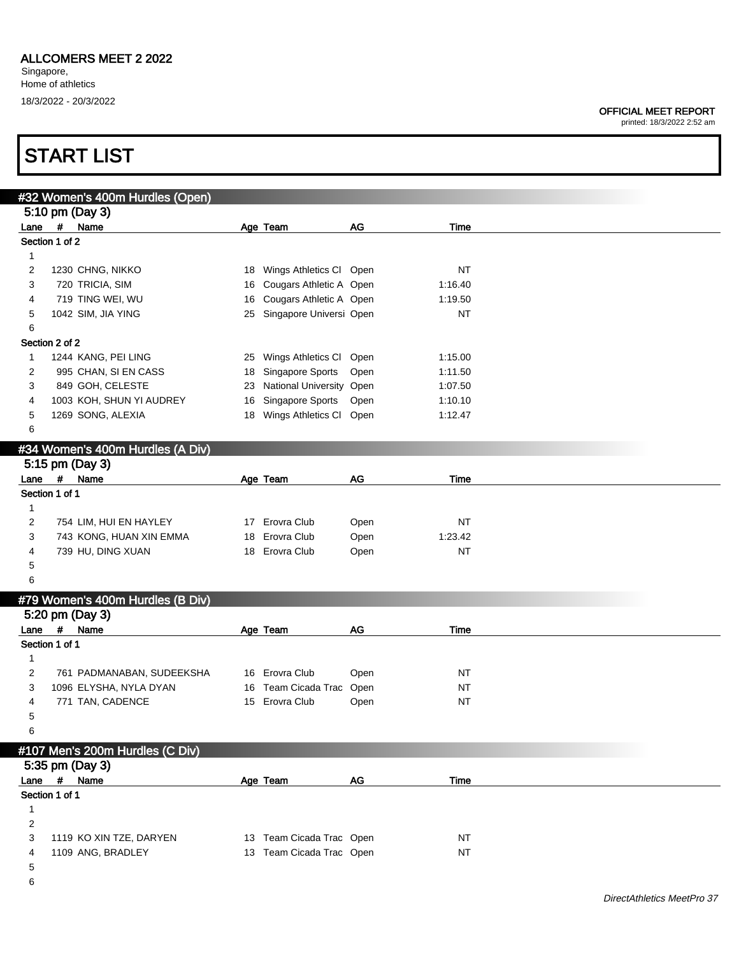printed: 18/3/2022 2:52 am

## START LIST

|                | #32 Women's 400m Hurdles (Open)  |    |                            |      |           |  |
|----------------|----------------------------------|----|----------------------------|------|-----------|--|
|                | 5:10 pm (Day 3)                  |    |                            |      |           |  |
|                | Lane # Name                      |    | Age Team                   | AG   | Time      |  |
| Section 1 of 2 |                                  |    |                            |      |           |  |
| 1              |                                  |    |                            |      |           |  |
| 2              | 1230 CHNG, NIKKO                 | 18 | Wings Athletics Cl Open    |      | <b>NT</b> |  |
| 3              | 720 TRICIA, SIM                  | 16 | Cougars Athletic A Open    |      | 1:16.40   |  |
| 4              | 719 TING WEI, WU                 | 16 | Cougars Athletic A Open    |      | 1:19.50   |  |
| 5              | 1042 SIM, JIA YING               |    | 25 Singapore Universi Open |      | <b>NT</b> |  |
| 6              |                                  |    |                            |      |           |  |
| Section 2 of 2 |                                  |    |                            |      |           |  |
| 1              | 1244 KANG, PEI LING              | 25 | Wings Athletics Cl Open    |      | 1:15.00   |  |
| 2              | 995 CHAN, SI EN CASS             | 18 | Singapore Sports           | Open | 1:11.50   |  |
| 3              | 849 GOH, CELESTE                 | 23 | National University Open   |      | 1:07.50   |  |
| 4              | 1003 KOH, SHUN YI AUDREY         | 16 | Singapore Sports           | Open | 1:10.10   |  |
| 5              | 1269 SONG, ALEXIA                | 18 | Wings Athletics Cl Open    |      | 1:12.47   |  |
| 6              |                                  |    |                            |      |           |  |
|                |                                  |    |                            |      |           |  |
|                | #34 Women's 400m Hurdles (A Div) |    |                            |      |           |  |
|                | 5:15 pm (Day 3)                  |    |                            |      |           |  |
|                | Lane # Name                      |    | Age Team                   | AG   | Time      |  |
| Section 1 of 1 |                                  |    |                            |      |           |  |
| $\mathbf{1}$   |                                  |    |                            |      |           |  |
| 2              | 754 LIM, HUI EN HAYLEY           |    | 17 Erovra Club             | Open | <b>NT</b> |  |
| 3              | 743 KONG, HUAN XIN EMMA          |    | 18 Erovra Club             | Open | 1:23.42   |  |
| 4              | 739 HU, DING XUAN                |    | 18 Erovra Club             | Open | <b>NT</b> |  |
| 5              |                                  |    |                            |      |           |  |
| 6              |                                  |    |                            |      |           |  |
|                | #79 Women's 400m Hurdles (B Div) |    |                            |      |           |  |
|                | 5:20 pm (Day 3)                  |    |                            |      |           |  |
| Lane           | # Name                           |    | Age Team                   | AG   | Time      |  |
| Section 1 of 1 |                                  |    |                            |      |           |  |
| 1              |                                  |    |                            |      |           |  |
| $\overline{c}$ | 761 PADMANABAN, SUDEEKSHA        |    | 16 Erovra Club             | Open | <b>NT</b> |  |
| 3              | 1096 ELYSHA, NYLA DYAN           |    | 16 Team Cicada Trac Open   |      | <b>NT</b> |  |
| 4              | 771 TAN, CADENCE                 |    | 15 Erovra Club             | Open | <b>NT</b> |  |
| 5              |                                  |    |                            |      |           |  |
| 6              |                                  |    |                            |      |           |  |
|                |                                  |    |                            |      |           |  |
|                | #107 Men's 200m Hurdles (C Div)  |    |                            |      |           |  |
|                | 5:35 pm (Day 3)                  |    |                            |      |           |  |
| Lane           | # Name                           |    | Age Team                   | AG   | Time      |  |
| Section 1 of 1 |                                  |    |                            |      |           |  |
| $\mathbf{1}$   |                                  |    |                            |      |           |  |
| 2              |                                  |    |                            |      |           |  |
| 3              | 1119 KO XIN TZE, DARYEN          |    | 13 Team Cicada Trac Open   |      | <b>NT</b> |  |
| 4              | 1109 ANG, BRADLEY                |    | 13 Team Cicada Trac Open   |      | <b>NT</b> |  |
| 5              |                                  |    |                            |      |           |  |

6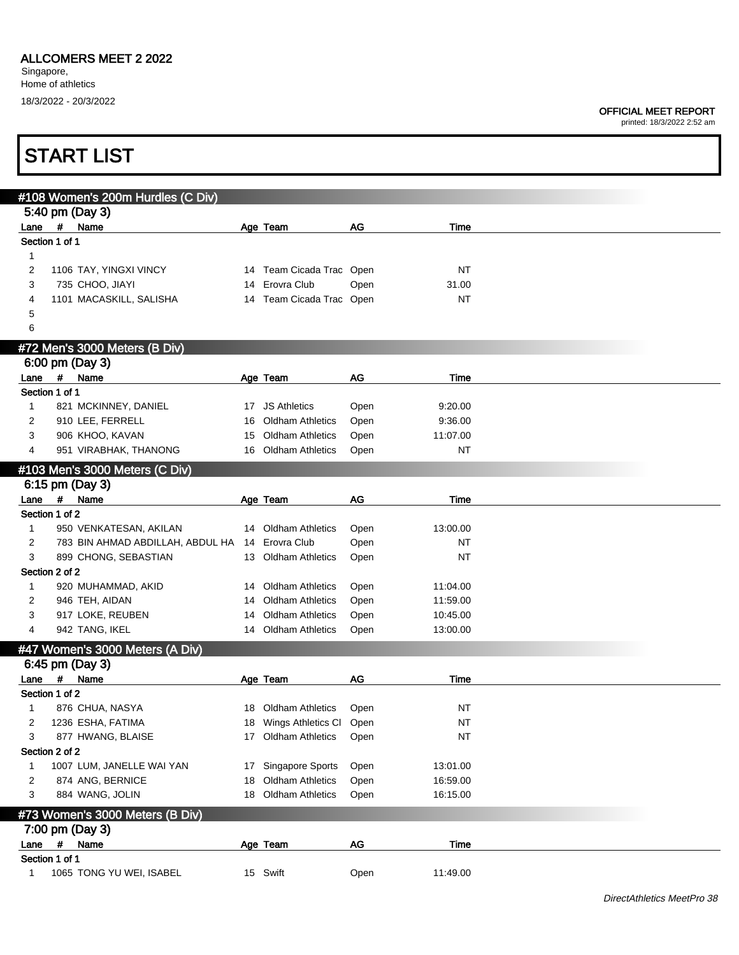printed: 18/3/2022 2:52 am

|             |                | #108 Women's 200m Hurdles (C Div) |     |                            |           |             |  |
|-------------|----------------|-----------------------------------|-----|----------------------------|-----------|-------------|--|
|             |                | 5:40 pm (Day 3)                   |     |                            |           |             |  |
|             |                | Lane # Name                       |     | Age Team                   | <b>AG</b> | Time        |  |
|             | Section 1 of 1 |                                   |     |                            |           |             |  |
| 1           |                |                                   |     |                            |           |             |  |
| 2           |                | 1106 TAY, YINGXI VINCY            |     | 14 Team Cicada Trac Open   |           | <b>NT</b>   |  |
| 3           |                | 735 CHOO, JIAYI                   |     | 14 Erovra Club             | Open      | 31.00       |  |
| 4           |                | 1101 MACASKILL, SALISHA           |     | 14 Team Cicada Trac Open   |           | NT          |  |
| 5           |                |                                   |     |                            |           |             |  |
| 6           |                |                                   |     |                            |           |             |  |
|             |                | #72 Men's 3000 Meters (B Div)     |     |                            |           |             |  |
|             |                | 6:00 pm (Day 3)                   |     |                            |           |             |  |
|             | Lane #         | Name                              |     | Age Team                   | AG        | Time        |  |
|             | Section 1 of 1 |                                   |     |                            |           |             |  |
| $\mathbf 1$ |                | 821 MCKINNEY, DANIEL              |     | 17 JS Athletics            | Open      | 9:20.00     |  |
| 2           |                | 910 LEE, FERRELL                  | 16  | <b>Oldham Athletics</b>    | Open      | 9:36.00     |  |
| 3           |                | 906 KHOO, KAVAN                   | 15  | <b>Oldham Athletics</b>    | Open      | 11:07.00    |  |
|             |                |                                   |     |                            |           |             |  |
| 4           |                | 951 VIRABHAK, THANONG             | 16  | <b>Oldham Athletics</b>    | Open      | <b>NT</b>   |  |
|             |                | #103 Men's 3000 Meters (C Div)    |     |                            |           |             |  |
|             |                | 6:15 pm (Day 3)                   |     |                            |           |             |  |
| Lane        |                | # Name                            |     | Age Team                   | AG        | Time        |  |
|             | Section 1 of 2 |                                   |     |                            |           |             |  |
| 1           |                | 950 VENKATESAN, AKILAN            |     | 14 Oldham Athletics        | Open      | 13:00.00    |  |
| 2           |                | 783 BIN AHMAD ABDILLAH, ABDUL HA  |     | 14 Erovra Club             | Open      | NT          |  |
| 3           |                | 899 CHONG, SEBASTIAN              |     | 13 Oldham Athletics        | Open      | NT          |  |
|             | Section 2 of 2 |                                   |     |                            |           |             |  |
| 1           |                | 920 MUHAMMAD, AKID                |     | 14 Oldham Athletics        | Open      | 11:04.00    |  |
| 2           |                | 946 TEH, AIDAN                    | 14  | <b>Oldham Athletics</b>    | Open      | 11:59.00    |  |
| 3           |                | 917 LOKE, REUBEN                  | 14  | <b>Oldham Athletics</b>    | Open      | 10:45.00    |  |
| 4           |                | 942 TANG, IKEL                    |     | 14 Oldham Athletics        | Open      | 13:00.00    |  |
|             |                | #47 Women's 3000 Meters (A Div)   |     |                            |           |             |  |
|             |                | 6:45 pm (Day 3)                   |     |                            |           |             |  |
| Lane        | #              | Name                              |     | Age Team                   | <b>AG</b> | <b>Time</b> |  |
|             | Section 1 of 2 |                                   |     |                            |           |             |  |
| 1           |                | 876 CHUA, NASYA                   | 18. | <b>Oldham Athletics</b>    | Open      | NT          |  |
| 2           |                | 1236 ESHA, FATIMA                 |     | 18 Wings Athletics Cl Open |           | <b>NT</b>   |  |
| 3           |                | 877 HWANG, BLAISE                 |     | 17 Oldham Athletics        | Open      | NT          |  |
|             | Section 2 of 2 |                                   |     |                            |           |             |  |
| 1           |                | 1007 LUM, JANELLE WAI YAN         |     | 17 Singapore Sports        | Open      | 13:01.00    |  |
| 2           |                | 874 ANG, BERNICE                  |     | 18 Oldham Athletics        | Open      | 16:59.00    |  |
| 3           |                | 884 WANG, JOLIN                   |     | 18 Oldham Athletics        | Open      | 16:15.00    |  |
|             |                |                                   |     |                            |           |             |  |
|             |                | #73 Women's 3000 Meters (B Div)   |     |                            |           |             |  |
|             |                | 7:00 pm (Day 3)                   |     |                            |           |             |  |
| Lane        | $\pmb{\mu}$    | Name                              |     | Age Team                   | AG        | Time        |  |
|             | Section 1 of 1 |                                   |     |                            |           |             |  |
| 1           |                | 1065 TONG YU WEI, ISABEL          |     | 15 Swift                   | Open      | 11:49.00    |  |
|             |                |                                   |     |                            |           |             |  |